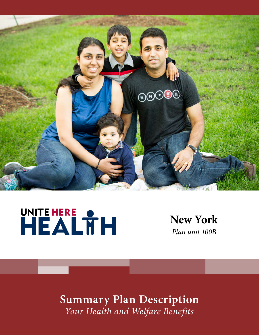

# UNITE HERE<br>HEALTH

**New York** *Plan unit 100B*

**Summary Plan Description** *Your Health and Welfare Benefits*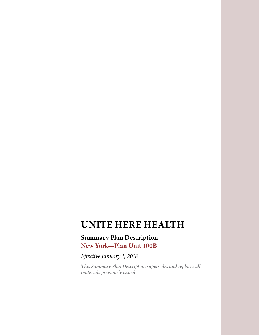# **UNITE HERE HEALTH**

#### **Summary Plan Description New York—Plan Unit 100B**

*Effective January 1, 2018*

*This Summary Plan Description supersedes and replaces all materials previously issued.*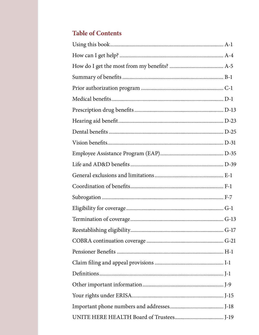# **Table of Contents**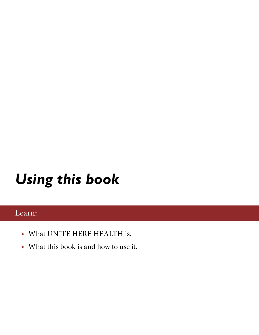# <span id="page-4-0"></span>*Using this book*

# Learn:

- ▶ What UNITE HERE HEALTH is.
- $\rightarrow$  What this book is and how to use it.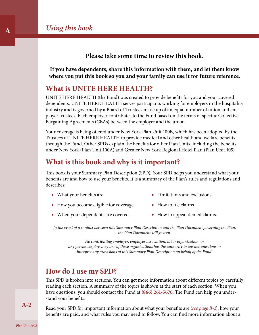#### **Please take some time to review this book.**

**If you have dependents, share this information with them, and let them know where you put this book so you and your family can use it for future reference.**

#### **What is UNITE HERE HEALTH?**

UNITE HERE HEALTH (the Fund) was created to provide benefits for you and your covered dependents. UNITE HERE HEALTH serves participants working for employers in the hospitality industry and is governed by a Board of Trustees made up of an equal number of union and employer trustees. Each employer contributes to the Fund based on the terms of specific Collective Bargaining Agreements (CBAs) between the employer and the union.

Your coverage is being offered under New York Plan Unit 100B, which has been adopted by the Trustees of UNITE HERE HEALTH to provide medical and other health and welfare benefits through the Fund. Other SPDs explain the benefits for other Plan Units, including the benefits under New York (Plan Unit 100A) and Greater New York Regional Hotel Plan (Plan Unit 105).

#### **What is this book and why is it important?**

This book is your Summary Plan Description (SPD). Your SPD helps you understand what your benefits are and how to use your benefits. It is a summary of the Plan's rules and regulations and describes:

- What your benefits are. • Limitations and exclusions.
- How you become eligible for coverage. • How to file claims.
- When your dependents are covered. • How to appeal denied claims.

*In the event of a conflict between this Summary Plan Description and the Plan Document governing the Plan, the Plan Document will govern.*

*No contributing employer, employer association, labor organization, or any person employed by one of these organizations has the authority to answer questions or interpret any provisions of this Summary Plan Description on behalf of the Fund.*

#### **How do I use my SPD?**

This SPD is broken into sections. You can get more information about different topics by carefully reading each section. A summary of the topics is shown at the start of each section. When you have questions, you should contact the Fund at **(866) 261-5676**. The Fund can help you understand your benefits.

Read your SPD for important information about what your benefits are (*[see page B-2](#page-15-0)*), how your benefits are paid, and what rules you may need to follow. You can find more information about a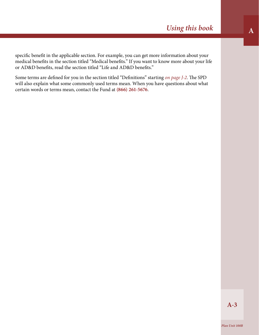specific benefit in the applicable section. For example, you can get more information about your medical benefits in the section titled "Medical benefits." If you want to know more about your life or AD&D benefits, read the section titled "Life and AD&D benefits."

Some terms are defined for you in the section titled "Definitions" starting *[on page J-2](#page-135-0)*. The SPD will also explain what some commonly used terms mean. When you have questions about what certain words or terms mean, contact the Fund at **(866) 261-5676**.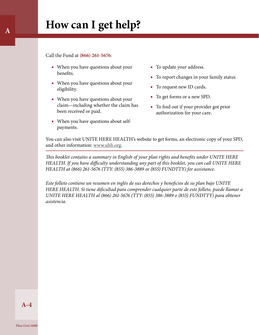#### <span id="page-7-0"></span>*How can I get help?* **A How can I get help?**

#### Call the Fund at **(866) 261-5676**:

- When you have questions about your benefits.
- When you have questions about your eligibility.
- When you have questions about your claim—including whether the claim has been received or paid.
- When you have questions about selfpayments.
- To update your address.
- To report changes in your family status
- To request new ID cards.
- To get forms or a new SPD.
- To find out if your provider got prior authorization for your care.

You can also visit UNITE HERE HEALTH's website to get forms, an electronic copy of your SPD, and other information: [www.uhh.org](http://www.uhh.org).

*This booklet contains a summary in English of your plan rights and benefits under UNITE HERE HEALTH. If you have difficulty understanding any part of this booklet, you can call UNITE HERE HEALTH at (866) 261-5676 (TTY: (855) 386-3889 or (855) FUNDTTY) for assistance.*

*Este folleto contiene un resumen en inglés de sus derechos y beneficios de su plan bajo UNITE HERE HEALTH. Si tiene dificultad para comprender cualquier parte de este folleto, puede llamar a UNITE HERE HEALTH al (866) 261-5676 (TTY: (855) 386-3889 o (855) FUNDTTY) para obtener asistencia.*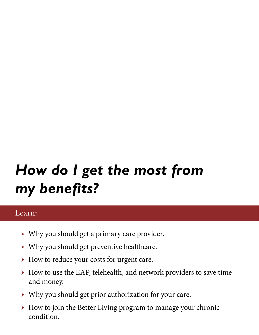# <span id="page-8-0"></span>*How do I get the most from my benefits?*

## Learn:

- ӹ Why you should get a primary care provider.
- ӹ Why you should get preventive healthcare.
- ▶ How to reduce your costs for urgent care.
- ▶ How to use the EAP, telehealth, and network providers to save time and money.
- ӹ Why you should get prior authorization for your care.
- ▶ How to join the Better Living program to manage your chronic condition.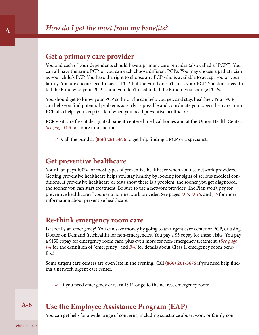#### **Get a primary care provider**

You and each of your dependents should have a primary care provider (also called a "PCP"). You can all have the same PCP, or you can each choose different PCPs. You may choose a pediatrician as your child's PCP. You have the right to choose any PCP who is available to accept you or your family. You are encouraged to have a PCP, but the Fund doesn't track your PCP. You don't need to tell the Fund who your PCP is, and you don't need to tell the Fund if you change PCPs.

You should get to know your PCP so he or she can help you get, and stay, healthier. Your PCP can help you find potential problems as early as possible and coordinate your specialist care. Your PCP also helps you keep track of when you need preventive healthcare.

PCP visits are free at designated patient-centered medical homes and at the Union Health Center. *[See page D-3](#page-32-0)* for more information.

**✓** Call the Fund at **(866) 261-5676** to get help finding a PCP or a specialist.

#### **Get preventive healthcare**

Your Plan pays 100% for most types of preventive healthcare when you use network providers. Getting preventive healthcare helps you stay healthy by looking for signs of serious medical conditions. If preventive healthcare or tests show there is a problem, the sooner you get diagnosed, the sooner you can start treatment. Be sure to use a network provider. The Plan won't pay for preventive healthcare if you use a non-network provider. See pages *[D-5](#page-34-0)*, *[D-16](#page-45-0)*, and *[J-6](#page-139-0)* for more information about preventive healthcare.

#### **Re-think emergency room care**

Is it really an emergency? You can save money by going to an urgent care center or PCP, or using Doctor on Demand (telehealth) for non-emergencies. You pay a \$5 copay for these visits. You pay a \$150 copay for emergency room care, plus even more for non-emergency treatment. (*[See page](#page-137-0)  [J-4](#page-137-0)* for the definition of "emergency" and *[B-6](#page-19-0)* for details about Class II emergency room benefits.)

Some urgent care centers are open late in the evening. Call **(866) 261-5676** if you need help finding a network urgent care center.

**✓** If you need emergency care, call 911 or go to the nearest emergency room.

#### **A-6 Use the Employee Assistance Program (EAP)**

<span id="page-9-0"></span>You can get help for a wide range of concerns, including substance abuse, work or family con-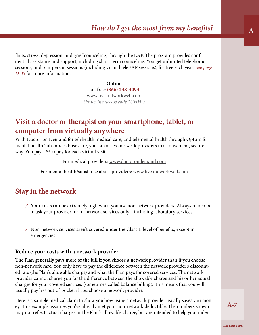flicts, stress, depression, and grief counseling, through the EAP. The program provides confidential assistance and support, including short-term counseling. You get unlimited telephonic sessions, and 5 in-person sessions (including virtual teleEAP sessions), for free each year. *[See page](#page-64-1)  [D-35](#page-64-1)* for more information.

**Optum**

toll free: **(866) 248-4094** [www.liveandworkwell.com](http://www.liveandworkwell.com) *(Enter the access code "UHH")*

# **Visit a doctor or therapist on your smartphone, tablet, or computer from virtually anywhere**

With Doctor on Demand for telehealth medical care, and telemental health through Optum for mental health/substance abuse care, you can access network providers in a convenient, secure way. You pay a \$5 copay for each virtual visit.

For medical providers: [www.doctorondemand.com](http://www.doctorondemand.com)

For mental health/substance abuse providers: [www.liveandworkwell.com](http://www.liveandworkwell.com)

#### **Stay in the network**

- **✓** Your costs can be extremely high when you use non-network providers. Always remember to ask your provider for in-network services only—including laboratory services.
- **✓** Non-network services aren't covered under the Class II level of benefits, except in emergencies.

#### **Reduce your costs with a network provider**

**The Plan generally pays more of the bill if you choose a network provider** than if you choose non-network care. You only have to pay the difference between the network provider's discounted rate (the Plan's allowable charge) and what the Plan pays for covered services. The network provider cannot charge you for the difference between the allowable charge and his or her actual charges for your covered services (sometimes called balance billing). This means that you will usually pay less out-of-pocket if you choose a network provider.

Here is a sample medical claim to show you how using a network provider usually saves you money. This example assumes you've already met your non-network deductible. The numbers shown may not reflect actual charges or the Plan's allowable charge, but are intended to help you under-

**A-7**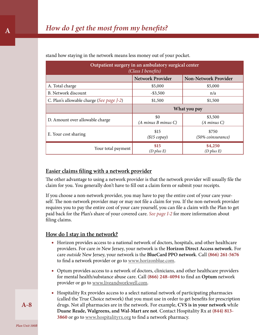| Outpatient surgery in an ambulatory surgical center<br>(Class I benefits) |                                                |                             |  |
|---------------------------------------------------------------------------|------------------------------------------------|-----------------------------|--|
|                                                                           | <b>Network Provider</b>                        | <b>Non-Network Provider</b> |  |
| A. Total charge                                                           | \$5,000                                        | \$5,000                     |  |
| B. Network discount                                                       | $-$ \$3,500                                    | n/a                         |  |
| C. Plan's allowable charge (See page J-2)                                 | \$1,500                                        | \$1,500                     |  |
|                                                                           | What you pay                                   |                             |  |
| D. Amount over allowable charge                                           | \$0<br>$(A \text{ minus } B \text{ minus } C)$ | \$3,500<br>(A minus C)      |  |
| E. Your cost sharing                                                      | \$15<br>(\$15 copay)                           | \$750<br>(50% coinsurance)  |  |
| Your total payment                                                        | \$15<br>$(D$ plus $E)$                         | \$4,250<br>$(D$ plus $E)$   |  |

stand how staying in the network means less money out of your pocket.

#### **Easier claims filing with a network provider**

The other advantage to using a network provider is that the network provider will usually file the claim for you. You generally don't have to fill out a claim form or submit your receipts.

If you choose a non-network provider, you may have to pay the entire cost of your care yourself. The non-network provider may or may not file a claim for you. If the non-network provider requires you to pay the entire cost of your care yourself, you can file a claim with the Plan to get paid back for the Plan's share of your covered care. *[See page I-2](#page-121-0)* for more information about filing claims.

#### **How do I stay in the network?**

- Horizon provides access to a national network of doctors, hospitals, and other healthcare providers. For care *in* New Jersey, your network is the **Horizon Direct Access network**. For care *outside* New Jersey, your network is the **BlueCard PPO network**. Call **(866) 261-5676**  to find a network provider or go to [www.horizonblue.com](http://www.horizonblue.com).
- Optum provides access to a network of doctors, clinicians, and other healthcare providers for mental health/substance abuse care. Call **(866) 248-4094** to find an **Optum** network provider or go to [www.liveandworkwell.com](http://www.liveandworkwell.com).
- Hospitality Rx provides access to a select national network of participating pharmacies (called the True Choice network) that you must use in order to get benefits for prescription drugs. Not all pharmacies are in the network. For example, **CVS is in your network** while **Duane Reade, Walgreens, and Wal-Mart are not**. Contact Hospitality Rx at **(844) 813- 3860** or go to [www.hospitalityrx.org](http://www.hospitalityrx.org) to find a network pharmacy.

**A-8**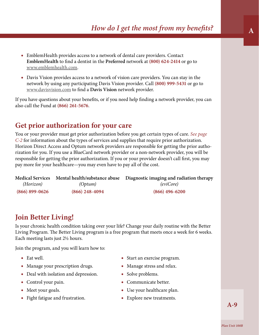- EmblemHealth provides access to a network of dental care providers. Contact **EmblemHealth** to find a dentist in the **Preferred** network at **(800) 624-2414** or go to [www.emblemhealth.com.](http://www.emblemhealth.com)
- Davis Vision provides access to a network of vision care providers. You can stay in the network by using any participating Davis Vision provider. Call **(800) 999-5431** or go to [www.davisvision.com](http://www.davisvision.com) to find a **Davis Vision** network provider.

If you have questions about your benefits, or if you need help finding a network provider, you can also call the Fund at **(866) 261-5676**.

#### **Get prior authorization for your care**

You or your provider must get prior authorization before you get certain types of care. *[See page](#page-25-0)  [C-2](#page-25-0)* for information about the types of services and supplies that require prior authorization. Horizon Direct Access and Optum network providers are responsible for getting the prior authorization for you. If you use a BlueCard network provider or a non-network provider, you will be responsible for getting the prior authorization. If you or your provider doesn't call first, you may pay more for your healthcare—you may even have to pay all of the cost.

| <b>Medical Services</b> | Mental health/substance abuse | Diagnostic imaging and radiation therapy |
|-------------------------|-------------------------------|------------------------------------------|
| (Horizon)               | (Optum)                       | (eviCore)                                |
| $(866) 899 - 0626$      | $(866)$ 248-4094              | $(866)$ 496-6200                         |

## **Join Better Living!**

Is your chronic health condition taking over your life? Change your daily routine with the Better Living Program. The Better Living program is a free program that meets once a week for 6 weeks. Each meeting lasts just 2½ hours.

Join the program, and you will learn how to:

- Eat well.
- Manage your prescription drugs.
- Deal with isolation and depression.
- Control your pain.
- Meet your goals.
- Fight fatigue and frustration.
- Start an exercise program.
- Manage stress and relax.
- Solve problems.
- Communicate better.
- Use your healthcare plan.
- Explore new treatments.

**A-9**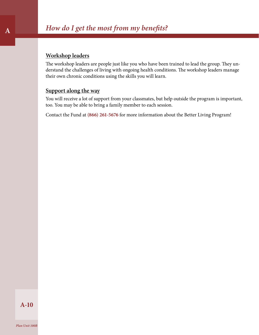#### **Workshop leaders**

The workshop leaders are people just like you who have been trained to lead the group. They understand the challenges of living with ongoing health conditions. The workshop leaders manage their own chronic conditions using the skills you will learn.

#### **Support along the way**

You will receive a lot of support from your classmates, but help outside the program is important, too. You may be able to bring a family member to each session.

Contact the Fund at **(866) 261-5676** for more information about the Better Living Program!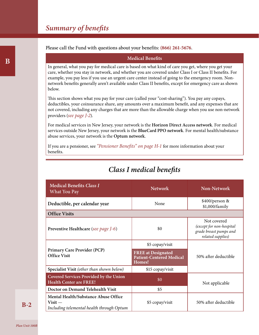|                                                                                                | ◡                                                                      |                                                                                        |  |
|------------------------------------------------------------------------------------------------|------------------------------------------------------------------------|----------------------------------------------------------------------------------------|--|
| <b>Medical Benefits Class I</b><br>What You Pay                                                | <b>Network</b>                                                         | Non-Network                                                                            |  |
| Deductible, per calendar year                                                                  | None                                                                   | \$400/person &<br>\$1,000/family                                                       |  |
| <b>Office Visits</b>                                                                           |                                                                        |                                                                                        |  |
| Preventive Healthcare (see page J-6)                                                           | \$0                                                                    | Not covered<br>(except for non-hospital<br>grade breast pumps and<br>related supplies) |  |
| <b>Primary Care Provider (PCP)</b><br><b>Office Visit</b>                                      | \$5 copay/visit                                                        | 50% after deductible                                                                   |  |
|                                                                                                | <b>FREE</b> at Designated<br><b>Patient-Centered Medical</b><br>Homes! |                                                                                        |  |
| Specialist Visit (other than shown below)                                                      | \$15 copay/visit                                                       |                                                                                        |  |
| Covered Services Provided by the Union<br><b>Health Center are FREE!</b>                       | \$0                                                                    | Not applicable                                                                         |  |
| Doctor on Demand Telehealth Visit                                                              | \$5                                                                    |                                                                                        |  |
| Mental Health/Substance Abuse Office<br>$Visit -$<br>Including telemental health through Optum | \$5 copay/visit                                                        | 50% after deductible                                                                   |  |

#### Please call the Fund with questions about your benefits: **(866) 261-5676**.

#### <span id="page-15-0"></span>**Medical Benefits**

In general, what you pay for medical care is based on what kind of care you get, where you get your care, whether you stay in network, and whether you are covered under Class I or Class II benefits. For example, you pay less if you use an urgent care center instead of going to the emergency room. Nonnetwork benefits generally aren't available under Class II benefits, except for emergency care as shown below.

This section shows what you pay for your care (called your "cost-sharing"). You pay any copays, deductibles, your coinsurance share, any amounts over a maximum benefit, and any expenses that are not covered, including any charges that are more than the allowable charge when you use non-network providers (*[see page J-2](#page-135-0)*).

For medical services in New Jersey, your network is the **Horizon Direct Access network**. For medical services outside New Jersey, your network is the **BlueCard PPO network**. For mental health/substance abuse services, your network is the **Optum network**.

If you are a pensioner, see *["Pensioner Benefits" on page H-1](#page-116-1)* for more information about your benefits.

## *Class I medical benefits*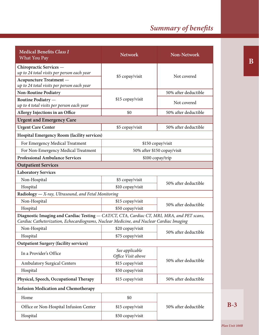| <b>Medical Benefits Class I</b><br>What You Pay                                                                                                                                       | <b>Network</b>                       | <b>Non-Network</b>   |  |
|---------------------------------------------------------------------------------------------------------------------------------------------------------------------------------------|--------------------------------------|----------------------|--|
| Chiropractic Services -<br>up to 24 total visits per person each year                                                                                                                 | \$5 copay/visit                      | Not covered          |  |
| Acupuncture Treatment-<br>up to 24 total visits per person each year                                                                                                                  |                                      |                      |  |
| Non-Routine Podiatry                                                                                                                                                                  |                                      | 50% after deductible |  |
| Routine Podiatry -<br>up to 4 total visits per person each year                                                                                                                       | \$15 copay/visit                     | Not covered          |  |
| Allergy Injections in an Office                                                                                                                                                       | \$0                                  | 50% after deductible |  |
| <b>Urgent and Emergency Care</b>                                                                                                                                                      |                                      |                      |  |
| <b>Urgent Care Center</b>                                                                                                                                                             | \$5 copay/visit                      | 50% after deductible |  |
| Hospital Emergency Room (facility services)                                                                                                                                           |                                      |                      |  |
| For Emergency Medical Treatment                                                                                                                                                       | \$150 copay/visit                    |                      |  |
| For Non-Emergency Medical Treatment                                                                                                                                                   | 50% after \$150 copay/visit          |                      |  |
| <b>Professional Ambulance Services</b>                                                                                                                                                | \$100 copay/trip                     |                      |  |
| <b>Outpatient Services</b>                                                                                                                                                            |                                      |                      |  |
| <b>Laboratory Services</b>                                                                                                                                                            |                                      |                      |  |
| Non-Hospital                                                                                                                                                                          | \$5 copay/visit                      | 50% after deductible |  |
| Hospital                                                                                                                                                                              | \$10 copay/visit                     |                      |  |
| Radiology $-$ X-ray, Ultrasound, and Fetal Monitoring                                                                                                                                 |                                      |                      |  |
| Non-Hospital                                                                                                                                                                          | \$15 copay/visit                     | 50% after deductible |  |
| Hospital                                                                                                                                                                              | \$50 copay/visit                     |                      |  |
| Diagnostic Imaging and Cardiac Testing - CAT/CT, CTA, Cardiac CT, MRI, MRA, and PET scans,<br>Cardiac Catheterization, Echocardiograms, Nuclear Medicine, and Nuclear Cardiac Imaging |                                      |                      |  |
| Non-Hospital                                                                                                                                                                          | \$20 copay/visit                     | 50% after deductible |  |
| Hospital                                                                                                                                                                              | \$75 copay/visit                     |                      |  |
| <b>Outpatient Surgery (facility services)</b>                                                                                                                                         |                                      |                      |  |
| In a Provider's Office                                                                                                                                                                | See applicable<br>Office Visit above |                      |  |
| <b>Ambulatory Surgical Centers</b>                                                                                                                                                    | \$15 copay/visit                     | 50% after deductible |  |
| Hospital                                                                                                                                                                              | \$50 copay/visit                     |                      |  |
| Physical, Speech, Occupational Therapy                                                                                                                                                | \$15 copay/visit                     | 50% after deductible |  |
| <b>Infusion Medication and Chemotherapy</b>                                                                                                                                           |                                      |                      |  |
| Home                                                                                                                                                                                  | \$0                                  |                      |  |
| Office or Non-Hospital Infusion Center                                                                                                                                                | \$15 copay/visit                     | 50% after deductible |  |
| Hospital                                                                                                                                                                              | \$50 copay/visit                     |                      |  |

**B**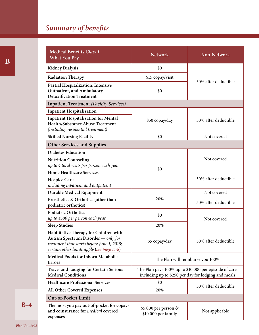| Partial Hos              |
|--------------------------|
| Outpatient               |
| Detoxificat              |
| Inpatient <sup>"</sup>   |
| <b>Inpatient H</b>       |
| <b>Inpatient H</b>       |
| Health/Sub               |
| (including r             |
| <b>Skilled Nui</b>       |
| Other Sery               |
| Diabetes Eo              |
| <b>Nutrition C</b>       |
| up to 4 tota             |
| Home Heal                |
| Hospice Ca               |
| including in             |
| Durable Mo               |
| Prosthetics              |
| podiatric of             |
| Podiatric C              |
| up to \$500 <sub>l</sub> |
| Sleep Studi              |
| Habilitative             |
| <b>Autism Spe</b>        |
| treatment tl             |
| certain othe             |
| Medical Fo               |
| Errors                   |
| Travel and               |

|--|

| <b>Medical Benefits Class I</b><br>What You Pay                                                                                                                            | <b>Network</b>                              | Non-Network                                                                                                   |  |
|----------------------------------------------------------------------------------------------------------------------------------------------------------------------------|---------------------------------------------|---------------------------------------------------------------------------------------------------------------|--|
| <b>Kidney Dialysis</b>                                                                                                                                                     | \$0                                         |                                                                                                               |  |
| <b>Radiation Therapy</b>                                                                                                                                                   | \$15 copay/visit                            |                                                                                                               |  |
| Partial Hospitalization, Intensive<br>Outpatient, and Ambulatory<br><b>Detoxification Treatment</b>                                                                        | \$0                                         | 50% after deductible                                                                                          |  |
| <b>Inpatient Treatment (Facility Services)</b>                                                                                                                             |                                             |                                                                                                               |  |
| <b>Inpatient Hospitalization</b>                                                                                                                                           |                                             |                                                                                                               |  |
| <b>Inpatient Hospitalization for Mental</b><br><b>Health/Substance Abuse Treatment</b><br>(including residential treatment)                                                | \$50 copay/day                              | 50% after deductible                                                                                          |  |
| <b>Skilled Nursing Facility</b>                                                                                                                                            | \$0                                         | Not covered                                                                                                   |  |
| <b>Other Services and Supplies</b>                                                                                                                                         |                                             |                                                                                                               |  |
| <b>Diabetes Education</b>                                                                                                                                                  |                                             |                                                                                                               |  |
| Nutrition Counseling -<br>up to 4 total visits per person each year                                                                                                        | \$0                                         | Not covered                                                                                                   |  |
| <b>Home Healthcare Services</b>                                                                                                                                            |                                             |                                                                                                               |  |
| Hospice Care -<br>including inpatient and outpatient                                                                                                                       |                                             | 50% after deductible                                                                                          |  |
| <b>Durable Medical Equipment</b>                                                                                                                                           |                                             | Not covered                                                                                                   |  |
| Prosthetics & Orthotics (other than<br>podiatric orthotics)                                                                                                                | 20%                                         | 50% after deductible                                                                                          |  |
| Podiatric Orthotics -<br>up to \$500 per person each year                                                                                                                  | \$0                                         | Not covered                                                                                                   |  |
| <b>Sleep Studies</b>                                                                                                                                                       | 20%                                         |                                                                                                               |  |
| Habilitative Therapy for Children with<br>Autism Spectrum Disorder $-$ only for<br>treatment that starts before June 1, 2018;<br>certain other limits apply (see page D-8) | \$5 copay/day                               | 50% after deductible                                                                                          |  |
| Medical Foods for Inborn Metabolic<br>Errors                                                                                                                               | The Plan will reimburse you 100%            |                                                                                                               |  |
| <b>Travel and Lodging for Certain Serious</b><br><b>Medical Conditions</b>                                                                                                 |                                             | The Plan pays 100% up to \$10,000 per episode of care,<br>including up to \$250 per day for lodging and meals |  |
| <b>Healthcare Professional Services</b>                                                                                                                                    | \$0                                         |                                                                                                               |  |
| <b>All Other Covered Expenses</b>                                                                                                                                          | 20%                                         | 50% after deductible                                                                                          |  |
| <b>Out-of-Pocket Limit</b>                                                                                                                                                 |                                             |                                                                                                               |  |
| The most you pay out-of-pocket for copays<br>and coinsurance for <i>medical</i> covered<br>expenses                                                                        | \$5,000 per person &<br>\$10,000 per family | Not applicable                                                                                                |  |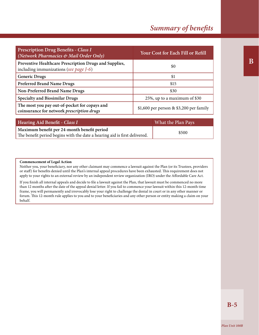| <b>Prescription Drug Benefits - Class I</b><br>(Network Pharmacies & Mail Order Only)               | <b>Your Cost for Each Fill or Refill</b> |
|-----------------------------------------------------------------------------------------------------|------------------------------------------|
| Preventive Healthcare Prescription Drugs and Supplies,<br>including immunizations (see page $J$ -6) | \$0                                      |
| <b>Generic Drugs</b>                                                                                | \$1                                      |
| <b>Preferred Brand Name Drugs</b>                                                                   | \$15                                     |
| Non-Preferred Brand Name Drugs                                                                      | \$30                                     |
| <b>Specialty and Biosimilar Drugs</b>                                                               | 25%, up to a maximum of \$30             |
| The most you pay out-of-pocket for copays and<br>coinsurance for network prescription drugs         | \$1,600 per person & \$3,200 per family  |

| Hearing Aid Benefit - Class I                                             | What the Plan Pays |
|---------------------------------------------------------------------------|--------------------|
| Maximum benefit per 24-month benefit period                               | \$500              |
| The benefit period begins with the date a hearing aid is first delivered. |                    |

#### **Commencement of Legal Action**

Neither you, your beneficiary, nor any other claimant may commence a lawsuit against the Plan (or its Trustees, providers or staff) for benefits denied until the Plan's internal appeal procedures have been exhausted. This requirement does not apply to your rights to an external review by an independent review organization (IRO) under the Affordable Care Act.

If you finish all internal appeals and decide to file a lawsuit against the Plan, that lawsuit must be commenced no more than 12 months after the date of the appeal denial letter. If you fail to commence your lawsuit within this 12-month time frame, you will permanently and irrevocably lose your right to challenge the denial in court or in any other manner or forum. This 12-month rule applies to you and to your beneficiaries and any other person or entity making a claim on your behalf.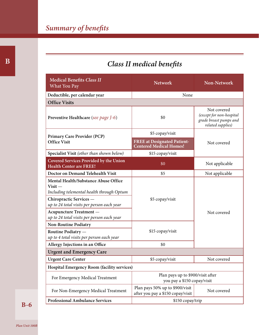# **B** *Class II medical benefits*

<span id="page-19-0"></span>

| <b>Medical Benefits Class II</b><br><b>What You Pay</b>                                                                   | <b>Network</b>                                                                      | <b>Non-Network</b>                                                                     |  |
|---------------------------------------------------------------------------------------------------------------------------|-------------------------------------------------------------------------------------|----------------------------------------------------------------------------------------|--|
| Deductible, per calendar year                                                                                             | None                                                                                |                                                                                        |  |
| <b>Office Visits</b>                                                                                                      |                                                                                     |                                                                                        |  |
| Preventive Healthcare (see page J-6)                                                                                      | \$0                                                                                 | Not covered<br>(except for non-hospital<br>grade breast pumps and<br>related supplies) |  |
| <b>Primary Care Provider (PCP)</b>                                                                                        | \$5 copay/visit                                                                     |                                                                                        |  |
| <b>Office Visit</b>                                                                                                       | <b>FREE at Designated Patient-</b><br><b>Centered Medical Homes!</b>                | Not covered                                                                            |  |
| Specialist Visit (other than shown below)                                                                                 | \$15 copay/visit                                                                    |                                                                                        |  |
| Covered Services Provided by the Union<br><b>Health Center are FREE!</b>                                                  | \$0                                                                                 | Not applicable                                                                         |  |
| Doctor on Demand Telehealth Visit                                                                                         | \$5                                                                                 | Not applicable                                                                         |  |
| Mental Health/Substance Abuse Office<br>$Visit -$<br>Including telemental health through Optum<br>Chiropractic Services - | \$5 copay/visit                                                                     |                                                                                        |  |
| up to 24 total visits per person each year<br>Acupuncture Treatment-<br>up to 24 total visits per person each year        |                                                                                     | Not covered                                                                            |  |
| Non-Routine Podiatry<br>Routine Podiatry -<br>up to 4 total visits per person each year                                   | \$15 copay/visit                                                                    |                                                                                        |  |
| Allergy Injections in an Office                                                                                           | \$0                                                                                 |                                                                                        |  |
| <b>Urgent and Emergency Care</b>                                                                                          |                                                                                     |                                                                                        |  |
| <b>Urgent Care Center</b>                                                                                                 | \$5 copay/visit                                                                     | Not covered                                                                            |  |
| Hospital Emergency Room (facility services)                                                                               |                                                                                     |                                                                                        |  |
| For Emergency Medical Treatment                                                                                           | Plan pays up to \$900/visit after<br>you pay a \$150 copay/visit                    |                                                                                        |  |
| For Non-Emergency Medical Treatment                                                                                       | Plan pays 50% up to \$900/visit<br>Not covered<br>after you pay a \$150 copay/visit |                                                                                        |  |
| <b>Professional Ambulance Services</b>                                                                                    | \$150 copay/trip                                                                    |                                                                                        |  |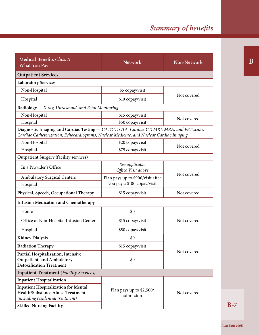| <b>Medical Benefits Class II</b><br><b>What You Pay</b>                                                                                                                               | <b>Network</b>                        | <b>Non-Network</b> |       | $\bf B$ |
|---------------------------------------------------------------------------------------------------------------------------------------------------------------------------------------|---------------------------------------|--------------------|-------|---------|
| <b>Outpatient Services</b>                                                                                                                                                            |                                       |                    |       |         |
| <b>Laboratory Services</b>                                                                                                                                                            |                                       |                    |       |         |
| Non-Hospital                                                                                                                                                                          | \$5 copay/visit                       |                    |       |         |
| Hospital                                                                                                                                                                              | \$10 copay/visit                      | Not covered        |       |         |
| $\text{Radiology} - X-ray, Ultra sound, and Fetal Monitoring$                                                                                                                         |                                       |                    |       |         |
| Non-Hospital                                                                                                                                                                          | \$15 copay/visit                      |                    |       |         |
| Hospital                                                                                                                                                                              | \$50 copay/visit                      | Not covered        |       |         |
| Diagnostic Imaging and Cardiac Testing - CAT/CT, CTA, Cardiac CT, MRI, MRA, and PET scans,<br>Cardiac Catheterization, Echocardiograms, Nuclear Medicine, and Nuclear Cardiac Imaging |                                       |                    |       |         |
| Non-Hospital                                                                                                                                                                          | \$20 copay/visit                      |                    |       |         |
| Hospital                                                                                                                                                                              | \$75 copay/visit                      | Not covered        |       |         |
| <b>Outpatient Surgery (facility services)</b>                                                                                                                                         |                                       |                    |       |         |
| In a Provider's Office                                                                                                                                                                | See applicable<br>Office Visit above  |                    |       |         |
| <b>Ambulatory Surgical Centers</b>                                                                                                                                                    | Plan pays up to \$900/visit after     | Not covered        |       |         |
| Hospital                                                                                                                                                                              | you pay a \$100 copay/visit           |                    |       |         |
| Physical, Speech, Occupational Therapy                                                                                                                                                | \$15 copay/visit                      | Not covered        |       |         |
| <b>Infusion Medication and Chemotherapy</b>                                                                                                                                           |                                       |                    |       |         |
| Home                                                                                                                                                                                  | \$0                                   |                    |       |         |
| Office or Non-Hospital Infusion Center                                                                                                                                                | \$15 copay/visit                      | Not covered        |       |         |
| Hospital                                                                                                                                                                              | \$50 copay/visit                      |                    |       |         |
| <b>Kidney Dialysis</b>                                                                                                                                                                | \$0                                   |                    |       |         |
| <b>Radiation Therapy</b>                                                                                                                                                              | \$15 copay/visit                      |                    |       |         |
| Partial Hospitalization, Intensive<br>Outpatient, and Ambulatory<br><b>Detoxification Treatment</b>                                                                                   | \$0                                   | Not covered        |       |         |
| <b>Inpatient Treatment</b> (Facility Services)                                                                                                                                        |                                       |                    |       |         |
| <b>Inpatient Hospitalization</b>                                                                                                                                                      |                                       |                    |       |         |
| <b>Inpatient Hospitalization for Mental</b><br><b>Health/Substance Abuse Treatment</b><br>(including residential treatment)                                                           | Plan pays up to \$2,500/<br>admission | Not covered        |       |         |
| <b>Skilled Nursing Facility</b>                                                                                                                                                       |                                       |                    | $B-7$ |         |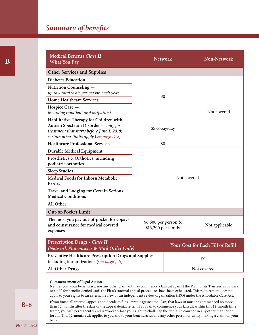| <b>Medical Benefits Class II</b><br>What You Pay                                                                                                                         | <b>Network</b>                              | <b>Non-Network</b> |
|--------------------------------------------------------------------------------------------------------------------------------------------------------------------------|---------------------------------------------|--------------------|
| <b>Other Services and Supplies</b>                                                                                                                                       |                                             |                    |
| <b>Diabetes Education</b>                                                                                                                                                |                                             |                    |
| Nutrition Counseling -<br>up to 4 total visits per person each year                                                                                                      |                                             | Not covered        |
| <b>Home Healthcare Services</b>                                                                                                                                          | \$0                                         |                    |
| Hospice Care-<br>including inpatient and outpatient                                                                                                                      |                                             |                    |
| Habilitative Therapy for Children with<br>Autism Spectrum Disorder - only for<br>treatment that starts before June 1, 2018;<br>certain other limits apply (see page D-8) | \$5 copay/day                               |                    |
| <b>Healthcare Professional Services</b>                                                                                                                                  | \$0                                         |                    |
| <b>Durable Medical Equipment</b>                                                                                                                                         |                                             |                    |
| Prosthetics & Orthotics, including<br>podiatric orthotics                                                                                                                | Not covered                                 |                    |
| <b>Sleep Studies</b>                                                                                                                                                     |                                             |                    |
| Medical Foods for Inborn Metabolic<br><b>Errors</b>                                                                                                                      |                                             |                    |
| <b>Travel and Lodging for Certain Serious</b><br><b>Medical Conditions</b>                                                                                               |                                             |                    |
| All Other                                                                                                                                                                |                                             |                    |
| <b>Out-of-Pocket Limit</b>                                                                                                                                               |                                             |                    |
| The most you pay out-of-pocket for copays<br>and coinsurance for medical covered<br>expenses                                                                             | \$6,600 per person &<br>\$13,200 per family | Not applicable     |
| $\mathbf{r}$ and $\mathbf{r}$<br>$\sim$ $\sim$<br>T                                                                                                                      |                                             |                    |

| Prescription Drugs - Class II<br>(Network Pharmacies & Mail Order Only)                             | Your Cost for Each Fill or Refill |
|-----------------------------------------------------------------------------------------------------|-----------------------------------|
| Preventive Healthcare Prescription Drugs and Supplies,<br>including immunizations (see page $J$ -6) | \$0                               |
| All Other Drugs                                                                                     | Not covered                       |

#### **Commencement of Legal Action**

Neither you, your beneficiary, nor any other claimant may commence a lawsuit against the Plan (or its Trustees, providers or staff) for benefits denied until the Plan's internal appeal procedures have been exhausted. This requirement does not apply to your rights to an external review by an independent review organization (IRO) under the Affordable Care Act.

If you finish all internal appeals and decide to file a lawsuit against the Plan, that lawsuit must be commenced no more than 12 months after the date of the appeal denial letter. If you fail to commence your lawsuit within this 12-month time frame, you will permanently and irrevocably lose your right to challenge the denial in court or in any other manner or forum. This 12-month rule applies to you and to your beneficiaries and any other person or entity making a claim on your behalf.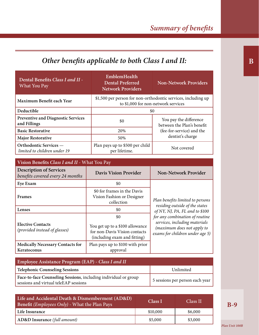# *Other benefits applicable to both Class I and II:* **B**

| Dental Benefits Class I and II -<br>What You Pay          | <b>EmblemHealth</b><br><b>Dental Preferred</b><br><b>Network Providers</b>                           | <b>Non-Network Providers</b>                         |  |
|-----------------------------------------------------------|------------------------------------------------------------------------------------------------------|------------------------------------------------------|--|
| Maximum Benefit each Year                                 | \$1,500 per person for non-orthodontic services, including up<br>to \$1,000 for non-network services |                                                      |  |
| Deductible                                                | \$0                                                                                                  |                                                      |  |
| <b>Preventive and Diagnostic Services</b><br>and Fillings | \$0                                                                                                  | You pay the difference<br>between the Plan's benefit |  |
| <b>Basic Restorative</b>                                  | 20%                                                                                                  | (fee-for-service) and the<br>dentist's charge        |  |
| <b>Major Restorative</b>                                  | 50%                                                                                                  |                                                      |  |
| Orthodontic Services -<br>limited to children under 19    | Plan pays up to \$500 per child<br>per lifetime.                                                     | Not covered                                          |  |

| Vision Benefits Class I and II - What You Pay                      |                                                                                                         |                                                                                                                                  |
|--------------------------------------------------------------------|---------------------------------------------------------------------------------------------------------|----------------------------------------------------------------------------------------------------------------------------------|
| <b>Description of Services</b><br>benefits covered every 24 months | <b>Davis Vision Provider</b>                                                                            | <b>Non-Network Provider</b>                                                                                                      |
| Eye Exam                                                           | \$0                                                                                                     |                                                                                                                                  |
| <b>Frames</b>                                                      | \$0 for frames in the Davis<br>Vision Fashion or Designer<br>collection                                 | Plan benefits limited to persons<br>residing outside of the states                                                               |
| Lenses                                                             | \$0                                                                                                     | of NY, NJ, PA, FL and to \$100                                                                                                   |
| <b>Elective Contacts</b><br>(provided instead of glasses)          | \$0<br>You get up to a \$100 allowance<br>for non-Davis Vision contacts<br>(including exam and fitting) | for any combination of routine<br>services, including materials<br>(maximum does not apply to<br>exams for children under age 5) |
| <b>Medically Necessary Contacts for</b><br>Keratoconus             | Plan pays up to \$100 with prior<br>approval                                                            |                                                                                                                                  |

| Employee Assistance Program (EAP) - Class I and II                                                       |                                 |
|----------------------------------------------------------------------------------------------------------|---------------------------------|
| <b>Telephonic Counseling Sessions</b>                                                                    | Unlimited                       |
| Face-to-face Counseling Sessions, including individual or group<br>sessions and virtual teleEAP sessions | 5 sessions per person each year |

| Life and Accidental Death & Dismemberment (AD&D)<br>Benefit ( <i>Employees Only</i> ) - What the Plan Pays | Class I  | Class II |
|------------------------------------------------------------------------------------------------------------|----------|----------|
| Life Insurance                                                                                             | \$10,000 | \$6,000  |
| AD&D Insurance (full amount)                                                                               | \$5,000  | \$3,000  |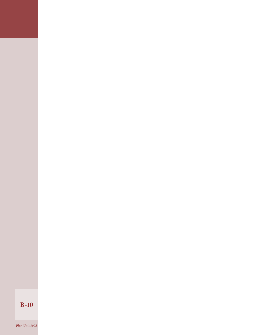#### **B-10**

*Plan Unit 100B*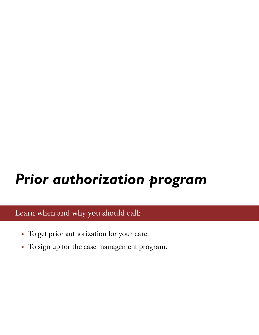# <span id="page-24-0"></span>*Prior authorization program*

# Learn when and why you should call:

- $\triangleright$  To get prior authorization for your care.
- $\triangleright$  To sign up for the case management program.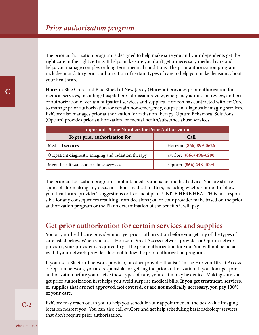<span id="page-25-0"></span>The prior authorization program is designed to help make sure you and your dependents get the right care in the right setting. It helps make sure you don't get unnecessary medical care and helps you manage complex or long-term medical conditions. The prior authorization program includes mandatory prior authorization of certain types of care to help you make decisions about your healthcare.

Horizon Blue Cross and Blue Shield of New Jersey (Horizon) provides prior authorization for medical services, including: hospital pre-admission review, emergency admission review, and prior authorization of certain outpatient services and supplies. Horizon has contracted with eviCore to manage prior authorization for certain non-emergency, outpatient diagnostic imaging services. EviCore also manages prior authorization for radiation therapy. Optum Behavioral Solutions (Optum) provides prior authorization for mental health/substance abuse services.

| <b>Important Phone Numbers for Prior Authorization</b> |                        |  |
|--------------------------------------------------------|------------------------|--|
| To get prior authorization for                         | Call                   |  |
| Medical services                                       | Horizon (866) 899-0626 |  |
| Outpatient diagnostic imaging and radiation therapy    | eviCore (866) 496-6200 |  |
| Mental health/substance abuse services                 | Optum (866) 248-4094   |  |

The prior authorization program is not intended as and is not medical advice. You are still responsible for making any decisions about medical matters, including whether or not to follow your healthcare provider's suggestions or treatment plan. UNITE HERE HEALTH is not responsible for any consequences resulting from decisions you or your provider make based on the prior authorization program or the Plan's determination of the benefits it will pay.

#### **Get prior authorization for certain services and supplies**

You or your healthcare provider must get prior authorization before you get any of the types of care listed below. When you use a Horizon Direct Access network provider or Optum network provider, your provider is required to get the prior authorization for you. You will not be penalized if your network provider does not follow the prior authorization program.

If you use a BlueCard network provider, or other provider that isn't in the Horizon Direct Access or Optum network, you are responsible for getting the prior authorization. If you don't get prior authorization before you receive these types of care, your claim may be denied. Making sure you get prior authorization first helps you avoid surprise medical bills. **If you get treatment, services, or supplies that are not approved, not covered, or are not medically necessary, you pay 100% of your care.**

EviCore may reach out to you to help you schedule your appointment at the best-value imaging location nearest you. You can also call eviCore and get help scheduling basic radiology services that don't require prior authorization.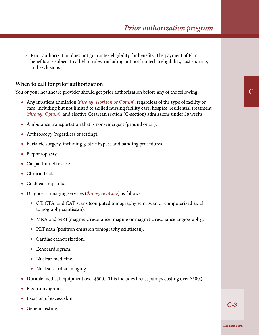**✓** Prior authorization does not guarantee eligibility for benefits. The payment of Plan benefits are subject to all Plan rules, including but not limited to eligibility, cost sharing, and exclusions.

#### **When to call for prior authorization**

You or your healthcare provider should get prior authorization before any of the following:

- Any inpatient admission (*through Horizon or Optum*), regardless of the type of facility or care, including but not limited to skilled nursing facility care, hospice, residential treatment (*through Optum*), and elective Cesarean section (C-section) admissions under 38 weeks.
- Ambulance transportation that is non-emergent (ground or air).
- Arthroscopy (regardless of setting).
- Bariatric surgery, including gastric bypass and banding procedures.
- Blepharoplasty.
- Carpal tunnel release.
- Clinical trials.
- Cochlear implants.
- Diagnostic imaging services (*through eviCore*) as follows:
	- ӹ CT, CTA, and CAT scans (computed tomography scintiscan or computerized axial tomography scintiscan).
	- ӹ MRA and MRI (magnetic resonance imaging or magnetic resonance angiography).
	- **ET** scan (positron emission tomography scintiscan).
	- $\blacktriangleright$  Cardiac catheterization.
	- > Echocardiogram.
	- $\blacktriangleright$  Nuclear medicine.
	- $\blacktriangleright$  Nuclear cardiac imaging.
- Durable medical equipment over \$500. (This includes breast pumps costing over \$500.)
- Electromyogram.
- Excision of excess skin.
- Genetic testing.

**C-3**

**C**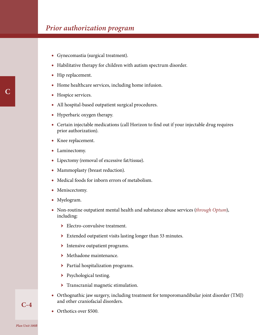- Gynecomastia (surgical treatment).
- Habilitative therapy for children with autism spectrum disorder.
- Hip replacement.
- Home healthcare services, including home infusion.
- Hospice services.
- All hospital-based outpatient surgical procedures.
- Hyperbaric oxygen therapy.
- Certain injectable medications (call Horizon to find out if your injectable drug requires prior authorization).
- Knee replacement.
- Laminectomy.
- Lipectomy (removal of excessive fat/tissue).
- Mammoplasty (breast reduction).
- Medical foods for inborn errors of metabolism.
- Meniscectomy.
- Myelogram.
- Non-routine outpatient mental health and substance abuse services (*through Optum*), including:
	- $\blacktriangleright$  Electro-convulsive treatment.
	- $\triangleright$  Extended outpatient visits lasting longer than 53 minutes.
	- Intensive outpatient programs.
	- $\blacktriangleright$  Methadone maintenance.
	- > Partial hospitalization programs.
	- $\triangleright$  Psychological testing.
	- $\blacktriangleright$  Transcranial magnetic stimulation.
- Orthognathic jaw surgery, including treatment for temporomandibular joint disorder (TMJ) and other craniofacial disorders.
- Orthotics over \$500.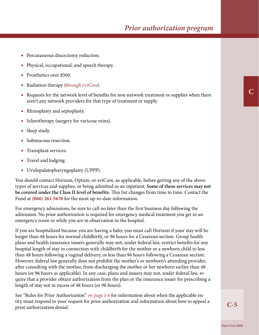- Percutaneous discectomy reduction.
- Physical, occupational, and speech therapy.
- Prosthetics over \$500.
- Radiation therapy (*through eviCore*).
- Requests for the network level of benefits for non-network treatment or supplies when there aren't any network providers for that type of treatment or supply.
- Rhinoplasty and septoplasty.
- Sclerotherapy (surgery for varicose veins).
- Sleep study.
- Submucous resection.
- Transplant services.
- Travel and lodging.
- Uvulopalatopharyngoplasty (UPPP).

You should contact Horizon, Optum, or eviCore, as applicable, before getting any of the above types of services and supplies, or being admitted as an inpatient. **Some of these services may not be covered under the Class II level of benefits***.* This list changes from time to time. Contact the Fund at **(866) 261-5676** for the most up-to-date information.

For emergency admissions, be sure to call no later than the first business day following the admission. No prior authorization is required for emergency medical treatment you get in an emergency room or while you are in observation in the hospital.

If you are hospitalized because you are having a baby, you must call Horizon if your stay will be longer than 48 hours for normal childbirth, or 96 hours for a Cesarean section. Group health plans and health insurance issuers generally may not, under federal law, restrict benefits for any hospital length of stay in connection with childbirth for the mother or a newborn child to less than 48 hours following a vaginal delivery, or less than 96 hours following a Cesarean section. However, federal law generally does not prohibit the mother's or newborn's attending provider, after consulting with the mother, from discharging the mother or her newborn earlier than 48 hours (or 96 hours as applicable). In any case, plans and issuers may not, under federal law, require that a provider obtain authorization from the plan or the insurance issuer for prescribing a length of stay not in excess of 48 hours (or 96 hours).

See "Rules for Prior Authorization" *[on page I-6](#page-125-0)* for information about when the applicable entity must respond to your request for prior authorization and information about how to appeal a prior authorization denial.

**C**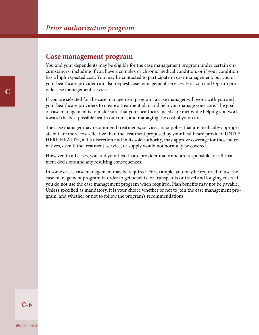#### **Case management program**

You and your dependents may be eligible for the case management program under certain circumstances, including if you have a complex or chronic medical condition, or if your condition has a high expected cost. You may be contacted to participate in case management, but you or your healthcare provider can also request case management services. Horizon and Optum provide case management services.

If you are selected for the case management program, a case manager will work with you and your healthcare providers to create a treatment plan and help you manage your care. The goal of case management is to make sure that your healthcare needs are met while helping you work toward the best possible health outcome, and managing the cost of your care.

The case manager may recommend treatments, services, or supplies that are medically appropriate but are more cost-effective than the treatment proposed by your healthcare provider. UNITE HERE HEALTH, at its discretion and in its sole authority, may approve coverage for those alternatives, even if the treatment, service, or supply would not normally be covered.

However, in all cases, you and your healthcare provider make and are responsible for all treatment decisions and any resulting consequences.

In some cases, case management may be required. For example, you may be required to use the case management program in order to get benefits for transplants or travel and lodging costs. If you do not use the case management program when required, Plan benefits may not be payable. Unless specified as mandatory, it is your choice whether or not to join the case management program, and whether or not to follow the program's recommendations.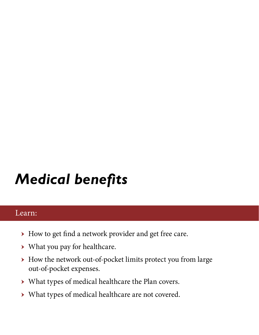# <span id="page-30-0"></span>*Medical benefits*

## Learn:

- How to get find a network provider and get free care.
- ӹ What you pay for healthcare.
- $\rightarrow$  How the network out-of-pocket limits protect you from large out-of-pocket expenses.
- ӹ What types of medical healthcare the Plan covers.
- ӹ What types of medical healthcare are not covered.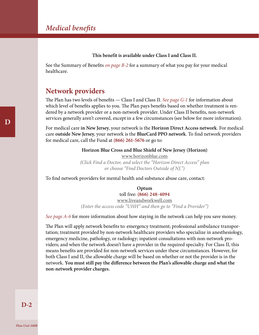#### **This benefit is available under Class I and Class II.**

See the Summary of Benefits *[on page B-2](#page-15-0)* for a summary of what you pay for your medical healthcare.

#### **Network providers**

The Plan has two levels of benefits — Class I and Class II. *[See page G-1](#page-88-1)* for information about which level of benefits applies to you. The Plan pays benefits based on whether treatment is rendered by a network provider or a non-network provider. Under Class II benefits, non-network services generally aren't covered, except in a few circumstances (see below for more information).

For medical care **in New Jersey**, your network is the **Horizon Direct Access network**. For medical care **outside New Jersey**, your network is the **BlueCard PPO network**. To find network providers for medical care, call the Fund at **(866) 261-5676** or go to:

> **Horizon Blue Cross and Blue Shield of New Jersey (Horizon)** [www.horizonblue.com](http://www.horizonblue.com) *(Click Find a Doctor, and select the "Horizon Direct Access" plan or choose "Find Doctors Outside of NJ.")*

To find network providers for mental health and substance abuse care, contact:

**Optum** toll free: **(866) 248-4094** [www.liveandworkwell.com](http://www.liveandworkwell.com) *(Enter the access code "UHH" and then go to "Find a Provider")*

*[See page A-6](#page-9-0)* for more information about how staying in the network can help you save money.

The Plan will apply network benefits to: emergency treatment; professional ambulance transportation; treatment provided by non-network healthcare providers who specialize in anesthesiology, emergency medicine, pathology, or radiology; inpatient consultations with non-network providers; and when the network doesn't have a provider in the required specialty. For Class II, this means benefits are provided for non-network services under these circumstances. However, for both Class I and II, the allowable charge will be based on whether or not the provider is in the network. **You must still pay the difference between the Plan's allowable charge and what the non-network provider charges.**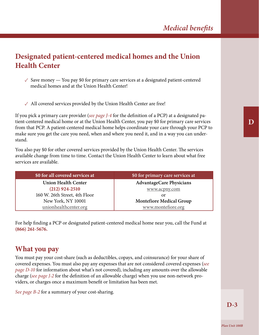## <span id="page-32-0"></span>**Designated patient-centered medical homes and the Union Health Center**

- **✓** Save money You pay \$0 for primary care services at a designated patient-centered medical homes and at the Union Health Center!
- **✓** All covered services provided by the Union Health Center are free!

If you pick a primary care provider (*[see page J-4](#page-137-1)* for the definition of a PCP) at a designated patient-centered medical home or at the Union Health Center, you pay \$0 for primary care services from that PCP. A patient-centered medical home helps coordinate your care through your PCP to make sure you get the care you need, when and where you need it, and in a way you can understand.

You also pay \$0 for other covered services provided by the Union Health Center. The services available change from time to time. Contact the Union Health Center to learn about what free services are available.

| \$0 for all covered services at | \$0 for primary care services at |
|---------------------------------|----------------------------------|
| <b>Union Health Center</b>      | <b>AdvantageCare Physicians</b>  |
| $(212)$ 924-2510                | www.acpny.com                    |
| 160 W. 26th Street, 4th Floor   | or                               |
| New York, NY 10001              | <b>Montefiore Medical Group</b>  |
| unionhealthcenter.org           | www.montefiore.org               |

For help finding a PCP or designated patient-centered medical home near you, call the Fund at **(866) 261-5676.**

#### **What you pay**

You must pay your cost-share (such as deductibles, copays, and coinsurance) for your share of covered expenses. You must also pay any expenses that are not considered covered expenses (*[see](#page-39-0)  [page D-10](#page-39-0)* for information about what's not covered), including any amounts over the allowable charge (*[see page J-2](#page-135-0)* for the definition of an allowable charge) when you use non-network providers, or charges once a maximum benefit or limitation has been met.

*[See page B-2](#page-15-0)* for a summary of your cost-sharing.

**D**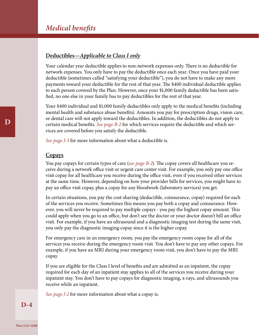#### **Deductibles—***Applicable to Class I only*

Your calendar year deductible applies to non-network expenses only. There is no deductible for network expenses. You only have to pay the deductible once each year. Once you have paid your deductible (sometimes called "satisfying your deductible"), you do not have to make any more payments toward your deductible for the rest of that year. The \$400 individual deductible applies to each person covered by the Plan. However, once your \$1,000 family deductible has been satisfied, no one else in your family has to pay deductibles for the rest of that year.

Your \$400 individual and \$1,000 family deductibles only apply to the medical benefits (including mental health and substance abuse benefits). Amounts you pay for prescription drugs, vision care, or dental care will not apply toward the deductibles. In addition, the deductibles do not apply to certain medical benefits. *[See page B-2](#page-15-0)* for which services require the deductible and which services are covered before you satisfy the deductible.

*[See page J-3](#page-136-0)* for more information about what a deductible is.

#### **Copays**

You pay copays for certain types of care (*[see page B-2](#page-15-0)*). The copay covers all healthcare you receive during a network office visit or urgent care center visit. For example, you only pay one office visit copay for all healthcare you receive during the office visit, even if you received other services at the same time. However, depending on how your provider bills for services, you might have to pay an office visit copay, plus a copay for any bloodwork (laboratory services) you get.

In certain situations, you pay the cost-sharing (deductible, coinsurance, copay) required for each of the services you receive. Sometimes this means you pay both a copay and coinsurance. However, you will never be required to pay multiple copays - you pay the highest copay amount. This could apply when you go to an office, but don't see the doctor or your doctor doesn't bill an office visit. For example, if you have an ultrasound and a diagnostic imaging test during the same visit, you only pay the diagnostic imaging copay since it is the higher copay.

For emergency care in an emergency room, you pay the emergency room copay for all of the services you receive during the emergency room visit. You don't have to pay any other copays. For example, if you have an MRI during your emergency room visit, you don't have to pay the MRI copay.

If you are eligible for the Class I level of benefits and are admitted as an inpatient, the copay required for each day of an inpatient stay applies to all of the services you receive during your inpatient stay. You don't have to pay copays for diagnostic imaging, x-rays, and ultrasounds you receive while an inpatient.

*[See page J-2](#page-135-1)* for more information about what a copay is.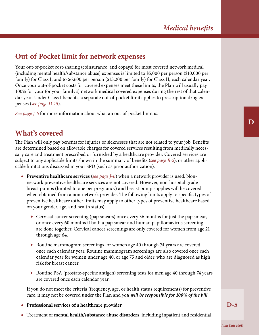#### **Out-of-Pocket limit for network expenses**

Your out-of-pocket cost-sharing (coinsurance, and copays) for most covered network medical (including mental health/substance abuse) expenses is limited to \$5,000 per person (\$10,000 per family) for Class I, and to \$6,600 per person (\$13,200 per family) for Class II, each calendar year. Once your out-of-pocket costs for covered expenses meet these limits, the Plan will usually pay 100% for your (or your family's) network medical covered expenses during the rest of that calendar year. Under Class I benefits, a separate out-of-pocket limit applies to prescription drug expenses (*[see page D-15](#page-44-0)*).

*[See page J-6](#page-139-1)* for more information about what an out-of-pocket limit is.

#### **What's covered**

The Plan will only pay benefits for injuries or sicknesses that are not related to your job. Benefits are determined based on allowable charges for covered services resulting from medically necessary care and treatment prescribed or furnished by a healthcare provider. Covered services are subject to any applicable limits shown in the summary of benefits (*[see page B-2](#page-15-0)*), or other applicable limitations discussed in your SPD (such as prior authorization).

- <span id="page-34-0"></span>**• Preventive healthcare services** (*[see page J-6](#page-139-0)*) when a network provider is used. Nonnetwork preventive healthcare services are not covered. However, non-hospital grade breast pumps (limited to one per pregnancy) and breast pump supplies will be covered when obtained from a non-network provider. The following limits apply to specific types of preventive healthcare (other limits may apply to other types of preventive healthcare based on your gender, age, and health status):
	- $\triangleright$  Cervical cancer screening (pap smears) once every 36 months for just the pap smear, or once every 60 months if both a pap smear and human papillomavirus screening are done together. Cervical cancer screenings are only covered for women from age 21 through age 64.
	- $\triangleright$  Routine mammogram screenings for women age 40 through 74 years are covered once each calendar year. Routine mammogram screenings are also covered once each calendar year for women under age 40, or age 75 and older, who are diagnosed as high risk for breast cancer.
	- ▶ Routine PSA (prostate-specific antigen) screening tests for men age 40 through 74 years are covered once each calendar year.

If you do not meet the criteria (frequency, age, or health status requirements) for preventive care, it may not be covered under the Plan and *you will be responsible for 100% of the bill*.

- **• Professional services of a healthcare provider**.
- Treatment of **mental health/substance abuse disorders**, including inpatient and residential

**D**

**D-5**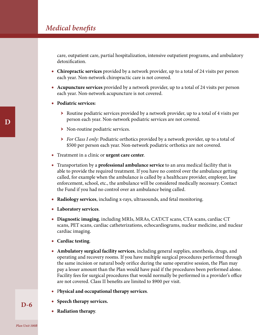care, outpatient care, partial hospitalization, intensive outpatient programs, and ambulatory detoxification.

- **• Chiropractic services** provided by a network provider, up to a total of 24 visits per person each year. Non-network chiropractic care is not covered.
- **• Acupuncture services** provided by a network provider, up to a total of 24 visits per person each year. Non-network acupuncture is not covered.
- **• Podiatric services:**
	- ▶ Routine podiatric services provided by a network provider, up to a total of 4 visits per person each year. Non-network podiatric services are not covered.
	- ▶ Non-routine podiatric services.
	- **For Class I only: Podiatric orthotics provided by a network provider, up to a total of** \$500 per person each year. Non-network podiatric orthotics are not covered.
- Treatment in a clinic or **urgent care center**.
- Transportation by a **professional ambulance service** to an area medical facility that is able to provide the required treatment. If you have no control over the ambulance getting called, for example when the ambulance is called by a healthcare provider, employer, law enforcement, school, etc., the ambulance will be considered medically necessary. Contact the Fund if you had no control over an ambulance being called.
- **• Radiology services**, including x-rays, ultrasounds, and fetal monitoring.
- **• Laboratory services**.
- **• Diagnostic imaging**, including MRIs, MRAs, CAT/CT scans, CTA scans, cardiac CT scans, PET scans, cardiac catheterizations, echocardiograms, nuclear medicine, and nuclear cardiac imaging.
- **• Cardiac testing**.
- **• Ambulatory surgical facility services**, including general supplies, anesthesia, drugs, and operating and recovery rooms. If you have multiple surgical procedures performed through the same incision or natural body orifice during the same operative session, the Plan may pay a lesser amount than the Plan would have paid if the procedures been performed alone. Facility fees for surgical procedures that would normally be performed in a provider's office are not covered. Class II benefits are limited to \$900 per visit.
- P**hysical and occupational therapy services**.
- **• Speech therapy services.**
- **• Radiation therapy**.

**D-6**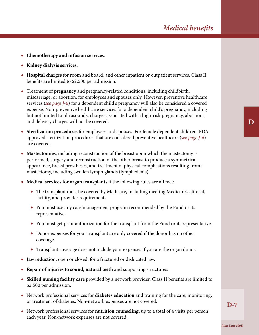- **• Chemotherapy and infusion services**.
- **• Kidney dialysis services**.
- **• Hospital charges** for room and board, and other inpatient or outpatient services. Class II benefits are limited to \$2,500 per admission.
- Treatment of **pregnancy** and pregnancy-related conditions, including childbirth, miscarriage, or abortion, for employees and spouses only. However, preventive healthcare services (*[see page J-6](#page-139-0)*) for a dependent child's pregnancy will also be considered a covered expense. Non-preventive healthcare services for a dependent child's pregnancy, including but not limited to ultrasounds, charges associated with a high-risk pregnancy, abortions, and delivery charges will not be covered.
- **• Sterilization procedures** for employees and spouses. For female dependent children, FDAapproved sterilization procedures that are considered preventive healthcare (*[see page J-6](#page-139-0)*) are covered.
- **• Mastectomies**, including reconstruction of the breast upon which the mastectomy is performed, surgery and reconstruction of the other breast to produce a symmetrical appearance, breast prostheses, and treatment of physical complications resulting from a mastectomy, including swollen lymph glands (lymphedema).
- **• Medical services for organ transplants** if the following rules are all met:
	- ▶ The transplant must be covered by Medicare, including meeting Medicare's clinical, facility, and provider requirements.
	- ▶ You must use any case management program recommended by the Fund or its representative.
	- ▶ You must get prior authorization for the transplant from the Fund or its representative.
	- ▶ Donor expenses for your transplant are only covered if the donor has no other coverage.
	- Transplant coverage does not include your expenses if you are the organ donor.
- **• Jaw reduction**, open or closed, for a fractured or dislocated jaw.
- **• Repair of injuries to sound, natural teeth** and supporting structures.
- **• Skilled nursing facility care** provided by a network provider. Class II benefits are limited to \$2,500 per admission.
- Network professional services for **diabetes education** and training for the care, monitoring, or treatment of diabetes. Non-network expenses are not covered.
- Network professional services for **nutrition counseling**, up to a total of 4 visits per person each year. Non-network expenses are not covered.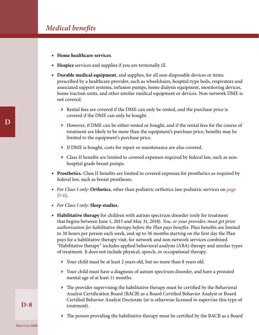- **• Home healthcare services**.
- **• Hospice** services and supplies if you are terminally ill.
- **• Durable medical equipment**, and supplies, for all non-disposable devices or items prescribed by a healthcare provider, such as wheelchairs, hospital-type beds, respirators and associated support systems, infusion pumps, home dialysis equipment, monitoring devices, home traction units, and other similar medical equipment or devices. Non-network DME is not covered.
	- $\triangleright$  Rental fees are covered if the DME can only be rented, and the purchase price is covered if the DME can only be bought.
	- However, if DME can be either rented or bought, and if the rental fees for the course of treatment are likely to be more than the equipment's purchase price, benefits may be limited to the equipment's purchase price.
	- If DME is bought, costs for repair or maintenance are also covered.
	- **EXECUTE:** Class II benefits are limited to covered expenses required by federal law, such as nonhospital grade breast pumps.
- **• Prosthetics.** Class II benefits are limited to covered expenses for prosthetics as required by federal law, such as breast prostheses.
- <span id="page-37-0"></span>*• For Class I only:* **Orthotics**, other than podiatric orthotics (see podiatric services on *[page](#page-35-0)  [D-6](#page-35-0)*)**.**
- *• For Class I only:* **Sleep studies.**
- **• Habilitative therapy** for children with autism spectrum disorder (only for treatment that begins between June 1, 2015 and May 31, 2018). *You, or your provider, must get prior authorization for habilitative therapy before the Plan pays benefits.* Plan benefits are limited to 30 hours per person each week, and up to 36 months starting on the first day the Plan pays for a habilitative therapy visit, for network and non-network services combined. "Habilitative therapy" includes applied behavioral analysis (ABA) therapy and similar types of treatment. It does not include physical, speech, or occupational therapy.
	- ▶ Your child must be at least 2 years old, but no more than 8 years old.
	- ▶ Your child must have a diagnosis of autism spectrum disorder, and have a prorated mental age of at least 11 months.
	- ▶ The provider supervising the habilitative therapy must be certified by the Behavioral Analyst Certification Board (BACB) as a Board Certified Behavior Analyst or Board Certified Behavior Analyst Doctorate (or is otherwise licensed to supervise this type of treatment).
	- $\triangleright$  The person providing the habilitative therapy must be certified by the BACB as a Board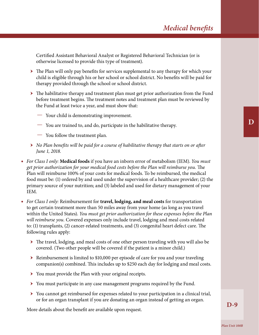Certified Assistant Behavioral Analyst or Registered Behavioral Technician (or is otherwise licensed to provide this type of treatment).

- $\triangleright$  The Plan will only pay benefits for services supplemental to any therapy for which your child is eligible through his or her school or school district. No benefits will be paid for therapy provided through the school or school district.
- $\triangleright$  The habilitative therapy and treatment plan must get prior authorization from the Fund before treatment begins. The treatment notes and treatment plan must be reviewed by the Fund at least twice a year, and must show that:
	- $\equiv$  Your child is demonstrating improvement.
	- $\sim$  You are trained to, and do, participate in the habilitative therapy.
	- $-$  You follow the treatment plan.
- ӹ *No Plan benefits will be paid for a course of habilitative therapy that starts on or after June 1, 2018.*
- *• For Class I only:* **Medical foods** if you have an inborn error of metabolism (IEM). *You must get prior authorization for your medical food costs before the Plan will reimburse you.* The Plan will reimburse 100% of your costs for medical foods. To be reimbursed, the medical food must be: (1) ordered by and used under the supervision of a healthcare provider; (2) the primary source of your nutrition; and (3) labeled and used for dietary management of your IEM.
- *For Class I only:* Reimbursement for **travel, lodging, and meal costs** for transportation to get certain treatment more than 50 miles away from your home (as long as you travel within the United States). *You must get prior authorization for these expenses before the Plan will reimburse you.* Covered expenses only include travel, lodging and meal costs related to: (1) transplants, (2) cancer-related treatments, and (3) congenital heart defect care. The following rules apply:
	- ▶ The travel, lodging, and meal costs of one other person traveling with you will also be covered. (Two other people will be covered if the patient is a minor child.)
	- ▶ Reimbursement is limited to \$10,000 per episode of care for you and your traveling companion(s) combined. This includes up to \$250 each day for lodging and meal costs.
	- ▶ You must provide the Plan with your original receipts.
	- ӹ You must participate in any case management programs required by the Fund.
	- ▶ You cannot get reimbursed for expenses related to your participation in a clinical trial, or for an organ transplant if you are donating an organ instead of getting an organ.

More details about the benefit are available upon request.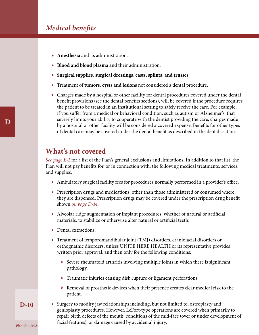- **• Anesthesia** and its administration.
- **• Blood and blood plasma** and their administration.
- **• Surgical supplies, surgical dressings, casts, splints, and trusses**.
- Treatment of **tumors, cysts and lesions** not considered a dental procedure.
- <span id="page-39-0"></span>• Charges made by a hospital or other facility for dental procedures covered under the dental benefit provisions (see the dental benefits sections), will be covered if the procedure requires the patient to be treated in an institutional setting to safely receive the care. For example, if you suffer from a medical or behavioral condition, such as autism or Alzheimer's, that severely limits your ability to cooperate with the dentist providing the care, charges made by a hospital or other facility will be considered a covered expense. Benefits for other types of dental care may be covered under the dental benefit as described in the dental section.

#### **What's not covered**

*[See page E-2](#page-75-0)* for a list of the Plan's general exclusions and limitations. In addition to that list, the Plan will not pay benefits for, or in connection with, the following medical treatments, services, and supplies:

- Ambulatory surgical facility fees for procedures normally performed in a provider's office.
- Prescription drugs and medications, other than those administered or consumed where they are dispensed. Prescription drugs may be covered under the prescription drug benefit shown *[on page D-14](#page-43-0)*.
- Alveolar ridge augmentation or implant procedures, whether of natural or artificial materials, to stabilize or otherwise alter natural or artificial teeth.
- Dental extractions.
- Treatment of temporomandibular joint (TMJ) disorders, craniofacial disorders or orthognathic disorders, unless UNITE HERE HEALTH or its representative provides written prior approval, and then only for the following conditions:
	- $\triangleright$  Severe rheumatoid arthritis involving multiple joints in which there is significant pathology.
	- ▶ Traumatic injuries causing disk rupture or ligament perforations.
	- ▶ Removal of prosthetic devices when their presence creates clear medical risk to the patient.
- Surgery to modify jaw relationships including, but not limited to, osteoplasty and genioplasty procedures. However, LeFort-type operations are covered when primarily to repair birth defects of the mouth, conditions of the mid-face (over or under development of facial features), or damage caused by accidental injury.

#### *Plan Unit 100B*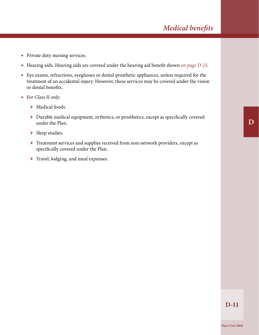- Private duty nursing services.
- Hearing aids. Hearing aids are covered under the hearing aid benefit shown *[on page D-23](#page-52-0)*.
- Eye exams, refractions, eyeglasses or dental prosthetic appliances, unless required for the treatment of an accidental injury. However, these services may be covered under the vision or dental benefits.
- *• For Class II only:*
	- Medical foods.
	- ӹ Durable medical equipment, orthotics, or prosthetics, except as specifically covered under the Plan.
	- $\blacktriangleright$  Sleep studies.
	- Treatment services and supplies received from non-network providers, except as specifically covered under the Plan.
	- Travel, lodging, and meal expenses.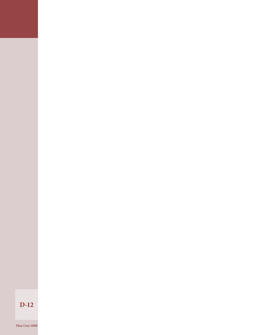## **D-12**

*Plan Unit 100B*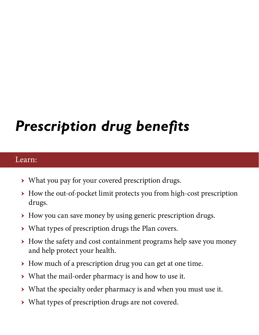# <span id="page-42-0"></span>*Prescription drug benefits*

## Learn:

- ӹ What you pay for your covered prescription drugs.
- ▶ How the out-of-pocket limit protects you from high-cost prescription drugs.
- ▶ How you can save money by using generic prescription drugs.
- ӹ What types of prescription drugs the Plan covers.
- $\rightarrow$  How the safety and cost containment programs help save you money and help protect your health.
- ▶ How much of a prescription drug you can get at one time.
- $\triangleright$  What the mail-order pharmacy is and how to use it.
- ӹ What the specialty order pharmacy is and when you must use it.
- ӹ What types of prescription drugs are not covered.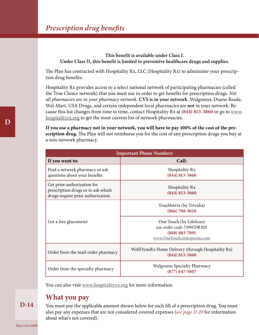**This benefit is available under Class I. Under Class II, this benefit is limited to preventive healthcare drugs and supplies.**

<span id="page-43-0"></span>The Plan has contracted with Hospitality Rx, LLC (Hospitality Rx) to administer your prescription drug benefits.

Hospitality Rx provides access to a select national network of participating pharmacies (called the True Choice network) that you must use in order to get benefits for prescription drugs. *Not all pharmacies are in your pharmacy network.* **CVS is in your network**. Walgreens, Duane Reade, Wal-Mart, USA Drugs, and certain independent local pharmacies are **not** in your network. Because this list changes from time to time, contact Hospitality Rx at **(844) 813-3860** or go to [www.](http://www.hospitalityrx.org) [hospitalityrx.org](http://www.hospitalityrx.org) to get the most current list of network pharmacies.

**If you use a pharmacy not in your network, you will have to pay 100% of the cost of the prescription drug.** The Plan will not reimburse you for the cost of any prescription drugs you buy at a non-network pharmacy.

| <b>Important Phone Numbers</b>                                                                         |                                                                                                       |  |  |
|--------------------------------------------------------------------------------------------------------|-------------------------------------------------------------------------------------------------------|--|--|
| If you want to:                                                                                        | Call:                                                                                                 |  |  |
| Find a network pharmacy or ask<br>questions about your benefits                                        | Hospitality Rx<br>(844) 813-3860                                                                      |  |  |
| Get prior authorization for<br>prescription drugs or to ask which<br>drugs require prior authorization | <b>Hospitality Rx</b><br>(844) 813-3860                                                               |  |  |
| Get a free glucometer                                                                                  | TrueMetrix (by Trividia)<br>$(866) 788 - 9618$                                                        |  |  |
|                                                                                                        | One Touch (by LifeScan)<br>use order code 739WDRX01<br>(888) 883-7091<br>www.OneTouch.orderpoints.com |  |  |
| Order from the mail-order pharmacy                                                                     | WellDyneRx Home Delivery (through Hospitality Rx)<br>$(844)$ 813-3860                                 |  |  |
| Order from the specialty pharmacy                                                                      | <b>Walgreens Specialty Pharmacy</b><br>$(877)$ 647-5807                                               |  |  |

You can also visit [www.hospitalityrx.org](http://www.hospitalityrx.org) for more information.

## **What you pay**

**D-14**

You must pay the applicable amount shown below for each fill of a prescription drug. You must also pay any expenses that are not considered covered expenses (*[see page D-20](#page-49-0)* for information about what's not covered).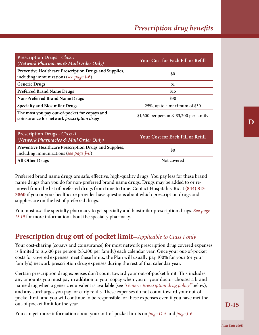| Prescription Drugs - Class I<br>(Network Pharmacies & Mail Order Only)                              | <b>Your Cost for Each Fill or Refill</b> |  |
|-----------------------------------------------------------------------------------------------------|------------------------------------------|--|
| Preventive Healthcare Prescription Drugs and Supplies,<br>including immunizations (see page $J-6$ ) | \$0                                      |  |
| <b>Generic Drugs</b>                                                                                | \$1                                      |  |
| <b>Preferred Brand Name Drugs</b>                                                                   | \$15                                     |  |
| Non-Preferred Brand Name Drugs                                                                      | \$30                                     |  |
| <b>Specialty and Biosimilar Drugs</b>                                                               | 25%, up to a maximum of \$30             |  |
| The most you pay out-of-pocket for copays and<br>coinsurance for network prescription drugs         | \$1,600 per person & \$3,200 per family  |  |

| <b>Prescription Drugs - Class II</b><br>(Network Pharmacies & Mail Order Only) | Your Cost for Each Fill or Refill |  |
|--------------------------------------------------------------------------------|-----------------------------------|--|
| Preventive Healthcare Prescription Drugs and Supplies,                         | \$0                               |  |
| including immunizations (see page $J$ -6)                                      |                                   |  |
| All Other Drugs                                                                | Not covered                       |  |

Preferred brand name drugs are safe, effective, high-quality drugs. You pay less for these brand name drugs than you do for non-preferred brand name drugs. Drugs may be added to or removed from the list of preferred drugs from time to time. Contact Hospitality Rx at **(844) 813- 3860** if you or your healthcare provider have questions about which prescription drugs and supplies are on the list of preferred drugs.

You must use the specialty pharmacy to get specialty and biosimilar prescription drugs. *[See page](#page-48-0)  [D-19](#page-48-0)* for more information about the specialty pharmacy.

## **Prescription drug out-of-pocket limit***—Applicable to Class I only*

Your cost-sharing (copays and coinsurance) for most network prescription drug covered expenses is limited to \$1,600 per person (\$3,200 per family) each calendar year. Once your out-of-pocket costs for covered expenses meet these limits, the Plan will usually pay 100% for your (or your family's) network prescription drug expenses during the rest of that calendar year.

Certain prescription drug expenses don't count toward your out-of-pocket limit. This includes any amounts you must pay in addition to your copay when you or your doctor chooses a brand name drug when a generic equivalent is available (see *"Generic prescription drug policy"* below), and any surcharges you pay for early refills. These expenses do not count toward your out-ofpocket limit and you will continue to be responsible for these expenses even if you have met the out-of-pocket limit for the year.

You can get more information about your out-of-pocket limits on *[page D-5](#page-34-0)* and *[page J-6](#page-139-1)*.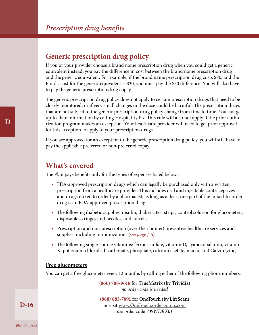## **Generic prescription drug policy**

If you or your provider choose a brand name prescription drug when you could get a generic equivalent instead, you pay the difference in cost between the brand name prescription drug and the generic equivalent. For example, if the brand name prescription drug costs \$80, and the Fund's cost for the generic equivalent is \$30, you must pay the \$50 difference. You will also have to pay the generic prescription drug copay.

The generic prescription drug policy does not apply to certain prescription drugs that need to be closely monitored, or if very small changes in the dose could be harmful. The prescription drugs that are not subject to the generic prescription drug policy change from time to time. You can get up-to-date information by calling Hospitality Rx. This rule will also not apply if the prior authorization program makes an exception. Your healthcare provider will need to get prior approval for this exception to apply to your prescription drugs.

If you are approved for an exception to the generic prescription drug policy, you will still have to pay the applicable preferred or non-preferred copay.

#### **What's covered**

The Plan pays benefits only for the types of expenses listed below:

- FDA-approved prescription drugs which can legally be purchased only with a written prescription from a healthcare provider. This includes oral and injectable contraceptives and drugs mixed to order by a pharmacist, as long as at least one part of the mixed-to-order drug is an FDA-approved prescription drug.
- The following diabetic supplies: insulin, diabetic test strips, control solution for glucometers, disposable syringes and needles, and lancets.
- Prescription and non-prescription (over-the-counter) preventive healthcare services and supplies, including immunizations (*[see page J-6](#page-139-0)*).
- The following single-source vitamins: ferrous sulfate, vitamin D, cyanocobalamin, vitamin K, potassium chloride, bicarbonate, phosphate, calcium acetate, niacin, and Galzin (zinc).

#### **Free glucometers**

You can get a free glucometer every 12 months by calling either of the following phone numbers:

**(866) 788-9618** for **TrueMetrix (by Trividia**) *no order code is needed*

**(888) 883-7091** for **OneTouch (by LifeScan)** or visit [www.OneTouch.orderpoints.com](http://www.OneTouch.orderpoints.com) *use order code 739WDRX01*

**D**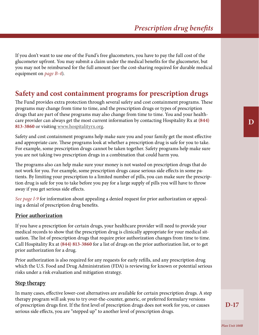If you don't want to use one of the Fund's free glucometers, you have to pay the full cost of the glucometer upfront. You may submit a claim under the medical benefits for the glucometer, but you may not be reimbursed for the full amount (see the cost-sharing required for durable medical equipment on *[page B-4](#page-17-0)*).

#### **Safety and cost containment programs for prescription drugs**

The Fund provides extra protection through several safety and cost containment programs. These programs may change from time to time, and the prescription drugs or types of prescription drugs that are part of these programs may also change from time to time. You and your healthcare provider can always get the most current information by contacting Hospitality Rx at **(844) 813-3860** or visiting [www.hospitalityrx.org.](http://www.hospitalityrx.org)

Safety and cost containment programs help make sure you and your family get the most effective and appropriate care. These programs look at whether a prescription drug is safe for you to take. For example, some prescription drugs cannot be taken together. Safety programs help make sure you are not taking two prescription drugs in a combination that could harm you.

The programs also can help make sure your money is not wasted on prescription drugs that do not work for you. For example, some prescription drugs cause serious side effects in some patients. By limiting your prescription to a limited number of pills, you can make sure the prescription drug is safe for you to take before you pay for a large supply of pills you will have to throw away if you get serious side effects.

*[See page I-9](#page-128-0)* for information about appealing a denied request for prior authorization or appealing a denial of prescription drug benefits.

#### **Prior authorization**

If you have a prescription for certain drugs, your healthcare provider will need to provide your medical records to show that the prescription drug is clinically appropriate for your medical situation. The list of prescription drugs that require prior authorization changes from time to time. Call Hospitality Rx at **(844) 813-3860** for a list of drugs on the prior authorization list, or to get prior authorization for a drug.

Prior authorization is also required for any requests for early refills, and any prescription drug which the U.S. Food and Drug Administration (FDA) is reviewing for known or potential serious risks under a risk evaluation and mitigation strategy.

#### **Step therapy**

In many cases, effective lower-cost alternatives are available for certain prescription drugs. A step therapy program will ask you to try over-the-counter, generic, or preferred formulary versions of prescription drugs first. If the first level of prescription drugs does not work for you, or causes serious side effects, you are "stepped up" to another level of prescription drugs.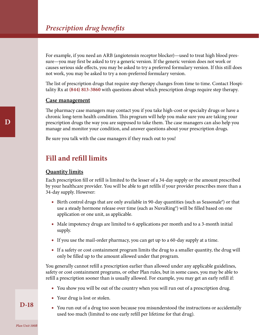For example, if you need an ARB (angiotensin receptor blocker)—used to treat high blood pressure—you may first be asked to try a generic version. If the generic version does not work or causes serious side effects, you may be asked to try a preferred formulary version. If this still does not work, you may be asked to try a non-preferred formulary version.

The list of prescription drugs that require step therapy changes from time to time. Contact Hospitality Rx at **(844) 813-3860** with questions about which prescription drugs require step therapy.

#### **Case management**

The pharmacy case managers may contact you if you take high-cost or specialty drugs or have a chronic long-term health condition. This program will help you make sure you are taking your prescription drugs the way you are supposed to take them. The case managers can also help you manage and monitor your condition, and answer questions about your prescription drugs.

Be sure you talk with the case managers if they reach out to you!

## **Fill and refill limits**

#### <span id="page-47-0"></span>**Quantity limits**

Each prescription fill or refill is limited to the lesser of a 34-day supply or the amount prescribed by your healthcare provider. You will be able to get refills if your provider prescribes more than a 34-day supply. However:

- Birth control drugs that are only available in 90-day quantities (such as Seasonale®) or that use a steady hormone release over time (such as NuvaRing®) will be filled based on one application or one unit, as applicable.
- Male impotency drugs are limited to 6 applications per month and to a 3-month initial supply.
- If you use the mail-order pharmacy, you can get up to a 60-day supply at a time.
- If a safety or cost containment program limits the drug to a smaller quantity, the drug will only be filled up to the amount allowed under that program.

You generally cannot refill a prescription earlier than allowed under any applicable guidelines, safety or cost containment programs, or other Plan rules, but in some cases, you may be able to refill a prescription sooner than is usually allowed. For example, you may get an early refill if:

- You show you will be out of the country when you will run out of a prescription drug.
- Your drug is lost or stolen.
- You run out of a drug too soon because you misunderstood the instructions or accidentally used too much (limited to one early refill per lifetime for that drug).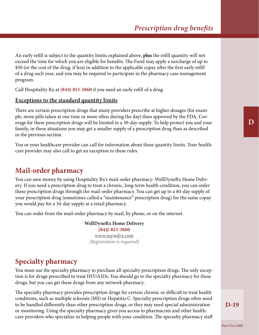An early refill is subject to the quantity limits explained above, **plus** the refill quantity will not exceed the time for which you are eligible for benefits. The Fund may apply a surcharge of up to \$50 (or the cost of the drug, if less) in addition to the applicable copay after the first early refill of a drug each year, and you may be required to participate in the pharmacy case management program.

Call Hospitality Rx at **(844) 813-3860** if you need an early refill of a drug.

#### **Exceptions to the standard quantity limits**

There are certain prescription drugs that many providers prescribe at higher dosages (for example, more pills taken at one time or more often during the day) than approved by the FDA. Coverage for these prescription drugs will be limited to a 30-day supply. To help protect you and your family, in these situations you may get a smaller supply of a prescription drug than as described in the previous section.

You or your healthcare provider can call for information about these quantity limits. Your healthcare provider may also call to get an exception to these rules.

#### **Mail-order pharmacy**

You can save money by using Hospitality Rx's mail-order pharmacy: WellDyneRx Home Delivery. If you need a prescription drug to treat a chronic, long-term health condition, you can order these prescription drugs through the mail-order pharmacy. You can get up to a 60-day supply of your prescription drug (sometimes called a "maintenance" prescription drug) for the same copay you would pay for a 34-day supply at a retail pharmacy.

You can order from the mail-order pharmacy by mail, by phone, or on the internet.

**WellDyneRx Home Delivery (844) 813-3860** [www.mywdrx.com](http://www.mywdrx.com) *(Registration is required)*

## <span id="page-48-0"></span>**Specialty pharmacy**

You must use the specialty pharmacy to purchase all specialty prescription drugs. The only exception is for drugs prescribed to treat HIV/AIDs. You should go to the specialty pharmacy for these drugs, but you can get these drugs from any network pharmacy.

The specialty pharmacy provides prescription drugs for certain chronic or difficult to treat health conditions, such as multiple sclerosis (MS) or Hepatitis C. Specialty prescription drugs often need to be handled differently than other prescription drugs, or they may need special administration or monitoring. Using the specialty pharmacy gives you access to pharmacists and other healthcare providers who specialize in helping people with your condition. The specialty pharmacy staff **D**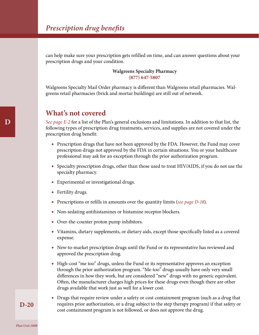can help make sure your prescription gets refilled on time, and can answer questions about your prescription drugs and your condition.

> **Walgreens Specialty Pharmacy (877) 647-5807**

Walgreens Specialty Mail Order pharmacy is different than Walgreens retail pharmacies. Walgreens retail pharmacies (brick and mortar buildings) are still out of network.

#### <span id="page-49-0"></span>**What's not covered**

*[See page E-2](#page-75-0)* for a list of the Plan's general exclusions and limitations. In addition to that list, the following types of prescription drug treatments, services, and supplies are not covered under the prescription drug benefit:

- Prescription drugs that have not been approved by the FDA. However, the Fund may cover prescription drugs not approved by the FDA in certain situations. You or your healthcare professional may ask for an exception through the prior authorization program.
- Specialty prescription drugs, other than those used to treat HIV/AIDS, if you do not use the specialty pharmacy.
- Experimental or investigational drugs.
- Fertility drugs.
- Prescriptions or refills in amounts over the quantity limits (*[see page D-18](#page-47-0)*).
- Non-sedating antihistamines or histamine receptor blockers.
- Over-the-counter proton pump inhibitors.
- Vitamins, dietary supplements, or dietary aids, except those specifically listed as a covered expense.
- New-to-market prescription drugs until the Fund or its representative has reviewed and approved the prescription drug.
- High-cost "me too" drugs, unless the Fund or its representative approves an exception through the prior authorization program. "Me-too" drugs usually have only very small differences in how they work, but are considered "new" drugs with no generic equivalent. Often, the manufacturer charges high prices for these drugs even though there are other drugs available that work just as well for a lower cost.
- Drugs that require review under a safety or cost containment program (such as a drug that requires prior authorization, or a drug subject to the step therapy program) if that safety or cost containment program is not followed, or does not approve the drug.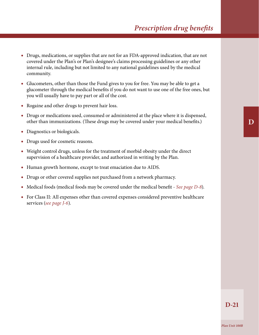- Drugs, medications, or supplies that are not for an FDA-approved indication, that are not covered under the Plan's or Plan's designee's claims processing guidelines or any other internal rule, including but not limited to any national guidelines used by the medical community.
- Glucometers, other than those the Fund gives to you for free. You may be able to get a glucometer through the medical benefits if you do not want to use one of the free ones, but you will usually have to pay part or all of the cost.
- Rogaine and other drugs to prevent hair loss.
- Drugs or medications used, consumed or administered at the place where it is dispensed, other than immunizations. (These drugs may be covered under your medical benefits.)
- Diagnostics or biologicals.
- Drugs used for cosmetic reasons.
- Weight control drugs, unless for the treatment of morbid obesity under the direct supervision of a healthcare provider, and authorized in writing by the Plan.
- Human growth hormone, except to treat emaciation due to AIDS.
- Drugs or other covered supplies not purchased from a network pharmacy.
- Medical foods (medical foods may be covered under the medical benefit *[See page D-8](#page-37-0)*).
- For Class II: All expenses other than covered expenses considered preventive healthcare services (*[see page J-6](#page-139-0)*).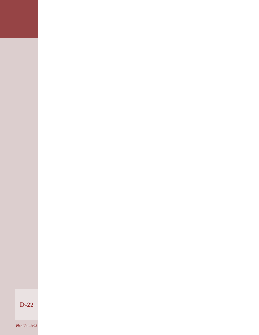### **D-22**

*Plan Unit 100B*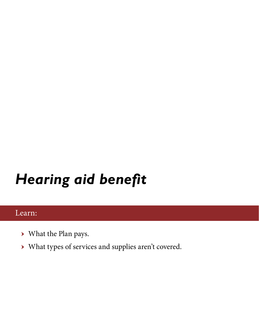## <span id="page-52-0"></span>*Hearing aid benefit*

## Learn:

- $\blacktriangleright$  What the Plan pays.
- $\blacktriangleright$  What types of services and supplies aren't covered.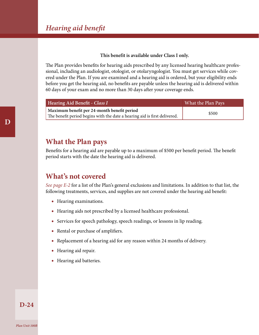#### **This benefit is available under Class I only.**

The Plan provides benefits for hearing aids prescribed by any licensed hearing healthcare professional, including an audiologist, otologist, or otolaryngologist. You must get services while covered under the Plan. If you are examined and a hearing aid is ordered, but your eligibility ends before you get the hearing aid, no benefits are payable unless the hearing aid is delivered within 60 days of your exam and no more than 30 days after your coverage ends.

| Hearing Aid Benefit - Class I                                                                                            | What the Plan Pays |  |
|--------------------------------------------------------------------------------------------------------------------------|--------------------|--|
| Maximum benefit per 24-month benefit period<br>The benefit period begins with the date a hearing aid is first delivered. | \$500              |  |

#### **What the Plan pays**

Benefits for a hearing aid are payable up to a maximum of \$500 per benefit period. The benefit period starts with the date the hearing aid is delivered.

#### **What's not covered**

*[See page E-2](#page-75-0)* for a list of the Plan's general exclusions and limitations. In addition to that list, the following treatments, services, and supplies are not covered under the hearing aid benefit:

- Hearing examinations.
- Hearing aids not prescribed by a licensed healthcare professional.
- Services for speech pathology, speech readings, or lessons in lip reading.
- Rental or purchase of amplifiers.
- Replacement of a hearing aid for any reason within 24 months of delivery.
- Hearing aid repair.
- Hearing aid batteries.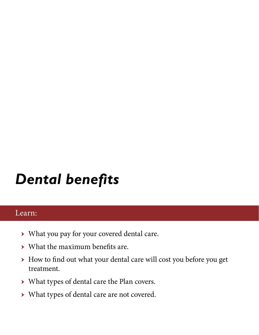## *Dental benefits*

## Learn:

- ӹ What you pay for your covered dental care.
- $\rightarrow$  What the maximum benefits are.
- ӹ How to find out what your dental care will cost you before you get treatment.
- $\rightarrow$  What types of dental care the Plan covers.
- ӹ What types of dental care are not covered.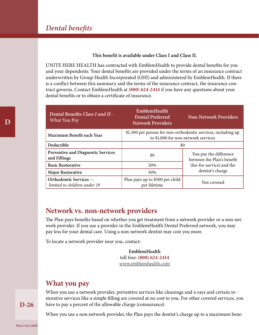#### **This benefit is available under Class I and Class II.**

UNITE HERE HEALTH has contracted with EmblemHealth to provide dental benefits for you and your dependents. Your dental benefits are provided under the terms of an insurance contract underwritten by Group Health Incorporated (GHI) and administered by EmblemHealth. If there is a conflict between this summary and the terms of the insurance contract, the insurance contract governs. Contact EmblemHealth at **(800) 624-2414** if you have any questions about your dental benefits or to obtain a certificate of insurance.

| Dental Benefits Class I and II -<br>What You Pay          | <b>EmblemHealth</b><br><b>Dental Preferred</b><br><b>Network Providers</b>                           | <b>Non-Network Providers</b>                         |  |
|-----------------------------------------------------------|------------------------------------------------------------------------------------------------------|------------------------------------------------------|--|
| Maximum Benefit each Year                                 | \$1,500 per person for non-orthodontic services, including up<br>to \$1,000 for non-network services |                                                      |  |
| Deductible                                                | \$0                                                                                                  |                                                      |  |
| <b>Preventive and Diagnostic Services</b><br>and Fillings | \$0                                                                                                  | You pay the difference<br>between the Plan's benefit |  |
| <b>Basic Restorative</b>                                  | 20%                                                                                                  | (fee-for-service) and the                            |  |
| <b>Major Restorative</b>                                  | 50%                                                                                                  | dentist's charge                                     |  |
| Orthodontic Services -<br>limited to children under 19    | Plan pays up to \$500 per child<br>per lifetime                                                      | Not covered                                          |  |

## **Network vs. non-network providers**

The Plan pays benefits based on whether you get treatment from a network provider or a non-network provider. If you use a provider in the EmblemHealth Dental Preferred network, you may pay less for your dental care. Using a non-network dentist may cost you more.

To locate a network provider near you, contact:

**EmblemHealth** toll free: **(800) 624-2414** [www.emblemhealth.com](http://www.emblemhealth.com)

## **What you pay**

When you use a network provider, preventive services like cleanings and x-rays and certain restorative services like a simple filling are covered at no cost to you. For other covered services, you have to pay a percent of the allowable charge (coinsurance).

When you use a non-network provider, the Plan pays the dentist's charge up to a maximum bene-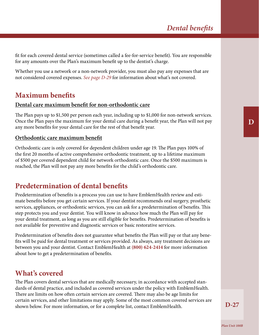fit for each covered dental service (sometimes called a fee-for-service benefit). You are responsible for any amounts over the Plan's maximum benefit up to the dentist's charge.

Whether you use a network or a non-network provider, you must also pay any expenses that are not considered covered expenses. *[See page D-29](#page-58-0)* for information about what's not covered.

## **Maximum benefits**

#### **Dental care maximum benefit for non-orthodontic care**

The Plan pays up to \$1,500 per person each year, including up to \$1,000 for non-network services. Once the Plan pays the maximum for your dental care during a benefit year, the Plan will not pay any more benefits for your dental care for the rest of that benefit year.

#### **Orthodontic care maximum benefit**

Orthodontic care is only covered for dependent children under age 19. The Plan pays 100% of the first 20 months of active comprehensive orthodontic treatment, up to a lifetime maximum of \$500 per covered dependent child for network orthodontic care. Once the \$500 maximum is reached, the Plan will not pay any more benefits for the child's orthodontic care.

#### **Predetermination of dental benefits**

Predetermination of benefits is a process you can use to have EmblemHealth review and estimate benefits before you get certain services. If your dentist recommends oral surgery, prosthetic services, appliances, or orthodontic services, you can ask for a predetermination of benefits. This step protects you and your dentist. You will know in advance how much the Plan will pay for your dental treatment, as long as you are still eligible for benefits. Predetermination of benefits is not available for preventive and diagnostic services or basic restorative services.

Predetermination of benefits does not guarantee what benefits the Plan will pay or that any benefits will be paid for dental treatment or services provided. As always, any treatment decisions are between you and your dentist. Contact EmblemHealth at **(800) 624-2414** for more information about how to get a predetermination of benefits.

#### **What's covered**

The Plan covers dental services that are medically necessary, in accordance with accepted standards of dental practice, and included as covered services under the policy with EmblemHealth. There are limits on how often certain services are covered. There may also be age limits for certain services, and other limitations may apply. Some of the most common covered services are shown below. For more information, or for a complete list, contact EmblemHealth.

**D**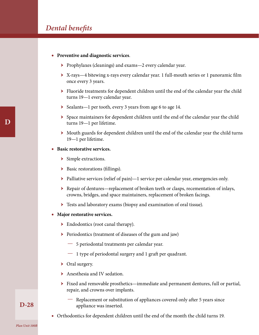#### **• Preventive and diagnostic services**.

- ▶ Prophylaxes (cleanings) and exams—2 every calendar year.
- ӹ X-rays—4 bitewing x-rays every calendar year. 1 full-mouth series or 1 panoramic film once every 3 years.
- ӹ Fluoride treatments for dependent children until the end of the calendar year the child turns 19—1 every calendar year.
- ▶ Sealants—1 per tooth, every 3 years from age 6 to age 14.
- ӹ Space maintainers for dependent children until the end of the calendar year the child turns 19—1 per lifetime.
- $\triangleright$  Mouth guards for dependent children until the end of the calendar year the child turns 19—1 per lifetime.

#### **• Basic restorative services.**

- $\triangleright$  Simple extractions.
- $\triangleright$  Basic restorations (fillings).
- ▶ Palliative services (relief of pain)—1 service per calendar year, emergencies only.
- ▶ Repair of dentures—replacement of broken teeth or clasps, recementation of inlays, crowns, bridges, and space maintainers, replacement of broken facings.
- Tests and laboratory exams (biopsy and examination of oral tissue).
- **• Major restorative services.**
	- $\triangleright$  Endodontics (root canal therapy).
	- ▶ Periodontics (treatment of diseases of the gum and jaw)
		- $-$  5 periodontal treatments per calendar year.
		- $-1$  type of periodontal surgery and 1 graft per quadrant.
	- $\triangleright$  Oral surgery.
	- $\blacktriangleright$  Anesthesia and IV sedation.
	- ӹ Fixed and removable prosthetics—immediate and permanent dentures, full or partial, repair, and crowns over implants.
		- Replacement or substitution of appliances covered only after 5 years since appliance was inserted.
- Orthodontics for dependent children until the end of the month the child turns 19.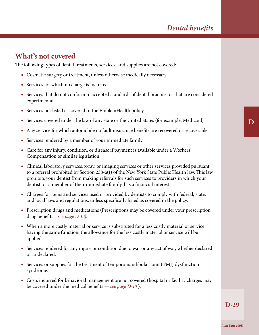## <span id="page-58-0"></span>**What's not covered**

The following types of dental treatments, services, and supplies are not covered:

- Cosmetic surgery or treatment, unless otherwise medically necessary.
- Services for which no charge is incurred.
- Services that do not conform to accepted standards of dental practice, or that are considered experimental.
- Services not listed as covered in the EmblemHealth policy.
- Services covered under the law of any state or the United States (for example, Medicaid).
- Any service for which automobile no fault insurance benefits are recovered or recoverable.
- Services rendered by a member of your immediate family.
- Care for any injury, condition, or disease if payment is available under a Workers' Compensation or similar legislation.
- Clinical laboratory services, x-ray, or imaging services or other services provided pursuant to a referral prohibited by Section 238-a(1) of the New York State Public Health law. This law prohibits your dentist from making referrals for such services to providers in which your dentist, or a member of their immediate family, has a financial interest.
- Charges for items and services used or provided by dentists to comply with federal, state, and local laws and regulations, unless specifically listed as covered in the policy.
- Prescription drugs and medications (Prescriptions may be covered under your prescription drug benefits—*[see page D-13\)](#page-42-0).*
- When a more costly material or service is substituted for a less costly material or service having the same function, the allowance for the less costly material or service will be applied.
- Services rendered for any injury or condition due to war or any act of war, whether declared or undeclared.
- Services or supplies for the treatment of temporomandibular joint (TMJ) dysfunction syndrome.
- Costs incurred for behavioral management are not covered (hospital or facility charges may be covered under the medical benefits — *[see page D-10](#page-39-0)* ).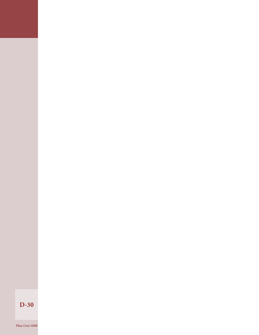## **D-30**

*Plan Unit 100B*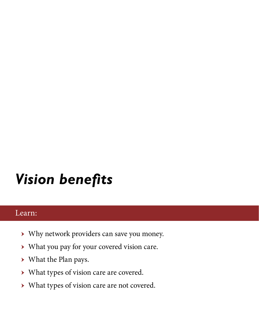## *Vision benefits*

## Learn:

- ӹ Why network providers can save you money.
- ӹ What you pay for your covered vision care.
- $\rightarrow$  What the Plan pays.
- $\rightarrow$  What types of vision care are covered.
- ӹ What types of vision care are not covered.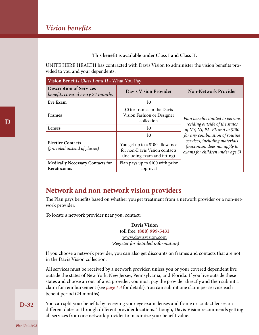#### **This benefit is available under Class I and Class II.**

UNITE HERE HEALTH has contracted with Davis Vision to administer the vision benefits provided to you and your dependents.

| Vision Benefits Class I and II - What You Pay                      |                                                                                                         |                                                                                                                                  |  |
|--------------------------------------------------------------------|---------------------------------------------------------------------------------------------------------|----------------------------------------------------------------------------------------------------------------------------------|--|
| <b>Description of Services</b><br>benefits covered every 24 months | <b>Davis Vision Provider</b>                                                                            | <b>Non-Network Provider</b>                                                                                                      |  |
| Eye Exam                                                           | \$0                                                                                                     |                                                                                                                                  |  |
| Frames                                                             | \$0 for frames in the Davis<br>Vision Fashion or Designer<br>collection                                 | Plan benefits limited to persons<br>residing outside of the states                                                               |  |
| Lenses                                                             | \$0                                                                                                     | of NY, NJ, PA, FL and to \$100                                                                                                   |  |
| <b>Elective Contacts</b><br>(provided instead of glasses)          | \$0<br>You get up to a \$100 allowance<br>for non-Davis Vision contacts<br>(including exam and fitting) | for any combination of routine<br>services, including materials<br>(maximum does not apply to<br>exams for children under age 5) |  |
| <b>Medically Necessary Contacts for</b><br>Keratoconus             | Plan pays up to \$100 with prior<br>approval                                                            |                                                                                                                                  |  |

#### **Network and non-network vision providers**

The Plan pays benefits based on whether you get treatment from a network provider or a non-network provider.

To locate a network provider near you, contact:

**Davis Vision** toll free: **(800) 999-5431** [www.davisvision.com](http://www.davisvision.com) *(Register for detailed information)*

If you choose a network provider, you can also get discounts on frames and contacts that are not in the Davis Vision collection.

All services must be received by a network provider, unless you or your covered dependent live outside the states of New York, New Jersey, Pennsylvania, and Florida. If you live outside these states and choose an out-of-area provider, you must pay the provider directly and then submit a claim for reimbursement (see *[page I-3](#page-122-0)* for details). You can submit one claim per service each benefit period (24 months).

**D-32** You can split your benefits by receiving your eye exam, lenses and frame or contact lenses on different dates or through different provider locations. Though, Davis Vision recommends getting all services from one network provider to maximize your benefit value.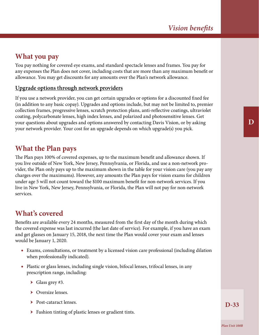## **What you pay**

You pay nothing for covered eye exams, and standard spectacle lenses and frames. You pay for any expenses the Plan does not cover, including costs that are more than any maximum benefit or allowance. You may get discounts for any amounts over the Plan's network allowance.

#### **Upgrade options through network providers**

If you use a network provider, you can get certain upgrades or options for a discounted fixed fee (in addition to any basic copay). Upgrades and options include, but may not be limited to, premier collection frames, progressive lenses, scratch protection plans, anti-reflective coatings, ultraviolet coating, polycarbonate lenses, high index lenses, and polarized and photosensitive lenses. Get your questions about upgrades and options answered by contacting Davis Vision, or by asking your network provider. Your cost for an upgrade depends on which upgrade(s) you pick.

## **What the Plan pays**

The Plan pays 100% of covered expenses, up to the maximum benefit and allowance shown. If you live outside of New York, New Jersey, Pennsylvania, or Florida, and use a non-network provider, the Plan only pays up to the maximum shown in the table for your vision care (you pay any charges over the maximums). However, any amounts the Plan pays for vision exams for children under age 5 will not count toward the \$100 maximum benefit for non-network services. If you live in New York, New Jersey, Pennsylvania, or Florida, the Plan will not pay for non-network services.

## **What's covered**

Benefits are available every 24 months, measured from the first day of the month during which the covered expense was last incurred (the last date of service). For example, if you have an exam and get glasses on January 15, 2018, the next time the Plan would cover your exam and lenses would be January 1, 2020.

- Exams, consultations, or treatment by a licensed vision care professional (including dilation when professionally indicated).
- Plastic or glass lenses, including single vision, bifocal lenses, trifocal lenses, in any prescription range, including:
	- $\blacktriangleright$  Glass grey #3.
	- $\triangleright$  Oversize lenses.
	- ▶ Post-cataract lenses.
	- ▶ Fashion tinting of plastic lenses or gradient tints.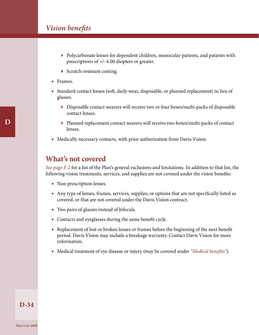#### *Vision benefits*

- ӹ Polycarbonate lenses for dependent children, monocular patients, and patients with prescriptions of +/- 6.00 diopters or greater.
- $\triangleright$  Scratch-resistant coating.
- Frames.
- Standard contact lenses (soft, daily-wear, disposable, or planned replacement) in lieu of glasses.
	- ӹ Disposable contact wearers will receive two or four boxes/multi-packs of disposable contact lenses.
	- ӹ Planned replacement contact wearers will receive two boxes/multi-packs of contact lenses.
- Medically necessary contacts, with prior authorization from Davis Vision.

#### **What's not covered**

*[See page E-2](#page-75-0)* for a list of the Plan's general exclusions and limitations. In addition to that list, the following vision treatments, services, and supplies are not covered under the vision benefits:

- Non-prescription lenses.
- Any type of lenses, frames, services, supplies, or options that are not specifically listed as covered, or that are not covered under the Davis Vision contract.
- Two pairs of glasses instead of bifocals.
- Contacts and eyeglasses during the same benefit cycle.
- Replacement of lost or broken lenses or frames before the beginning of the next benefit period. Davis Vision may include a breakage warranty. Contact Davis Vision for more information.
- Medical treatment of eye disease or injury (may be covered under *["Medical benefits"](#page-30-0)*).

## **D**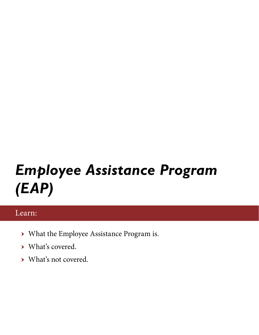# *Employee Assistance Program (EAP)*

## Learn:

- ▶ What the Employee Assistance Program is.
- $\rightarrow$  What's covered.
- $\rightarrow$  What's not covered.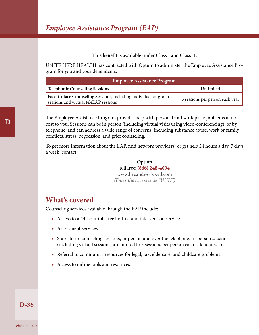#### **This benefit is available under Class I and Class II.**

UNITE HERE HEALTH has contracted with Optum to administer the Employee Assistance Program for you and your dependents.

| <b>Employee Assistance Program</b>                                                                       |                                 |  |  |
|----------------------------------------------------------------------------------------------------------|---------------------------------|--|--|
| <b>Telephonic Counseling Sessions</b>                                                                    | Unlimited                       |  |  |
| Face-to-face Counseling Sessions, including individual or group<br>sessions and virtual teleEAP sessions | 5 sessions per person each year |  |  |

The Employee Assistance Program provides help with personal and work place problems at no cost to you. Sessions can be in person (including virtual visits using video-conferencing), or by telephone, and can address a wide range of concerns, including substance abuse, work or family conflicts, stress, depression, and grief counseling.

To get more information about the EAP, find network providers, or get help 24 hours a day, 7 days a week, contact:

#### **Optum** toll free: **(866) 248-4094** [www.liveandworkwell.com](http://www.liveandworkwell.com) *(Enter the access code "UHH")*

## **What's covered**

Counseling services available through the EAP include:

- Access to a 24-hour toll-free hotline and intervention service.
- Assessment services.
- Short-term counseling sessions, in-person and over the telephone. In-person sessions (including virtual sessions) are limited to 5 sessions per person each calendar year.
- Referral to community resources for legal, tax, eldercare, and childcare problems.
- Access to online tools and resources.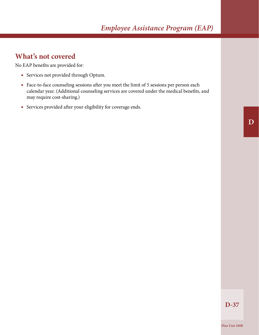## *Employee Assistance Program (EAP)*

## **What's not covered**

No EAP benefits are provided for:

- Services not provided through Optum.
- Face-to-face counseling sessions after you meet the limit of 5 sessions per person each calendar year. (Additional counseling services are covered under the medical benefits, and may require cost-sharing.)
- Services provided after your eligibility for coverage ends.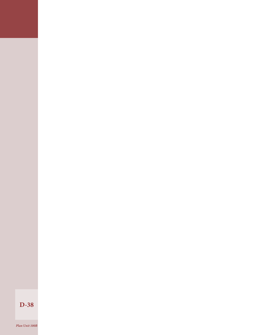#### **D-38**

*Plan Unit 100B*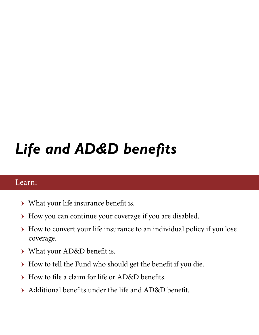# *Life and AD&D benefits*

## Learn:

- ӹ What your life insurance benefit is.
- ӹ How you can continue your coverage if you are disabled.
- $\rightarrow$  How to convert your life insurance to an individual policy if you lose coverage.
- ▶ What your AD&D benefit is.
- $\blacktriangleright$  How to tell the Fund who should get the benefit if you die.
- How to file a claim for life or AD&D benefits.
- $\rightarrow$  Additional benefits under the life and AD&D benefit.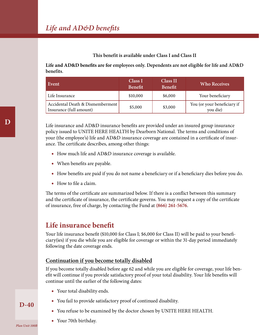#### **This benefit is available under Class I and Class II**

**Life and AD&D benefits are for employees only. Dependents are not eligible for life and AD&D benefits**.

| Event                                                       | Class I<br><b>Benefit</b> | Class II<br><b>Benefit</b> | <b>Who Receives</b>                     |
|-------------------------------------------------------------|---------------------------|----------------------------|-----------------------------------------|
| Life Insurance                                              | \$10,000                  | \$6,000                    | Your beneficiary                        |
| Accidental Death & Dismemberment<br>Insurance (full amount) | \$5,000                   | \$3,000                    | You (or your beneficiary if<br>you die) |

Life insurance and AD&D insurance benefits are provided under an insured group insurance policy issued to UNITE HERE HEALTH by Dearborn National. The terms and conditions of your (the employee's) life and AD&D insurance coverage are contained in a certificate of insurance. The certificate describes, among other things:

- How much life and AD&D insurance coverage is available.
- When benefits are payable.
- How benefits are paid if you do not name a beneficiary or if a beneficiary dies before you do.
- How to file a claim.

The terms of the certificate are summarized below. If there is a conflict between this summary and the certificate of insurance, the certificate governs. You may request a copy of the certificate of insurance, free of charge, by contacting the Fund at **(866) 261-5676**.

## **Life insurance benefit**

Your life insurance benefit (\$10,000 for Class I; \$6,000 for Class II) will be paid to your beneficiary(ies) if you die while you are eligible for coverage or within the 31-day period immediately following the date coverage ends.

#### **Continuation if you become totally disabled**

If you become totally disabled before age 62 and while you are eligible for coverage, your life benefit will continue if you provide satisfactory proof of your total disability. Your life benefits will continue until the earlier of the following dates:

- Your total disability ends.
- You fail to provide satisfactory proof of continued disability.
- You refuse to be examined by the doctor chosen by UNITE HERE HEALTH.
- Your 70th birthday.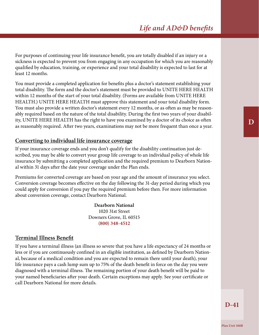For purposes of continuing your life insurance benefit, you are totally disabled if an injury or a sickness is expected to prevent you from engaging in any occupation for which you are reasonably qualified by education, training, or experience and your total disability is expected to last for at least 12 months.

You must provide a completed application for benefits plus a doctor's statement establishing your total disability. The form and the doctor's statement must be provided to UNITE HERE HEALTH within 12 months of the start of your total disability. (Forms are available from UNITE HERE HEALTH.) UNITE HERE HEALTH must approve this statement and your total disability form. You must also provide a written doctor's statement every 12 months, or as often as may be reasonably required based on the nature of the total disability. During the first two years of your disability, UNITE HERE HEALTH has the right to have you examined by a doctor of its choice as often as reasonably required. After two years, examinations may not be more frequent than once a year.

#### **Converting to individual life insurance coverage**

If your insurance coverage ends and you don't qualify for the disability continuation just described, you may be able to convert your group life coverage to an individual policy of whole life insurance by submitting a completed application and the required premium to Dearborn National within 31 days after the date your coverage under the Plan ends.

Premiums for converted coverage are based on your age and the amount of insurance you select. Conversion coverage becomes effective on the day following the 31-day period during which you could apply for conversion if you pay the required premium before then. For more information about conversion coverage, contact Dearborn National.

> **Dearborn National** 1020 31st Street Downers Grove, IL 60515 **(800) 348-4512**

#### **Terminal Illness Benefit**

If you have a terminal illness (an illness so severe that you have a life expectancy of 24 months or less or if you are continuously confined in an eligible institution, as defined by Dearborn National, because of a medical condition and you are expected to remain there until your death), your life insurance pays a cash lump sum up to 75% of the death benefit in force on the day you were diagnosed with a terminal illness. The remaining portion of your death benefit will be paid to your named beneficiaries after your death. Certain exceptions may apply. See your certificate or call Dearborn National for more details.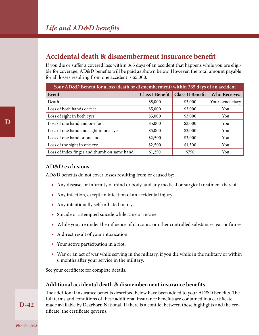### **Accidental death & dismemberment insurance benefit**

If you die or suffer a covered loss within 365 days of an accident that happens while you are eligible for coverage, AD&D benefits will be paid as shown below. However, the total amount payable for all losses resulting from one accident is \$5,000.

| Your AD&D Benefit for a loss (death or dismemberment) within 365 days of an accident |                 |                         |                     |  |
|--------------------------------------------------------------------------------------|-----------------|-------------------------|---------------------|--|
| Event                                                                                | Class I Benefit | <b>Class II Benefit</b> | <b>Who Receives</b> |  |
| Death                                                                                | \$5,000         | \$3,000                 | Your beneficiary    |  |
| Loss of both hands or feet                                                           | \$5,000         | \$3,000                 | You                 |  |
| Loss of sight in both eyes                                                           | \$5,000         | \$3,000                 | You                 |  |
| Loss of one hand and one foot                                                        | \$5,000         | \$3,000                 | You                 |  |
| Loss of one hand and sight in one eye                                                | \$5,000         | \$3,000                 | You                 |  |
| Loss of one hand or one foot                                                         | \$2,500         | \$3,000                 | You                 |  |
| Loss of the sight in one eye                                                         | \$2,500         | \$1,500                 | You                 |  |
| Loss of index finger and thumb on same hand                                          | \$1,250         | \$750                   | You                 |  |

#### **AD&D exclusions**

AD&D benefits do not cover losses resulting from or caused by:

- Any disease, or infirmity of mind or body, and any medical or surgical treatment thereof.
- Any infection, except an infection of an accidental injury.
- Any intentionally self-inflicted injury.
- Suicide or attempted suicide while sane or insane.
- While you are under the influence of narcotics or other controlled substances, gas or fumes.
- A direct result of your intoxication.
- Your active participation in a riot.
- War or an act of war while serving in the military, if you die while in the military or within 6 months after your service in the military.

See your certificate for complete details.

#### **Additional accidental death & dismemberment insurance benefits**

The additional insurance benefits described below have been added to your AD&D benefits. The full terms and conditions of these additional insurance benefits are contained in a certificate made available by Dearborn National. If there is a conflict between these highlights and the certificate, the certificate governs.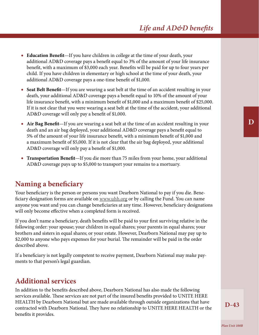- **• Education Benefit**—If you have children in college at the time of your death, your additional AD&D coverage pays a benefit equal to 3% of the amount of your life insurance benefit, with a maximum of \$3,000 each year. Benefits will be paid for up to four years per child. If you have children in elementary or high school at the time of your death, your additional AD&D coverage pays a one-time benefit of \$1,000.
- **• Seat Belt Benefit**—If you are wearing a seat belt at the time of an accident resulting in your death, your additional AD&D coverage pays a benefit equal to 10% of the amount of your life insurance benefit, with a minimum benefit of \$1,000 and a maximum benefit of \$25,000. If it is not clear that you were wearing a seat belt at the time of the accident, your additional AD&D coverage will only pay a benefit of \$1,000.
- **• Air Bag Benefit**—If you are wearing a seat belt at the time of an accident resulting in your death and an air bag deployed, your additional AD&D coverage pays a benefit equal to 5% of the amount of your life insurance benefit, with a minimum benefit of \$1,000 and a maximum benefit of \$5,000. If it is not clear that the air bag deployed, your additional AD&D coverage will only pay a benefit of \$1,000.
- **• Transportation Benefit**—If you die more than 75 miles from your home, your additional AD&D coverage pays up to \$5,000 to transport your remains to a mortuary.

## **Naming a beneficiary**

Your beneficiary is the person or persons you want Dearborn National to pay if you die. Beneficiary designation forms are available on [www.uhh.org](http://www.uhh.org) or by calling the Fund. You can name anyone you want and you can change beneficiaries at any time. However, beneficiary designations will only become effective when a completed form is received.

If you don't name a beneficiary, death benefits will be paid to your first surviving relative in the following order: your spouse; your children in equal shares; your parents in equal shares; your brothers and sisters in equal shares; or your estate. However, Dearborn National may pay up to \$2,000 to anyone who pays expenses for your burial. The remainder will be paid in the order described above.

If a beneficiary is not legally competent to receive payment, Dearborn National may make payments to that person's legal guardian.

## **Additional services**

In addition to the benefits described above, Dearborn National has also made the following services available. These services are not part of the insured benefits provided to UNITE HERE HEALTH by Dearborn National but are made available through outside organizations that have contracted with Dearborn National. They have no relationship to UNITE HERE HEALTH or the benefits it provides.

**D**

**D-43**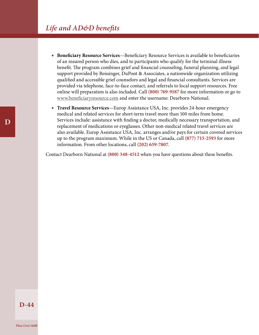- **• Beneficiary Resource Services**—Beneficiary Resource Services is available to beneficiaries of an insured person who dies, and to participants who qualify for the terminal illness benefit. The program combines grief and financial counseling, funeral planning, and legal support provided by Bensinger, DuPont & Associates, a nationwide organization utilizing qualified and accessible grief counselors and legal and financial consultants. Services are provided via telephone, face-to-face contact, and referrals to local support resources. Free online will preparation is also included. Call **(800) 769-9187** for more information or go to [www.beneficiaryresource.com](http://www.beneficiaryresource.com) and enter the username: Dearborn National.
- **• Travel Resource Services**—Europ Assistance USA, Inc. provides 24-hour emergency medical and related services for short-term travel more than 100 miles from home. Services include: assistance with finding a doctor, medically necessary transportation, and replacement of medications or eyeglasses. Other non-medical related travel services are also available. Europ Assistance USA, Inc. arranges and/or pays for certain covered services up to the program maximum. While in the US or Canada, call **(877) 715-2593** for more information. From other locations, call **(202) 659-7807**.

Contact Dearborn National at **(800) 348-4512** when you have questions about these benefits.

#### **D-44**

*Plan Unit 100B*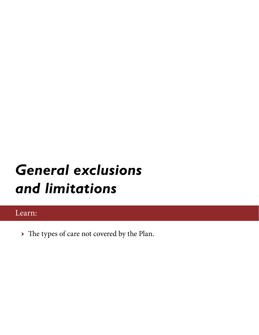# *General exclusions and limitations*

# Learn:

 $\rightarrow$  The types of care not covered by the Plan.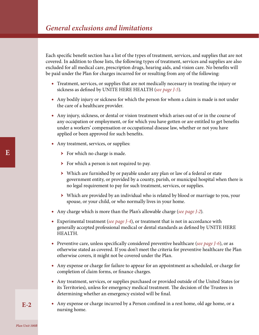Each specific benefit section has a list of the types of treatment, services, and supplies that are not covered. In addition to those lists, the following types of treatment, services and supplies are also excluded for all medical care, prescription drugs, hearing aids, and vision care. No benefits will be paid under the Plan for charges incurred for or resulting from any of the following:

- Treatment, services, or supplies that are not medically necessary in treating the injury or sickness as defined by UNITE HERE HEALTH (*[see page J-5](#page-138-0)*).
- Any bodily injury or sickness for which the person for whom a claim is made is not under the care of a healthcare provider.
- <span id="page-75-0"></span>• Any injury, sickness, or dental or vision treatment which arises out of or in the course of any occupation or employment, or for which you have gotten or are entitled to get benefits under a workers' compensation or occupational disease law, whether or not you have applied or been approved for such benefits.
- Any treatment, services, or supplies:
	- $\triangleright$  For which no charge is made.
	- $\triangleright$  For which a person is not required to pay.
	- ӹ Which are furnished by or payable under any plan or law of a federal or state government entity, or provided by a county, parish, or municipal hospital when there is no legal requirement to pay for such treatment, services, or supplies.
	- $\triangleright$  Which are provided by an individual who is related by blood or marriage to you, your spouse, or your child, or who normally lives in your home.
- Any charge which is more than the Plan's allowable charge (*[see page J-2](#page-135-0)*).
- Experimental treatment (*[see page J-4](#page-137-0)*), or treatment that is not in accordance with generally accepted professional medical or dental standards as defined by UNITE HERE HEALTH.
- Preventive care, unless specifically considered preventive healthcare (*[see page J-6](#page-139-0)*), or as otherwise stated as covered. If you don't meet the criteria for preventive healthcare the Plan otherwise covers, it might not be covered under the Plan.
- Any expense or charge for failure to appear for an appointment as scheduled, or charge for completion of claim forms, or finance charges.
- Any treatment, services, or supplies purchased or provided outside of the United States (or its Territories), unless for emergency medical treatment. The decision of the Trustees in determining whether an emergency existed will be final.
- Any expense or charge incurred by a Person confined in a rest home, old age home, or a nursing home.

*Plan Unit 100B* 

**E-2**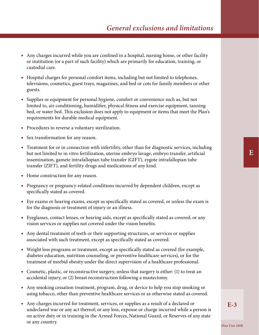- Any charges incurred while you are confined in a hospital, nursing home, or other facility or institution (or a part of such facility) which are primarily for education, training, or custodial care.
- Hospital charges for personal comfort items, including but not limited to telephones, televisions, cosmetics, guest trays, magazines, and bed or cots for family members or other guests.
- Supplies or equipment for personal hygiene, comfort or convenience such as, but not limited to, air conditioning, humidifier, physical fitness and exercise equipment, tanning bed, or water bed. This exclusion does not apply to equipment or items that meet the Plan's requirements for durable medical equipment.
- Procedures to reverse a voluntary sterilization.
- Sex transformation for any reason.
- Treatment for or in connection with infertility, other than for diagnostic services, including but not limited to in vitro fertilization, uterine embryo lavage, embryo transfer, artificial insemination, gamete intrafallopian tube transfer (GIFT), zygote intrafallopian tube transfer (ZIFT), and fertility drugs and medications of any kind.
- Home construction for any reason.
- Pregnancy or pregnancy-related conditions incurred by dependent children, except as specifically stated as covered.
- Eye exams or hearing exams, except as specifically stated as covered, or unless the exam is for the diagnosis or treatment of injury or an illness.
- Eyeglasses, contact lenses, or hearing aids, except as specifically stated as covered; or any vision services or supplies not covered under the vision benefits.
- Any dental treatment of teeth or their supporting structures, or services or supplies associated with such treatment, except as specifically stated as covered.
- Weight loss programs or treatment, except as specifically stated as covered (for example, diabetes education, nutrition counseling, or preventive healthcare services), or for the treatment of morbid obesity under the direct supervision of a healthcare professional.
- Cosmetic, plastic, or reconstructive surgery, unless that surgery is either: (1) to treat an accidental injury, or (2) breast reconstruction following a mastectomy.
- Any smoking cessation treatment, program, drug, or device to help you stop smoking or using tobacco, other than preventive healthcare services or as otherwise stated as covered.
- Any charges incurred for treatment, services, or supplies as a result of a declared or undeclared war or any act thereof; or any loss, expense or charge incurred while a person is on active duty or in training in the Armed Forces, National Guard, or Reserves of any state or any country.

**E-3**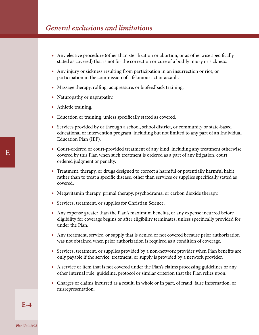- Any elective procedure (other than sterilization or abortion, or as otherwise specifically stated as covered) that is not for the correction or cure of a bodily injury or sickness.
- Any injury or sickness resulting from participation in an insurrection or riot, or participation in the commission of a felonious act or assault.
- Massage therapy, rolfing, acupressure, or biofeedback training.
- Naturopathy or naprapathy.
- Athletic training.
- Education or training, unless specifically stated as covered.
- Services provided by or through a school, school district, or community or state-based educational or intervention program, including but not limited to any part of an Individual Education Plan (IEP).
- Court-ordered or court-provided treatment of any kind, including any treatment otherwise covered by this Plan when such treatment is ordered as a part of any litigation, court ordered judgment or penalty.
- Treatment, therapy, or drugs designed to correct a harmful or potentially harmful habit rather than to treat a specific disease, other than services or supplies specifically stated as covered.
- Megavitamin therapy, primal therapy, psychodrama, or carbon dioxide therapy.
- Services, treatment, or supplies for Christian Science.
- Any expense greater than the Plan's maximum benefits, or any expense incurred before eligibility for coverage begins or after eligibility terminates, unless specifically provided for under the Plan.
- Any treatment, service, or supply that is denied or not covered because prior authorization was not obtained when prior authorization is required as a condition of coverage.
- Services, treatment, or supplies provided by a non-network provider when Plan benefits are only payable if the service, treatment, or supply is provided by a network provider.
- A service or item that is not covered under the Plan's claims processing guidelines or any other internal rule, guideline, protocol or similar criterion that the Plan relies upon.
- Charges or claims incurred as a result, in whole or in part, of fraud, false information, or misrepresentation.

**E-4**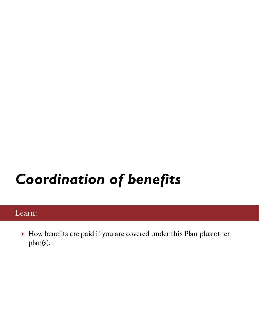# *Coordination of benefits*

# Learn:

 $\blacktriangleright$  How benefits are paid if you are covered under this Plan plus other plan(s).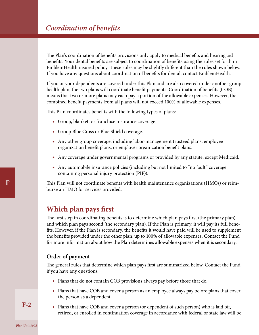The Plan's coordination of benefits provisions only apply to medical benefits and hearing aid benefits. Your dental benefits are subject to coordination of benefits using the rules set forth in EmblemHealth insured policy. These rules may be slightly different than the rules shown below. If you have any questions about coordination of benefits for dental, contact EmblemHealth.

If you or your dependents are covered under this Plan and are also covered under another group health plan, the two plans will coordinate benefit payments. Coordination of benefits (COB) means that two or more plans may each pay a portion of the allowable expenses. However, the combined benefit payments from all plans will not exceed 100% of allowable expenses.

This Plan coordinates benefits with the following types of plans:

- Group, blanket, or franchise insurance coverage.
- Group Blue Cross or Blue Shield coverage.
- Any other group coverage, including labor-management trusteed plans, employee organization benefit plans, or employer organization benefit plans.
- Any coverage under governmental programs or provided by any statute, except Medicaid.
- Any automobile insurance policies (including but not limited to "no fault" coverage containing personal injury protection (PIP)).

This Plan will not coordinate benefits with health maintenance organizations (HMOs) or reimburse an HMO for services provided.

# **Which plan pays first**

The first step in coordinating benefits is to determine which plan pays first (the primary plan) and which plan pays second (the secondary plan). If the Plan is primary, it will pay its full benefits. However, if the Plan is secondary, the benefits it would have paid will be used to supplement the benefits provided under the other plan, up to 100% of allowable expenses. Contact the Fund for more information about how the Plan determines allowable expenses when it is secondary.

#### **Order of payment**

The general rules that determine which plan pays first are summarized below. Contact the Fund if you have any questions.

- Plans that do not contain COB provisions always pay before those that do.
- Plans that have COB and cover a person as an employee always pay before plans that cover the person as a dependent.
- Plans that have COB and cover a person (or dependent of such person) who is laid off, retired, or enrolled in continuation coverage in accordance with federal or state law will be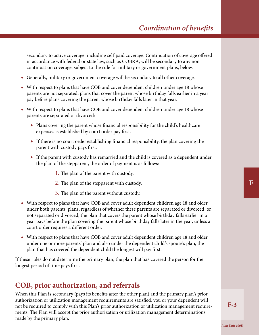secondary to active coverage, including self-paid coverage. Continuation of coverage offered in accordance with federal or state law, such as COBRA, will be secondary to any noncontinuation coverage, subject to the rule for military or government plans, below.

- Generally, military or government coverage will be secondary to all other coverage.
- With respect to plans that have COB and cover dependent children under age 18 whose parents are not separated, plans that cover the parent whose birthday falls earlier in a year pay before plans covering the parent whose birthday falls later in that year.
- With respect to plans that have COB and cover dependent children under age 18 whose parents are separated or divorced:
	- $\blacktriangleright$  Plans covering the parent whose financial responsibility for the child's healthcare expenses is established by court order pay first.
	- $\triangleright$  If there is no court order establishing financial responsibility, the plan covering the parent with custody pays first.
	- $\triangleright$  If the parent with custody has remarried and the child is covered as a dependent under the plan of the stepparent, the order of payment is as follows:
		- 1. The plan of the parent with custody.
		- 2. The plan of the stepparent with custody.
		- 3. The plan of the parent without custody.
- With respect to plans that have COB and cover adult dependent children age 18 and older under both parents' plans, regardless of whether these parents are separated or divorced, or not separated or divorced, the plan that covers the parent whose birthday falls earlier in a year pays before the plan covering the parent whose birthday falls later in the year, unless a court order requires a different order.
- With respect to plans that have COB and cover adult dependent children age 18 and older under one or more parents' plan and also under the dependent child's spouse's plan, the plan that has covered the dependent child the longest will pay first.

If these rules do not determine the primary plan, the plan that has covered the person for the longest period of time pays first.

## **COB, prior authorization, and referrals**

When this Plan is secondary (pays its benefits after the other plan) and the primary plan's prior authorization or utilization management requirements are satisfied, you or your dependent will not be required to comply with this Plan's prior authorization or utilization management requirements. The Plan will accept the prior authorization or utilization management determinations made by the primary plan.

*Plan Unit 100B*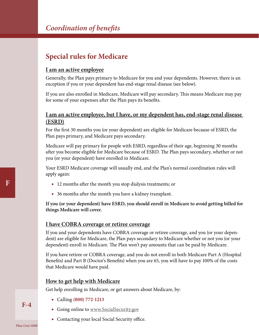# *Coordination of benefits*

# **Special rules for Medicare**

#### **I am an active employee**

Generally, the Plan pays primary to Medicare for you and your dependents. However, there is an exception if you or your dependent has end-stage renal disease (see below).

If you are also enrolled in Medicare, Medicare will pay secondary. This means Medicare may pay for some of your expenses after the Plan pays its benefits.

## **I am an active employee, but I have, or my dependent has, end-stage renal disease (ESRD)**

For the first 30 months you (or your dependent) are eligible for Medicare because of ESRD, the Plan pays primary, and Medicare pays secondary.

Medicare will pay primary for people with ESRD, regardless of their age, beginning 30 months after you become eligible for Medicare because of ESRD. The Plan pays secondary, whether or not you (or your dependent) have enrolled in Medicare.

Your ESRD Medicare coverage will usually end, and the Plan's normal coordination rules will apply again:

- 12 months after the month you stop dialysis treatments; or
- 36 months after the month you have a kidney transplant.

**If you (or your dependent) have ESRD, you should enroll in Medicare to avoid getting billed for things Medicare will cover.**

#### **I have COBRA coverage or retiree coverage**

If you and your dependents have COBRA coverage or retiree coverage, and you (or your dependent) are eligible for Medicare, the Plan pays secondary to Medicare whether or not you (or your dependent) enroll in Medicare. The Plan won't pay amounts that can be paid by Medicare.

If you have retiree or COBRA coverage, and you do not enroll in both Medicare Part A (Hospital Benefits) and Part B (Doctor's Benefits) when you are 65, you will have to pay 100% of the costs that Medicare would have paid.

## **How to get help with Medicare**

Get help enrolling in Medicare, or get answers about Medicare, by:

- Calling **(800) 772-1213**
- Going online to [www.SocialSecurity.gov](http://www.SocialSecurity.gov)
- Contacting your local Social Security office.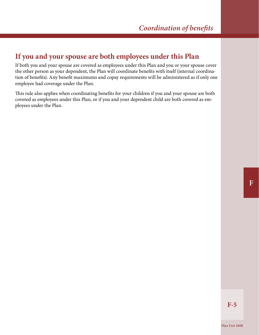# **If you and your spouse are both employees under this Plan**

If both you and your spouse are covered as employees under this Plan and you or your spouse cover the other person as your dependent, the Plan will coordinate benefits with itself (internal coordination of benefits). Any benefit maximums and copay requirements will be administered as if only one employee had coverage under the Plan.

This rule also applies when coordinating benefits for your children if you and your spouse are both covered as employees under this Plan, or if you and your dependent child are both covered as employees under the Plan.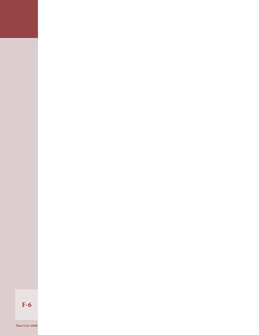# **F-6**

*Plan Unit 100B*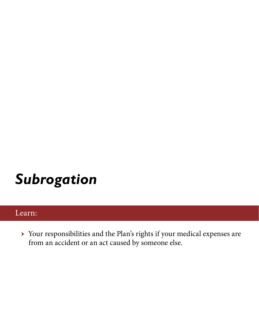# *Subrogation*

# Learn:

 $\blacktriangleright$  Your responsibilities and the Plan's rights if your medical expenses are from an accident or an act caused by someone else.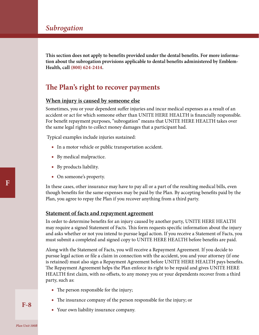## *Subrogation*

**This section does not apply to benefits provided under the dental benefits. For more information about the subrogation provisions applicable to dental benefits administered by Emblem-Health, call (800) 624-2414.**

## **The Plan's right to recover payments**

#### **When injury is caused by someone else**

Sometimes, you or your dependent suffer injuries and incur medical expenses as a result of an accident or act for which someone other than UNITE HERE HEALTH is financially responsible. For benefit repayment purposes, "subrogation" means that UNITE HERE HEALTH takes over the same legal rights to collect money damages that a participant had.

Typical examples include injuries sustained:

- In a motor vehicle or public transportation accident.
- By medical malpractice.
- By products liability.
- On someone's property.

In these cases, other insurance may have to pay all or a part of the resulting medical bills, even though benefits for the same expenses may be paid by the Plan. By accepting benefits paid by the Plan, you agree to repay the Plan if you recover anything from a third party.

#### **Statement of facts and repayment agreement**

In order to determine benefits for an injury caused by another party, UNITE HERE HEALTH may require a signed Statement of Facts. This form requests specific information about the injury and asks whether or not you intend to pursue legal action. If you receive a Statement of Facts, you must submit a completed and signed copy to UNITE HERE HEALTH before benefits are paid.

Along with the Statement of Facts, you will receive a Repayment Agreement. If you decide to pursue legal action or file a claim in connection with the accident, you and your attorney (if one is retained) must also sign a Repayment Agreement before UNITE HERE HEALTH pays benefits. The Repayment Agreement helps the Plan enforce its right to be repaid and gives UNITE HERE HEALTH first claim, with no offsets, to any money you or your dependents recover from a third party, such as:

- The person responsible for the injury;
- The insurance company of the person responsible for the injury; or
- Your own liability insurance company.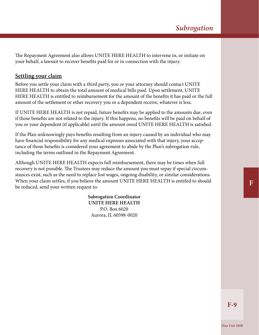The Repayment Agreement also allows UNITE HERE HEALTH to intervene in, or initiate on your behalf, a lawsuit to recover benefits paid for or in connection with the injury.

## **Settling your claim**

Before you settle your claim with a third party, you or your attorney should contact UNITE HERE HEALTH to obtain the total amount of medical bills paid. Upon settlement, UNITE HERE HEALTH is entitled to reimbursement for the amount of the benefits it has paid or the full amount of the settlement or other recovery you or a dependent receive, whatever is less.

If UNITE HERE HEALTH is not repaid, future benefits may be applied to the amounts due, even if those benefits are not related to the injury. If this happens, no benefits will be paid on behalf of you or your dependent (if applicable) until the amount owed UNITE HERE HEALTH is satisfied.

If the Plan unknowingly pays benefits resulting from an injury caused by an individual who may have financial responsibility for any medical expenses associated with that injury, your acceptance of those benefits is considered your agreement to abide by the Plan's subrogation rule, including the terms outlined in the Repayment Agreement.

Although UNITE HERE HEALTH expects full reimbursement, there may be times when full recovery is not possible. The Trustees may reduce the amount you must repay if special circumstances exist, such as the need to replace lost wages, ongoing disability, or similar considerations. When your claim settles, if you believe the amount UNITE HERE HEALTH is entitled to should be reduced, send your written request to:

> **Subrogation Coordinator UNITE HERE HEALTH** P.O. Box 6020 Aurora, IL 60598-0020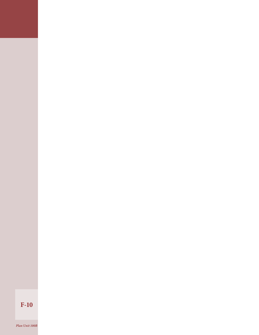# **F-10**

*Plan Unit 100B*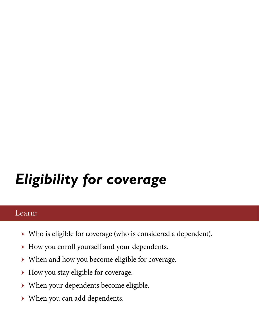# *Eligibility for coverage*

# Learn:

- ӹ Who is eligible for coverage (who is considered a dependent).
- $\rightarrow$  How you enroll yourself and your dependents.
- ӹ When and how you become eligible for coverage.
- How you stay eligible for coverage.
- ӹ When your dependents become eligible.
- ӹ When you can add dependents.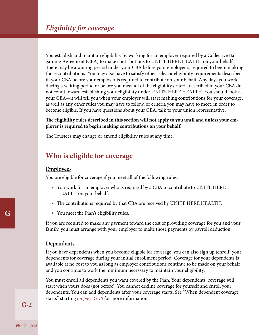You establish and maintain eligibility by working for an employer required by a Collective Bargaining Agreement (CBA) to make contributions to UNITE HERE HEALTH on your behalf. There may be a waiting period under your CBA before your employer is required to begin making those contributions. You may also have to satisfy other rules or eligibility requirements described in your CBA before your employer is required to contribute on your behalf. Any days you work during a waiting period or before you meet all of the eligibility criteria described in your CBA do not count toward establishing your eligibility under UNITE HERE HEALTH. You should look at your CBA—it will tell you when your employer will start making contributions for your coverage, as well as any other rules you may have to follow, or criteria you may have to meet, in order to become eligible. If you have questions about your CBA, talk to your union representative.

**The eligibility rules described in this section will not apply to you until and unless your employer is required to begin making contributions on your behalf.**

The Trustees may change or amend eligibility rules at any time.

## **Who is eligible for coverage**

#### **Employees**

You are eligible for coverage if you meet all of the following rules:

- You work for an employer who is required by a CBA to contribute to UNITE HERE HEALTH on your behalf.
- The contributions required by that CBA are received by UNITE HERE HEALTH.
- You meet the Plan's eligibility rules.

If you are required to make any payment toward the cost of providing coverage for you and your family, you must arrange with your employer to make those payments by payroll deduction.

## **Dependents**

If you have dependents when you become eligible for coverage, you can also sign up (enroll) your dependents for coverage during your initial enrollment period. Coverage for your dependents is available at no cost to you as long as employer contributions continue to be made on your behalf and you continue to work the minimum necessary to maintain your eligibility.

You must enroll all dependents you want covered by the Plan. Your dependents' coverage will start when yours does (not before). You cannot decline coverage for yourself and enroll your dependents. You can add dependents after your coverage starts. See "When dependent coverage starts" starting *[on page G-10](#page-97-0)* for more information.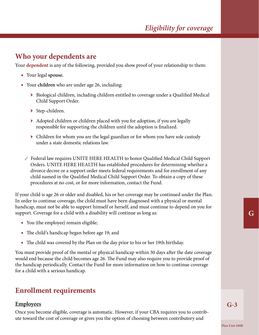# **Who your dependents are**

Your **dependent** is any of the following, provided you show proof of your relationship to them:

- Your legal **spouse.**
- Your **children** who are under age 26, including:
	- $\triangleright$  Biological children, including children entitled to coverage under a Qualified Medical Child Support Order.
	- $\blacktriangleright$  Step-children.
	- $\blacktriangleright$  Adopted children or children placed with you for adoption, if you are legally responsible for supporting the children until the adoption is finalized.
	- $\triangleright$  Children for whom you are the legal guardian or for whom you have sole custody under a state domestic relations law.
	- **✓** Federal law requires UNITE HERE HEALTH to honor Qualified Medical Child Support Orders. UNITE HERE HEALTH has established procedures for determining whether a divorce decree or a support order meets federal requirements and for enrollment of any child named in the Qualified Medical Child Support Order. To obtain a copy of these procedures at no cost, or for more information, contact the Fund.

If your child is age 26 or older and disabled, his or her coverage may be continued under the Plan. In order to continue coverage, the child must have been diagnosed with a physical or mental handicap, must not be able to support himself or herself, and must continue to depend on you for support. Coverage for a child with a disability will continue as long as:

- You (the employee) remain eligible;
- The child's handicap began before age 19; and
- The child was covered by the Plan on the day prior to his or her 19th birthday.

You must provide proof of the mental or physical handicap within 30 days after the date coverage would end because the child becomes age 26. The Fund may also require you to provide proof of the handicap periodically. Contact the Fund for more information on how to continue coverage for a child with a serious handicap.

## **Enrollment requirements**

#### **Employees**

Once you become eligible, coverage is automatic. However, if your CBA requires you to contribute toward the cost of coverage or gives you the option of choosing between contributory and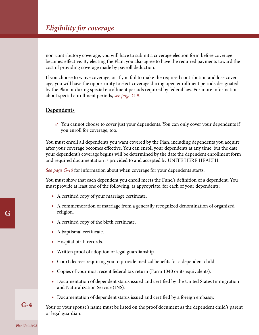non-contributory coverage, you will have to submit a coverage election form before coverage becomes effective. By electing the Plan, you also agree to have the required payments toward the cost of providing coverage made by payroll deduction.

If you choose to waive coverage, or if you fail to make the required contribution and lose coverage, you will have the opportunity to elect coverage during open enrollment periods designated by the Plan or during special enrollment periods required by federal law. For more information about special enrollment periods, *[see page G-9](#page-96-0).*

## <span id="page-91-0"></span>**Dependents**

**✓** You cannot choose to cover just your dependents. You can only cover your dependents if you enroll for coverage, too.

You must enroll all dependents you want covered by the Plan, including dependents you acquire after your coverage becomes effective. You can enroll your dependents at any time, but the date your dependent's coverage begins will be determined by the date the dependent enrollment form and required documentation is provided to and accepted by UNITE HERE HEALTH.

*[See page G-10](#page-97-0)* for information about when coverage for your dependents starts.

You must show that each dependent you enroll meets the Fund's definition of a dependent. You must provide at least one of the following, as appropriate, for each of your dependents:

- A certified copy of your marriage certificate.
- A commemoration of marriage from a generally recognized denomination of organized religion.
- A certified copy of the birth certificate.
- A baptismal certificate.
- Hospital birth records.
- Written proof of adoption or legal guardianship.
- Court decrees requiring you to provide medical benefits for a dependent child.
- Copies of your most recent federal tax return (Form 1040 or its equivalents).
- Documentation of dependent status issued and certified by the United States Immigration and Naturalization Service (INS).
- Documentation of dependent status issued and certified by a foreign embassy.

Your or your spouse's name must be listed on the proof document as the dependent child's parent or legal guardian.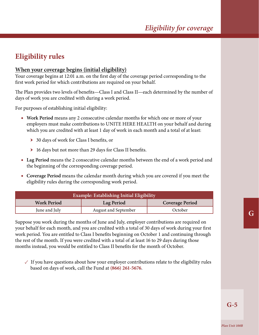# **Eligibility rules**

### **When your coverage begins (initial eligibility)**

Your coverage begins at 12:01 a.m. on the first day of the coverage period corresponding to the first work period for which contributions are required on your behalf.

The Plan provides two levels of benefits—Class I and Class II—each determined by the number of days of work you are credited with during a work period.

For purposes of establishing initial eligibility:

- **Work Period** means any 2 consecutive calendar months for which one or more of your employers must make contributions to UNITE HERE HEALTH on your behalf and during which you are credited with at least 1 day of work in each month and a total of at least:
	- ▶ 30 days of work for Class I benefits, or
	- ▶ 16 days but not more than 29 days for Class II benefits.
- **Lag Period** means the 2 consecutive calendar months between the end of a work period and the beginning of the corresponding coverage period.
- **Coverage Period** means the calendar month during which you are covered if you meet the eligibility rules during the corresponding work period.

| Example: Establishing Initial Eligibility |                      |                 |  |
|-------------------------------------------|----------------------|-----------------|--|
| <b>Work Period</b>                        | Lag Period           | Coverage Period |  |
| June and July                             | August and September | October         |  |

Suppose you work during the months of June and July, employer contributions are required on your behalf for each month, and you are credited with a total of 30 days of work during your first work period. You are entitled to Class I benefits beginning on October 1 and continuing through the rest of the month. If you were credited with a total of at least 16 to 29 days during those months instead, you would be entitled to Class II benefits for the month of October.

 $\checkmark$  If you have questions about how your employer contributions relate to the eligibility rules based on days of work, call the Fund at **(866) 261-5676**.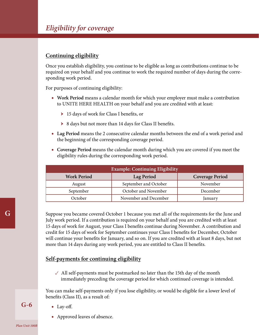### <span id="page-93-0"></span>**Continuing eligibility**

Once you establish eligibility, you continue to be eligible as long as contributions continue to be required on your behalf and you continue to work the required number of days during the corresponding work period.

For purposes of continuing eligibility:

- **Work Period** means a calendar month for which your employer must make a contribution to UNITE HERE HEALTH on your behalf and you are credited with at least:
	- ▶ 15 days of work for Class I benefits, or
	- ▶ 8 days but not more than 14 days for Class II benefits.
- **Lag Period** means the 2 consecutive calendar months between the end of a work period and the beginning of the corresponding coverage period.
- **Coverage Period** means the calendar month during which you are covered if you meet the eligibility rules during the corresponding work period.

| Example: Continuing Eligibility                            |                       |          |  |
|------------------------------------------------------------|-----------------------|----------|--|
| <b>Work Period</b><br><b>Coverage Period</b><br>Lag Period |                       |          |  |
| August                                                     | September and October | November |  |
| September                                                  | October and November  | December |  |
| October                                                    | November and December | January  |  |

Suppose you became covered October 1 because you met all of the requirements for the June and July work period. If a contribution is required on your behalf and you are credited with at least 15 days of work for August, your Class I benefits continue during November. A contribution and credit for 15 days of work for September continues your Class I benefits for December, October will continue your benefits for January, and so on. If you are credited with at least 8 days, but not more than 14 days during any work period, you are entitled to Class II benefits.

## **Self-payments for continuing eligibility**

**✓** All self-payments must be postmarked no later than the 15th day of the month immediately preceding the coverage period for which continued coverage is intended.

You can make self-payments only if you lose eligibility, or would be eligible for a lower level of benefits (Class II), as a result of:

- Lay-off.
- Approved leaves of absence.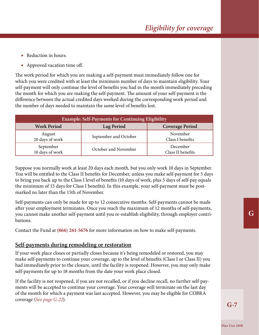- Reduction in hours.
- Approved vacation time off.

The work period for which you are making a self-payment must immediately follow one for which you were credited with at least the minimum number of days to maintain eligibility. Your self-payment will only continue the level of benefits you had in the month immediately preceding the month for which you are making the self-payment. The amount of your self-payment is the difference between the actual credited days worked during the corresponding work period and the number of days needed to maintain the same level of benefits lost.

| <b>Example: Self-Payments for Continuing Eligibility</b>   |                       |                               |  |
|------------------------------------------------------------|-----------------------|-------------------------------|--|
| <b>Work Period</b><br><b>Coverage Period</b><br>Lag Period |                       |                               |  |
| August<br>20 days of work                                  | September and October | November<br>Class I benefits  |  |
| September<br>10 days of work                               | October and November  | December<br>Class II benefits |  |

Suppose you normally work at least 20 days each month, but you only work 10 days in September. You will be entitled to the Class II benefits for December, unless you make self-payment for 5 days to bring you back up to the Class I level of benefits (10 days of work, plus 5 days of self-pay equals the minimum of 15 days for Class I benefits). In this example, your self-payment must be postmarked no later than the 15th of November.

Self-payments can only be made for up to 12 consecutive months. Self-payments cannot be made after your employment terminates. Once you reach the maximum of 12 months of self-payments, you cannot make another self-payment until you re-establish eligibility, through employer contributions.

Contact the Fund at **(866) 261-5676** for more information on how to make self-payments.

#### **Self-payments during remodeling or restoration**

If your work place closes or partially closes because it's being remodeled or restored, you may make self-payments to continue your coverage, up to the level of benefits (Class I or Class II) you had immediately prior to the closure, until the facility is reopened. However, you may only make self-payments for up to 18 months from the date your work place closed.

If the facility is not reopened, if you are not recalled, or if you decline recall, no further self-payments will be accepted to continue your coverage. Your coverage will terminate on the last day of the month for which a payment was last accepted. However, you may be eligible for COBRA coverage (*[See page G-22](#page-109-0)*).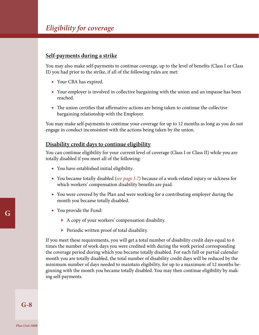### **Self-payments during a strike**

You may also make self-payments to continue coverage, up to the level of benefits (Class I or Class II) you had prior to the strike, if all of the following rules are met:

- Your CBA has expired.
- Your employer is involved in collective bargaining with the union and an impasse has been reached.
- The union certifies that affirmative actions are being taken to continue the collective bargaining relationship with the Employer.

You may make self-payments to continue your coverage for up to 12 months as long as you do not engage in conduct inconsistent with the actions being taken by the union.

#### **Disability credit days to continue eligibility**

You can continue eligibility for your current level of coverage (Class I or Class II) while you are totally disabled if you meet all of the following:

- You have established initial eligibility.
- You became totally disabled (*[see page J-7](#page-140-0)*) because of a work-related injury or sickness for which workers' compensation disability benefits are paid.
- You were covered by the Plan and were working for a contributing employer during the month you became totally disabled.
- You provide the Fund:
	- $\blacktriangleright$  A copy of your workers' compensation disability.
	- ▶ Periodic written proof of total disability.

If you meet these requirements, you will get a total number of disability credit days equal to 6 times the number of work days you were credited with during the work period corresponding the coverage period during which you became totally disabled. For each full or partial calendar month you are totally disabled, the total number of disability credit days will be reduced by the minimum number of days needed to maintain eligibility, for up to a maximum of 12 months beginning with the month you became totally disabled. You may then continue eligibility by making self-payments.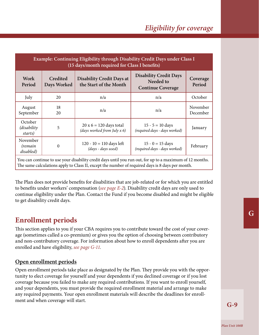| Example: Continuing Eligibility through Disability Credit Days under Class I<br>(15 days/month required for Class I benefits)                                                                                |                         |                                                                                                                                      |                                                     |                      |
|--------------------------------------------------------------------------------------------------------------------------------------------------------------------------------------------------------------|-------------------------|--------------------------------------------------------------------------------------------------------------------------------------|-----------------------------------------------------|----------------------|
| Work<br>Period                                                                                                                                                                                               | Credited<br>Days Worked | <b>Disability Credit Days</b><br><b>Disability Credit Days at</b><br>Needed to<br>the Start of the Month<br><b>Continue Coverage</b> |                                                     | Coverage<br>Period   |
| July                                                                                                                                                                                                         | 20                      | n/a                                                                                                                                  | n/a                                                 | October              |
| August<br>September                                                                                                                                                                                          | 18<br>20                | n/a                                                                                                                                  | n/a                                                 | November<br>December |
| October<br>(disability<br>starts)                                                                                                                                                                            | 5                       | $20 \times 6 = 120$ days total<br>(days worked from July $x$ 6)                                                                      | $15 - 5 = 10$ days<br>(required days - days worked) | January              |
| November<br><i>(remain)</i><br>disabled)                                                                                                                                                                     | $\theta$                | 120 - 10 = 110 days left<br>(days - days used)                                                                                       | $15 - 0 = 15$ days<br>(required days - days worked) |                      |
| You can continue to use your disability credit days until you run out, for up to a maximum of 12 months.<br>The same calculations apply to Class II, except the number of required days is 8 days per month. |                         |                                                                                                                                      |                                                     |                      |

The Plan does not provide benefits for disabilities that are job-related or for which you are entitled to benefits under workers' compensation (*[see page E-2](#page-75-0)*). Disability credit days are only used to continue eligibility under the Plan. Contact the Fund if you become disabled and might be eligible to get disability credit days.

# <span id="page-96-0"></span>**Enrollment periods**

This section applies to you if your CBA requires you to contribute toward the cost of your coverage (sometimes called a co-premium) or gives you the option of choosing between contributory and non-contributory coverage. For information about how to enroll dependents after you are enrolled and have eligibility, *[see page G-11](#page-98-0).*

## **Open enrollment periods**

Open enrollment periods take place as designated by the Plan. They provide you with the opportunity to elect coverage for yourself and your dependents if you declined coverage or if you lost coverage because you failed to make any required contributions. If you want to enroll yourself, and your dependents, you must provide the required enrollment material and arrange to make any required payments. Your open enrollment materials will describe the deadlines for enrollment and when coverage will start.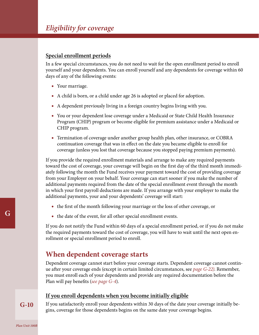#### **Special enrollment periods**

In a few special circumstances, you do not need to wait for the open enrollment period to enroll yourself and your dependents. You can enroll yourself and any dependents for coverage within 60 days of any of the following events:

- Your marriage.
- A child is born, or a child under age 26 is adopted or placed for adoption.
- A dependent previously living in a foreign country begins living with you.
- You or your dependent lose coverage under a Medicaid or State Child Health Insurance Program (CHIP) program or become eligible for premium assistance under a Medicaid or CHIP program.
- Termination of coverage under another group health plan, other insurance, or COBRA continuation coverage that was in effect on the date you became eligible to enroll for coverage (unless you lost that coverage because you stopped paying premium payments).

If you provide the required enrollment materials and arrange to make any required payments toward the cost of coverage, your coverage will begin on the first day of the third month immediately following the month the Fund receives your payment toward the cost of providing coverage from your Employer on your behalf. Your coverage can start sooner if you make the number of additional payments required from the date of the special enrollment event through the month in which your first payroll deductions are made. If you arrange with your employer to make the additional payments, your and your dependents' coverage will start:

- the first of the month following your marriage or the loss of other coverage, or
- the date of the event, for all other special enrollment events.

If you do not notify the Fund within 60 days of a special enrollment period, or if you do not make the required payments toward the cost of coverage, you will have to wait until the next open enrollment or special enrollment period to enroll.

## <span id="page-97-0"></span>**When dependent coverage starts**

Dependent coverage cannot start before your coverage starts. Dependent coverage cannot continue after your coverage ends (except in certain limited circumstances, see *[page G-22](#page-109-0))*. Remember, you must enroll each of your dependents and provide any required documentation before the Plan will pay benefits (*[see page G-4](#page-91-0)*).

## **If you enroll dependents when you become initially eligible**

If you satisfactorily enroll your dependents within 30 days of the date your coverage initially begins, coverage for those dependents begins on the same date your coverage begins.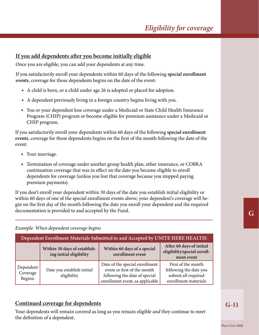### <span id="page-98-0"></span>**If you add dependents after you become initially eligible**

Once you are eligible, you can add your dependents at any time.

If you satisfactorily enroll your dependents within 60 days of the following **special enrollment events**, coverage for those dependents begins on the date of the event:

- A child is born, or a child under age 26 is adopted or placed for adoption.
- A dependent previously living in a foreign country begins living with you.
- You or your dependent lose coverage under a Medicaid or State Child Health Insurance Program (CHIP) program or become eligible for premium assistance under a Medicaid or CHIP program.

If you satisfactorily enroll your dependents within 60 days of the following **special enrollment events**, coverage for those dependents begins on the first of the month following the date of the event:

- Your marriage.
- Termination of coverage under another group health plan, other insurance, or COBRA continuation coverage that was in effect on the date you became eligible to enroll dependents for coverage (unless you lost that coverage because you stopped paying premium payments).

If you don't enroll your dependent within 30 days of the date you establish initial eligibility or within 60 days of one of the special enrollment events above, your dependent's coverage will begin on the first day of the month following the date you enroll your dependent and the required documentation is provided to and accepted by the Fund.

|  | Example: When dependent coverage begins |  |
|--|-----------------------------------------|--|
|  |                                         |  |

| Dependent Enrollment Materials Submitted to and Accepted by UNITE HERE HEALTH: |                                                         |                                                                                                                                   |                                                                                             |
|--------------------------------------------------------------------------------|---------------------------------------------------------|-----------------------------------------------------------------------------------------------------------------------------------|---------------------------------------------------------------------------------------------|
|                                                                                | Within 30 days of establish-<br>ing initial eligibility | Within 60 days of a special<br>enrollment event                                                                                   | After 60 days of initial<br>eligibility/special enroll-<br>ment event                       |
| Dependent<br>Coverage<br>Begins:                                               | Date you establish initial<br>eligibility               | Date of the special enrollment<br>event or first of the month<br>following the date of special<br>enrollment event, as applicable | First of the month<br>following the date you<br>submit all required<br>enrollment materials |

#### **Continued coverage for dependents**

Your dependents will remain covered as long as you remain eligible *and* they continue to meet the definition of a dependent.

*Plan Unit 100B*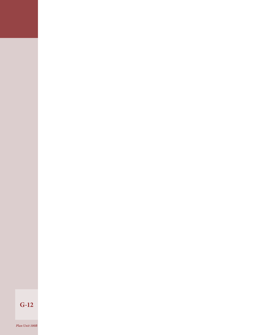# **G-12**

*Plan Unit 100B*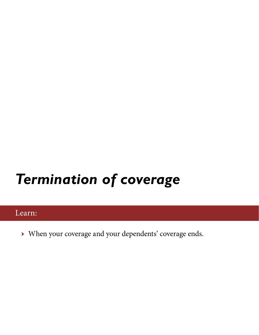# *Termination of coverage*

# Learn:

ӹ When your coverage and your dependents' coverage ends.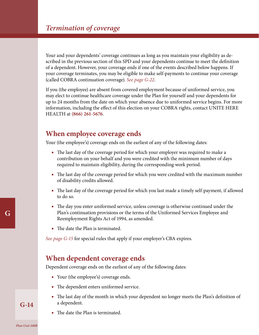Your and your dependents' coverage continues as long as you maintain your eligibility as described in the previous section of this SPD and your dependents continue to meet the definition of a dependent. However, your coverage ends if one of the events described below happens. If your coverage terminates, you may be eligible to make self-payments to continue your coverage (called COBRA continuation coverage). *[See page G-22](#page-109-0)*.

If you (the employee) are absent from covered employment because of uniformed service, you may elect to continue healthcare coverage under the Plan for yourself and your dependents for up to 24 months from the date on which your absence due to uniformed service begins. For more information, including the effect of this election on your COBRA rights, contact UNITE HERE HEALTH at **(866) 261-5676**.

## **When employee coverage ends**

Your (the employee's) coverage ends on the earliest of any of the following dates:

- The last day of the coverage period for which your employer was required to make a contribution on your behalf and you were credited with the minimum number of days required to maintain eligibility, during the corresponding work period.
- The last day of the coverage period for which you were credited with the maximum number of disability credits allowed.
- The last day of the coverage period for which you last made a timely self-payment, if allowed to do so.
- The day you enter uniformed service, unless coverage is otherwise continued under the Plan's continuation provisions or the terms of the Uniformed Services Employee and Reemployment Rights Act of 1994, as amended.
- The date the Plan is terminated.

*[See page G-15](#page-102-0)* for special rules that apply if your employer's CBA expires.

## **When dependent coverage ends**

Dependent coverage ends on the earliest of any of the following dates:

- Your (the employee's) coverage ends.
- The dependent enters uniformed service.
- The last day of the month in which your dependent no longer meets the Plan's definition of a dependent.
- The date the Plan is terminated.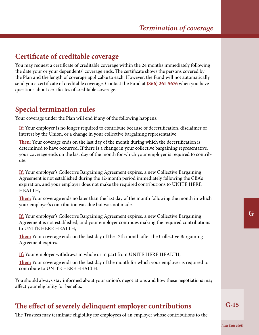## **Certificate of creditable coverage**

You may request a certificate of creditable coverage within the 24 months immediately following the date your or your dependents' coverage ends. The certificate shows the persons covered by the Plan and the length of coverage applicable to each. However, the Fund will not automatically send you a certificate of creditable coverage. Contact the Fund at **(866) 261-5676** when you have questions about certificates of creditable coverage.

## **Special termination rules**

Your coverage under the Plan will end if any of the following happens:

**If:** Your employer is no longer required to contribute because of decertification, disclaimer of interest by the Union, or a change in your collective bargaining representative,

**Then:** Your coverage ends on the last day of the month during which the decertification is determined to have occurred. If there is a change in your collective bargaining representative, your coverage ends on the last day of the month for which your employer is required to contribute.

**If:** Your employer's Collective Bargaining Agreement expires, a new Collective Bargaining Agreement is not established during the 12-month period immediately following the CBA's expiration, and your employer does not make the required contributions to UNITE HERE HEALTH,

**Then:** Your coverage ends no later than the last day of the month following the month in which your employer's contribution was due but was not made.

**If:** Your employer's Collective Bargaining Agreement expires, a new Collective Bargaining Agreement is not established, and your employer continues making the required contributions to UNITE HERE HEALTH,

**Then:** Your coverage ends on the last day of the 12th month after the Collective Bargaining Agreement expires.

**If:** Your employer withdraws in whole or in part from UNITE HERE HEALTH,

**Then:** Your coverage ends on the last day of the month for which your employer is required to contribute to UNITE HERE HEALTH.

You should always stay informed about your union's negotiations and how these negotiations may affect your eligibility for benefits.

## <span id="page-102-0"></span>**The effect of severely delinquent employer contributions**

The Trustees may terminate eligibility for employees of an employer whose contributions to the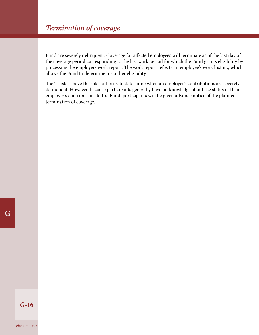Fund are severely delinquent. Coverage for affected employees will terminate as of the last day of the coverage period corresponding to the last work period for which the Fund grants eligibility by processing the employers work report. The work report reflects an employee's work history, which allows the Fund to determine his or her eligibility.

The Trustees have the sole authority to determine when an employer's contributions are severely delinquent. However, because participants generally have no knowledge about the status of their employer's contributions to the Fund, participants will be given advance notice of the planned termination of coverage.

**G-16**

*Plan Unit 100B*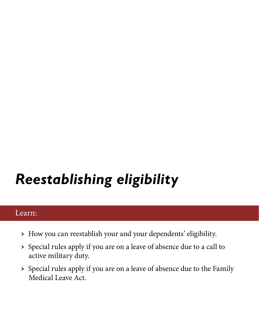# *Reestablishing eligibility*

# Learn:

- ӹ How you can reestablish your and your dependents' eligibility.
- ӹ Special rules apply if you are on a leave of absence due to a call to active military duty.
- ӹ Special rules apply if you are on a leave of absence due to the Family Medical Leave Act.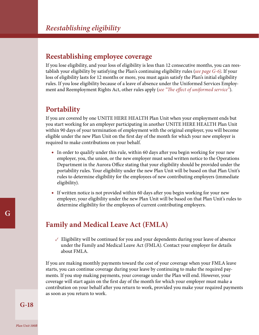## **Reestablishing employee coverage**

If you lose eligibility, and your loss of eligibility is less than 12 consecutive months, you can reestablish your eligibility by satisfying the Plan's continuing eligibility rules (*[see page G-6](#page-93-0))*. If your loss of eligibility lasts for 12 months or more, you must again satisfy the Plan's initial eligibility rules. If you lose eligibility because of a leave of absence under the Uniformed Services Employment and Reemployment Rights Act, other rules apply (*see ["The effect of uniformed service"](#page-106-0)*).

## **Portability**

If you are covered by one UNITE HERE HEALTH Plan Unit when your employment ends but you start working for an employer participating in another UNITE HERE HEALTH Plan Unit within 90 days of your termination of employment with the original employer, you will become eligible under the new Plan Unit on the first day of the month for which your new employer is required to make contributions on your behalf.

- In order to qualify under this rule, within 60 days after you begin working for your new employer, you, the union, or the new employer must send written notice to the Operations Department in the Aurora Office stating that your eligibility should be provided under the portability rules. Your eligibility under the new Plan Unit will be based on that Plan Unit's rules to determine eligibility for the employees of new contributing employers (immediate eligibility).
- If written notice is not provided within 60 days after you begin working for your new employer, your eligibility under the new Plan Unit will be based on that Plan Unit's rules to determine eligibility for the employees of current contributing employers.

## **Family and Medical Leave Act (FMLA)**

**✓** Eligibility will be continued for you and your dependents during your leave of absence under the Family and Medical Leave Act (FMLA). Contact your employer for details about FMLA.

If you are making monthly payments toward the cost of your coverage when your FMLA leave starts, you can continue coverage during your leave by continuing to make the required payments. If you stop making payments, your coverage under the Plan will end. However, your coverage will start again on the first day of the month for which your employer must make a contribution on your behalf after you return to work, provided you make your required payments as soon as you return to work.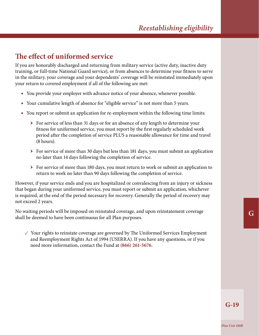## <span id="page-106-0"></span>**The effect of uniformed service**

If you are honorably discharged and returning from military service (active duty, inactive duty training, or full-time National Guard service), or from absences to determine your fitness to serve in the military, your coverage and your dependents' coverage will be reinstated immediately upon your return to covered employment if all of the following are met:

- You provide your employer with advance notice of your absence, whenever possible.
- Your cumulative length of absence for "eligible service" is not more than 5 years.
- You report or submit an application for re-employment within the following time limits:
	- ▶ For service of less than 31 days or for an absence of any length to determine your fitness for uniformed service, you must report by the first regularly scheduled work period after the completion of service PLUS a reasonable allowance for time and travel (8 hours).
	- $\triangleright$  For service of more than 30 days but less than 181 days, you must submit an application no later than 14 days following the completion of service.
	- ▶ For service of more than 180 days, you must return to work or submit an application to return to work no later than 90 days following the completion of service.

However, if your service ends and you are hospitalized or convalescing from an injury or sickness that began during your uniformed service, you must report or submit an application, whichever is required, at the end of the period necessary for recovery. Generally the period of recovery may not exceed 2 years.

No waiting periods will be imposed on reinstated coverage, and upon reinstatement coverage shall be deemed to have been continuous for all Plan purposes.

**✓** Your rights to reinstate coverage are governed by The Uniformed Services Employment and Reemployment Rights Act of 1994 (USERRA). If you have any questions, or if you need more information, contact the Fund at **(866) 261-5676**.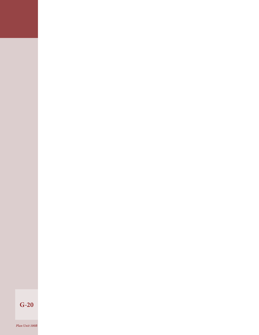## **G-20**

*Plan Unit 100B*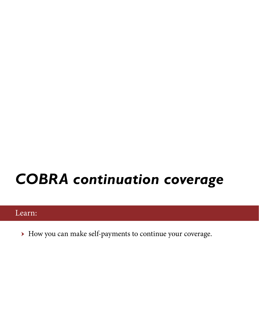# *COBRA continuation coverage*

# Learn:

 $\blacktriangleright$  How you can make self-payments to continue your coverage.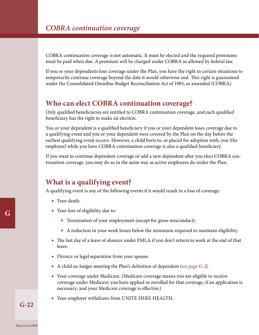<span id="page-109-0"></span>COBRA continuation coverage is not automatic. It must be elected and the required premiums must be paid when due. A premium will be charged under COBRA as allowed by federal law.

If you or your dependents lose coverage under the Plan, you have the right in certain situations to temporarily continue coverage beyond the date it would otherwise end. This right is guaranteed under the Consolidated Omnibus Budget Reconciliation Act of 1985, as amended (COBRA).

## **Who can elect COBRA continuation coverage?**

Only qualified beneficiaries are entitled to COBRA continuation coverage, and each qualified beneficiary has the right to make an election.

You or your dependent is a qualified beneficiary if you or your dependent loses coverage due to a qualifying event and you or your dependent were covered by the Plan on the day before the earliest qualifying event occurs. However, a child born to, or placed for adoption with, you (the employee) while you have COBRA continuation coverage is also a qualified beneficiary.

If you want to continue dependent coverage or add a new dependent after you elect COBRA continuation coverage, you may do so in the same way as active employees do under the Plan.

## **What is a qualifying event?**

A qualifying event is any of the following events if it would result in a loss of coverage:

- Your death.
- Your loss of eligibility due to:
	- ▶ Termination of your employment (except for gross misconduct).
	- $\blacktriangleright$  A reduction in your work hours below the minimum required to maintain eligibility.
- The last day of a leave of absence under FMLA if you don't return to work at the end of that leave.
- Divorce or legal separation from your spouse.
- A child no longer meeting the Plan's definition of dependent (*[see page G-2](#page-89-0)*).
- Your coverage under Medicare. (Medicare coverage means you are eligible to receive coverage under Medicare; you have applied or enrolled for that coverage, if an application is necessary; and your Medicare coverage is effective.)
- Your employer withdraws from UNITE HERE HEALTH.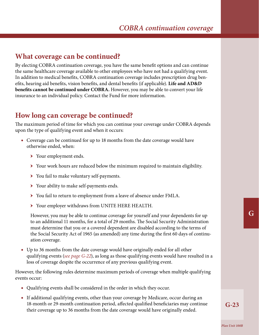# **What coverage can be continued?**

By electing COBRA continuation coverage, you have the same benefit options and can continue the same healthcare coverage available to other employees who have not had a qualifying event. In addition to medical benefits, COBRA continuation coverage includes prescription drug benefits, hearing aid benefits, vision benefits, and dental benefits (if applicable). **Life and AD&D benefits cannot be continued under COBRA.** However, you may be able to convert your life insurance to an individual policy. Contact the Fund for more information.

# **How long can coverage be continued?**

The maximum period of time for which you can continue your coverage under COBRA depends upon the type of qualifying event and when it occurs:

- Coverage can be continued for up to 18 months from the date coverage would have otherwise ended, when:
	- $\triangleright$  Your employment ends.
	- $\triangleright$  Your work hours are reduced below the minimum required to maintain eligibility.
	- ▶ You fail to make voluntary self-payments.
	- ▶ Your ability to make self-payments ends.
	- ▶ You fail to return to employment from a leave of absence under FMLA.
	- ▶ Your employer withdraws from UNITE HERE HEALTH.

However, you may be able to continue coverage for yourself and your dependents for up to an additional 11 months, for a total of 29 months. The Social Security Administration must determine that you or a covered dependent are disabled according to the terms of the Social Security Act of 1965 (as amended) any time during the first 60 days of continuation coverage.

• Up to 36 months from the date coverage would have originally ended for all other qualifying events (*[see page G-22](#page-109-0)*), as long as those qualifying events would have resulted in a loss of coverage despite the occurrence of any previous qualifying event.

However, the following rules determine maximum periods of coverage when multiple qualifying events occur:

- Qualifying events shall be considered in the order in which they occur.
- If additional qualifying events, other than your coverage by Medicare, occur during an 18-month or 29-month continuation period, affected qualified beneficiaries may continue their coverage up to 36 months from the date coverage would have originally ended.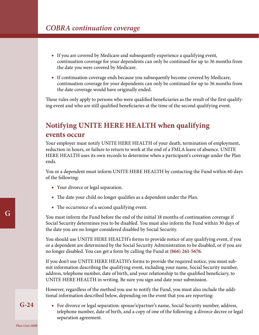- If you are covered by Medicare and subsequently experience a qualifying event, continuation coverage for your dependents can only be continued for up to 36 months from the date you were covered by Medicare.
- If continuation coverage ends because you subsequently become covered by Medicare, continuation coverage for your dependents can only be continued for up to 36 months from the date coverage would have originally ended.

These rules only apply to persons who were qualified beneficiaries as the result of the first qualifying event and who are still qualified beneficiaries at the time of the second qualifying event.

# **Notifying UNITE HERE HEALTH when qualifying events occur**

Your employer must notify UNITE HERE HEALTH of your death, termination of employment, reduction in hours, or failure to return to work at the end of a FMLA leave of absence. UNITE HERE HEALTH uses its own records to determine when a participant's coverage under the Plan ends.

You or a dependent must inform UNITE HERE HEALTH by contacting the Fund within 60 days of the following:

- Your divorce or legal separation.
- The date your child no longer qualifies as a dependent under the Plan.
- The occurrence of a second qualifying event.

You must inform the Fund before the end of the initial 18 months of continuation coverage if Social Security determines you to be disabled. You must also inform the Fund within 30 days of the date you are no longer considered disabled by Social Security.

You should use UNITE HERE HEALTH's forms to provide notice of any qualifying event, if you or a dependent are determined by the Social Security Administration to be disabled, or if you are no longer disabled. You can get a form by calling the Fund at **(866) 261-5676**.

If you don't use UNITE HERE HEALTH's forms to provide the required notice, you must submit information describing the qualifying event, including your name, Social Security number, address, telephone number, date of birth, and your relationship to the qualified beneficiary, to UNITE HERE HEALTH in writing. Be sure you sign and date your submission.

However, regardless of the method you use to notify the Fund, you must also include the additional information described below, depending on the event that you are reporting:

• For divorce or legal separation: spouse's/partner's name, Social Security number, address, telephone number, date of birth, and a copy of one of the following: a divorce decree or legal separation agreement.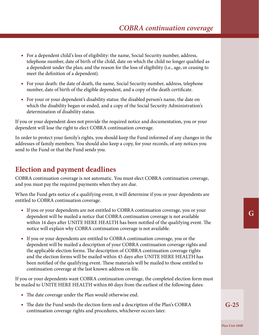- For a dependent child's loss of eligibility: the name, Social Security number, address, telephone number, date of birth of the child, date on which the child no longer qualified as a dependent under the plan; and the reason for the loss of eligibility (i.e., age, or ceasing to meet the definition of a dependent).
- For your death: the date of death, the name, Social Security number, address, telephone number, date of birth of the eligible dependent, and a copy of the death certificate.
- For your or your dependent's disability status: the disabled person's name, the date on which the disability began or ended, and a copy of the Social Security Administration's determination of disability status.

If you or your dependent does not provide the required notice and documentation, you or your dependent will lose the right to elect COBRA continuation coverage.

In order to protect your family's rights, you should keep the Fund informed of any changes in the addresses of family members. You should also keep a copy, for your records, of any notices you send to the Fund or that the Fund sends you.

# **Election and payment deadlines**

COBRA continuation coverage is not automatic. You must elect COBRA continuation coverage, and you must pay the required payments when they are due.

When the Fund gets notice of a qualifying event, it will determine if you or your dependents are entitled to COBRA continuation coverage.

- If you or your dependents are not entitled to COBRA continuation coverage, you or your dependent will be mailed a notice that COBRA continuation coverage is not available within 14 days after UNITE HERE HEALTH has been notified of the qualifying event. The notice will explain why COBRA continuation coverage is not available.
- If you or your dependents are entitled to COBRA continuation coverage, you or the dependent will be mailed a description of your COBRA continuation coverage rights and the applicable election forms. The description of COBRA continuation coverage rights and the election forms will be mailed within 45 days after UNITE HERE HEALTH has been notified of the qualifying event. These materials will be mailed to those entitled to continuation coverage at the last known address on file.

If you or your dependents want COBRA continuation coverage, the completed election form must be mailed to UNITE HERE HEALTH within 60 days from the earliest of the following dates:

- The date coverage under the Plan would otherwise end.
- The date the Fund sends the election form and a description of the Plan's COBRA continuation coverage rights and procedures, whichever occurs later.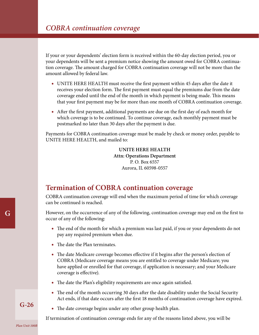If your or your dependents' election form is received within the 60-day election period, you or your dependents will be sent a premium notice showing the amount owed for COBRA continuation coverage. The amount charged for COBRA continuation coverage will not be more than the amount allowed by federal law.

- UNITE HERE HEALTH must receive the first payment within 45 days after the date it receives your election form. The first payment must equal the premiums due from the date coverage ended until the end of the month in which payment is being made. This means that your first payment may be for more than one month of COBRA continuation coverage.
- After the first payment, additional payments are due on the first day of each month for which coverage is to be continued. To continue coverage, each monthly payment must be postmarked no later than 30 days after the payment is due.

Payments for COBRA continuation coverage must be made by check or money order, payable to UNITE HERE HEALTH, and mailed to:

> **UNITE HERE HEALTH Attn: Operations Department** P. O. Box 6557 Aurora, IL 60598-0557

# **Termination of COBRA continuation coverage**

COBRA continuation coverage will end when the maximum period of time for which coverage can be continued is reached.

However, on the occurrence of any of the following, continuation coverage may end on the first to occur of any of the following:

- The end of the month for which a premium was last paid, if you or your dependents do not pay any required premium when due.
- The date the Plan terminates.
- The date Medicare coverage becomes effective if it begins after the person's election of COBRA (Medicare coverage means you are entitled to coverage under Medicare; you have applied or enrolled for that coverage, if application is necessary; and your Medicare coverage is effective).
- The date the Plan's eligibility requirements are once again satisfied.
- The end of the month occurring 30 days after the date disability under the Social Security Act ends, if that date occurs after the first 18 months of continuation coverage have expired.
- The date coverage begins under any other group health plan.

If termination of continuation coverage ends for any of the reasons listed above, you will be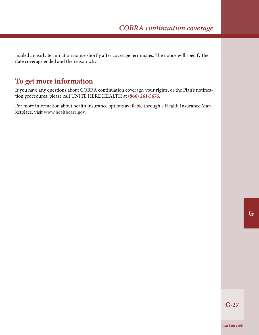mailed an early termination notice shortly after coverage terminates. The notice will specify the date coverage ended and the reason why.

# **To get more information**

If you have any questions about COBRA continuation coverage, your rights, or the Plan's notification procedures, please call UNITE HERE HEALTH at **(866) 261-5676**.

For more information about health insurance options available through a Health Insurance Marketplace, visit <www.healthcare.gov>.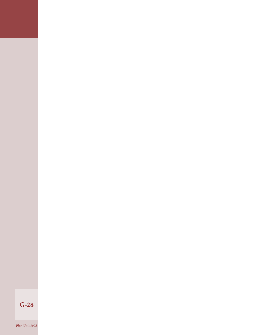# **G-28**

*Plan Unit 100B*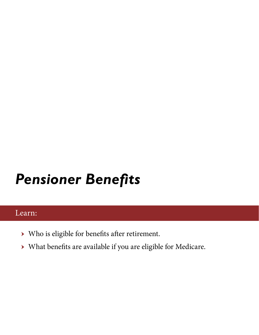# *Pensioner Benefits*

# Learn:

- $\blacktriangleright\,$  Who is eligible for benefits after retirement.
- $\blacktriangleright$  What benefits are available if you are eligible for Medicare.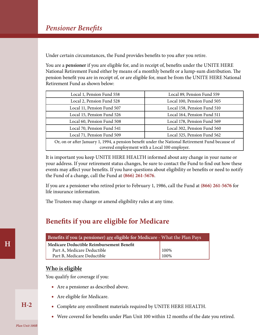Under certain circumstances, the Fund provides benefits to you after you retire.

You are a **pensioner** if you are eligible for, and in receipt of, benefits under the UNITE HERE National Retirement Fund either by means of a monthly benefit or a lump-sum distribution. The pension benefit you are in receipt of, or are eligible for, must be from the UNITE HERE National Retirement Fund as shown below:

| Local 1, Pension Fund 558                                                                        | Local 89, Pension Fund 559  |
|--------------------------------------------------------------------------------------------------|-----------------------------|
| Local 2, Pension Fund 528                                                                        | Local 100, Pension Fund 505 |
| Local 11, Pension Fund 507                                                                       | Local 158, Pension Fund 510 |
| Local 15, Pension Fund 526                                                                       | Local 164, Pension Fund 511 |
| Local 60, Pension Fund 508                                                                       | Local 178, Pension Fund 569 |
| Local 70, Pension Fund 541                                                                       | Local 302, Pension Fund 560 |
| Local 71, Pension Fund 509                                                                       | Local 325, Pension Fund 562 |
| Or, on or after January 1, 1994, a pension benefit under the National Retirement Fund because of |                             |

covered employment with a Local 100 employer.

It is important you keep UNITE HERE HEALTH informed about any change in your name or your address. If your retirement status changes, be sure to contact the Fund to find out how these events may affect your benefits. If you have questions about eligibility or benefits or need to notify the Fund of a change, call the Fund at **(866) 261-5676**.

If you are a pensioner who retired prior to February 1, 1986, call the Fund at **(866) 261-5676** for life insurance information.

The Trustees may change or amend eligibility rules at any time.

# **Benefits if you are eligible for Medicare**

| Benefits if you (a pensioner) are eligible for Medicare - What the Plan Pays |         |  |
|------------------------------------------------------------------------------|---------|--|
| Medicare Deductible Reimbursement Benefit                                    |         |  |
| Part A, Medicare Deductible                                                  | $100\%$ |  |
| Part B, Medicare Deductible                                                  | $100\%$ |  |

## **Who is eligible**

You qualify for coverage if you:

- Are a pensioner as described above.
- Are eligible for Medicare.
- Complete any enrollment materials required by UNITE HERE HEALTH.
- Were covered for benefits under Plan Unit 100 within 12 months of the date you retired.

#### *Plan Unit 100B*

**H-2**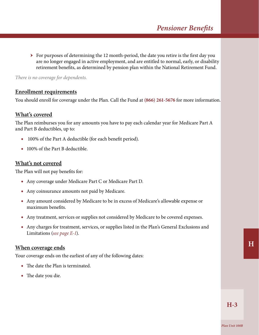▶ For purposes of determining the 12 month-period, the date you retire is the first day you are no longer engaged in active employment, and are entitled to normal, early, or disability retirement benefits, as determined by pension plan within the National Retirement Fund.

*There is no coverage for dependents.*

## **Enrollment requirements**

You should enroll for coverage under the Plan. Call the Fund at **(866) 261-5676** for more information.

## **What's covered**

The Plan reimburses you for any amounts you have to pay each calendar year for Medicare Part A and Part B deductibles, up to:

- 100% of the Part A deductible (for each benefit period).
- 100% of the Part B deductible.

### **What's not covered**

The Plan will not pay benefits for:

- Any coverage under Medicare Part C or Medicare Part D.
- Any coinsurance amounts not paid by Medicare.
- Any amount considered by Medicare to be in excess of Medicare's allowable expense or maximum benefits.
- Any treatment, services or supplies not considered by Medicare to be covered expenses.
- Any charges for treatment, services, or supplies listed in the Plan's General Exclusions and Limitations (*[see page E-1](#page-74-0)*).

### **When coverage ends**

Your coverage ends on the earliest of any of the following dates:

- The date the Plan is terminated.
- The date you die.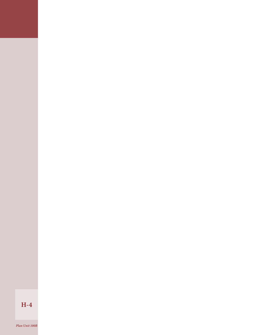# **H-4**

*Plan Unit 100B*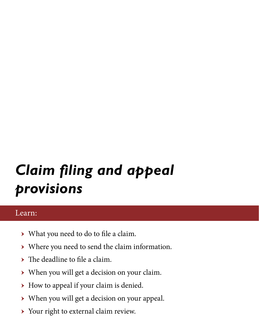# *Claim filing and appeal provisions*

# Learn:

- ӹ What you need to do to file a claim.
- ӹ Where you need to send the claim information.
- $\rightarrow$  The deadline to file a claim.
- ӹ When you will get a decision on your claim.
- $\rightarrow$  How to appeal if your claim is denied.
- ӹ When you will get a decision on your appeal.
- > Your right to external claim review.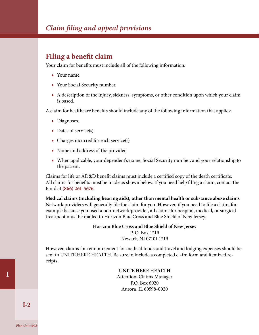# **Filing a benefit claim**

Your claim for benefits must include all of the following information:

- Your name.
- Your Social Security number.
- A description of the injury, sickness, symptoms, or other condition upon which your claim is based.

A claim for healthcare benefits should include any of the following information that applies:

- Diagnoses.
- Dates of service(s).
- Charges incurred for each service(s).
- Name and address of the provider.
- When applicable, your dependent's name, Social Security number, and your relationship to the patient.

Claims for life or AD&D benefit claims must include a certified copy of the death certificate. All claims for benefits must be made as shown below. If you need help filing a claim, contact the Fund at **(866) 261-5676**.

**Medical claims (including hearing aids), other than mental health or substance abuse claims** Network providers will generally file the claim for you. However, if you need to file a claim, for example because you used a non-network provider, all claims for hospital, medical, or surgical treatment must be mailed to Horizon Blue Cross and Blue Shield of New Jersey.

**Horizon Blue Cross and Blue Shield of New Jersey**

P. O. Box 1219 Newark, NJ 07101-1219

However, claims for reimbursement for medical foods and travel and lodging expenses should be sent to UNITE HERE HEALTH. Be sure to include a completed claim form and itemized receipts.

> **UNITE HERE HEALTH** Attention: Claims Manager P.O. Box 6020 Aurora, IL 60598-0020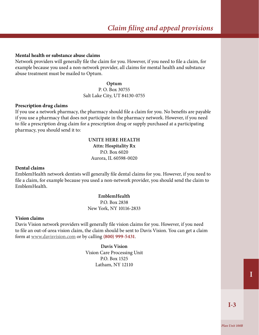### **Mental health or substance abuse claims**

Network providers will generally file the claim for you. However, if you need to file a claim, for example because you used a non-network provider, all claims for mental health and substance abuse treatment must be mailed to Optum.

## **Optum**

#### P. O. Box 30755 Salt Lake City, UT 84130-0755

#### **Prescription drug claims**

If you use a network pharmacy, the pharmacy should file a claim for you. No benefits are payable if you use a pharmacy that does not participate in the pharmacy network. However, if you need to file a prescription drug claim for a prescription drug or supply purchased at a participating pharmacy, you should send it to:

## **UNITE HERE HEALTH Attn: Hospitality Rx** P.O. Box 6020 Aurora, IL 60598-0020

#### **Dental claims**

EmblemHealth network dentists will generally file dental claims for you. However, if you need to file a claim, for example because you used a non-network provider, you should send the claim to EmblemHealth.

#### **EmblemHealth**

P.O. Box 2838 New York, NY 10116-2833

#### **Vision claims**

Davis Vision network providers will generally file vision claims for you. However, if you need to file an out-of-area vision claim, the claim should be sent to Davis Vision. You can get a claim form at [www.davisvision.com](http://www.davisvision.com) or by calling **(800) 999-5431**.

> **Davis Vision** Vision Care Processing Unit P.O. Box 1525 Latham, NY 12110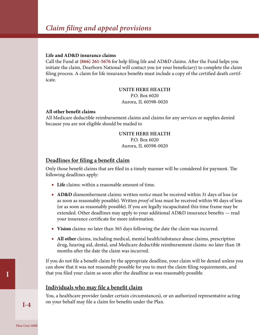#### **Life and AD&D insurance claims**

Call the Fund at **(866) 261-5676** for help filing life and AD&D claims. After the Fund helps you initiate the claim, Dearborn National will contact you (or your beneficiary) to complete the claim filing process. A claim for life insurance benefits must include a copy of the certified death certificate.

> **UNITE HERE HEALTH** P.O. Box 6020 Aurora, IL 60598-0020

### **All other benefit claims**

All Medicare deductible reimbursement claims and claims for any services or supplies denied because you are not eligible should be mailed to

> **UNITE HERE HEALTH** P.O. Box 6020 Aurora, IL 60598-0020

### **Deadlines for filing a benefit claim**

Only those benefit claims that are filed in a timely manner will be considered for payment. The following deadlines apply:

- **• Life** claims: within a reasonable amount of time.
- **• AD&D** dismemberment claims: written *notice* must be received within 31 days of loss (or as soon as reasonably possible). Written *proof* of loss must be received within 90 days of loss (or as soon as reasonably possible). If you are legally incapacitated this time frame may be extended. Other deadlines may apply to your additional AD&D insurance benefits — read your insurance certificate for more information.
- **• Vision** claims: no later than 365 days following the date the claim was incurred.
- All other claims, including medical, mental health/substance abuse claims, prescription drug, hearing aid, dental, and Medicare deductible reimbursement claims: no later than 18 months after the date the claim was incurred.

If you do not file a benefit claim by the appropriate deadline, your claim will be denied unless you can show that it was not reasonably possible for you to meet the claim filing requirements, and that you filed your claim as soon after the deadline as was reasonably possible.

### **Individuals who may file a benefit claim**

You, a healthcare provider (under certain circumstances), or an authorized representative acting on your behalf may file a claim for benefits under the Plan.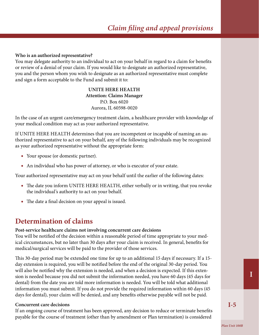#### <span id="page-124-0"></span>**Who is an authorized representative?**

You may delegate authority to an individual to act on your behalf in regard to a claim for benefits or review of a denial of your claim. If you would like to designate an authorized representative, you and the person whom you wish to designate as an authorized representative must complete and sign a form acceptable to the Fund and submit it to:

### **UNITE HERE HEALTH Attention: Claims Manager** P.O. Box 6020 Aurora, IL 60598-0020

In the case of an urgent care/emergency treatment claim, a healthcare provider with knowledge of your medical condition may act as your authorized representative.

If UNITE HERE HEALTH determines that you are incompetent or incapable of naming an authorized representative to act on your behalf, any of the following individuals may be recognized as your authorized representative without the appropriate form:

- Your spouse (or domestic partner).
- An individual who has power of attorney, or who is executor of your estate.

Your authorized representative may act on your behalf until the earlier of the following dates:

- The date you inform UNITE HERE HEALTH, either verbally or in writing, that you revoke the individual's authority to act on your behalf.
- The date a final decision on your appeal is issued.

## **Determination of claims**

## **Post-service healthcare claims not involving concurrent care decisions**

You will be notified of the decision within a reasonable period of time appropriate to your medical circumstances, but no later than 30 days after your claim is received. In general, benefits for medical/surgical services will be paid to the provider of those services.

This 30-day period may be extended one time for up to an additional 15 days if necessary. If a 15 day extension is required, you will be notified before the end of the original 30-day period. You will also be notified why the extension is needed, and when a decision is expected. If this extension is needed because you did not submit the information needed, you have 60 days (45 days for dental) from the date you are told more information is needed. You will be told what additional information you must submit. If you do not provide the required information within 60 days (45 days for dental), your claim will be denied, and any benefits otherwise payable will not be paid.

#### **Concurrent care decisions**

If an ongoing course of treatment has been approved, any decision to reduce or terminate benefits payable for the course of treatment (other than by amendment or Plan termination) is considered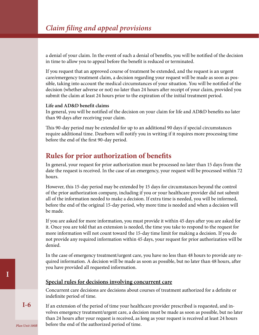a denial of your claim. In the event of such a denial of benefits, you will be notified of the decision in time to allow you to appeal before the benefit is reduced or terminated.

If you request that an approved course of treatment be extended, and the request is an urgent care/emergency treatment claim, a decision regarding your request will be made as soon as possible, taking into account the medical circumstances of your situation. You will be notified of the decision (whether adverse or not) no later than 24 hours after receipt of your claim, provided you submit the claim at least 24 hours prior to the expiration of the initial treatment period.

#### **Life and AD&D benefit claims**

In general, you will be notified of the decision on your claim for life and AD&D benefits no later than 90 days after receiving your claim.

This 90-day period may be extended for up to an additional 90 days if special circumstances require additional time. Dearborn will notify you in writing if it requires more processing time before the end of the first 90-day period.

# **Rules for prior authorization of benefits**

In general, your request for prior authorization must be processed no later than 15 days from the date the request is received. In the case of an emergency, your request will be processed within 72 hours.

However, this 15-day period may be extended by 15 days for circumstances beyond the control of the prior authorization company, including if you or your healthcare provider did not submit all of the information needed to make a decision. If extra time is needed, you will be informed, before the end of the original 15-day period, why more time is needed and when a decision will be made.

If you are asked for more information, you must provide it within 45 days after you are asked for it. Once you are told that an extension is needed, the time you take to respond to the request for more information will not count toward the 15-day time limit for making a decision. If you do not provide any required information within 45 days, your request for prior authorization will be denied.

In the case of emergency treatment/urgent care, you have no less than 48 hours to provide any required information. A decision will be made as soon as possible, but no later than 48 hours, after you have provided all requested information.

### **Special rules for decisions involving concurrent care**

Concurrent care decisions are decisions about courses of treatment authorized for a definite or indefinite period of time.

**I-6** If an extension of the period of time your healthcare provider prescribed is requested, and involves emergency treatment/urgent care, a decision must be made as soon as possible, but no later than 24 hours after your request is received, as long as your request is received at least 24 hours before the end of the authorized period of time.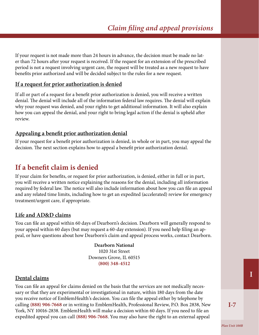If your request is not made more than 24 hours in advance, the decision must be made no later than 72 hours after your request is received. If the request for an extension of the prescribed period is not a request involving urgent care, the request will be treated as a new request to have benefits prior authorized and will be decided subject to the rules for a new request.

## **If a request for prior authorization is denied**

If all or part of a request for a benefit prior authorization is denied, you will receive a written denial. The denial will include all of the information federal law requires. The denial will explain why your request was denied, and your rights to get additional information. It will also explain how you can appeal the denial, and your right to bring legal action if the denial is upheld after review.

## **Appealing a benefit prior authorization denial**

If your request for a benefit prior authorization is denied, in whole or in part, you may appeal the decision. The next section explains how to appeal a benefit prior authorization denial.

# **If a benefit claim is denied**

If your claim for benefits, or request for prior authorization, is denied, either in full or in part, you will receive a written notice explaining the reasons for the denial, including all information required by federal law. The notice will also include information about how you can file an appeal and any related time limits, including how to get an expedited (accelerated) review for emergency treatment/urgent care, if appropriate.

## **Life and AD&D claims**

You can file an appeal within 60 days of Dearborn's decision. Dearborn will generally respond to your appeal within 60 days (but may request a 60-day extension). If you need help filing an appeal, or have questions about how Dearborn's claim and appeal process works, contact Dearborn.

> **Dearborn National** 1020 31st Street Downers Grove, IL 60515 **(800) 348-4512**

## **Dental claims**

You can file an appeal for claims denied on the basis that the services are not medically necessary or that they are experimental or investigational in nature, within 180 days from the date you receive notice of EmblemHealth's decision. You can file the appeal either by telephone by calling **(888) 906-7668** or in writing to EmblemHealth, Professional Review, P.O. Box 2838, New York, NY 10016-2838. EmblemHealth will make a decision within 60 days. If you need to file an expedited appeal you can call **(888) 906-7668**. You may also have the right to an external appeal

**I**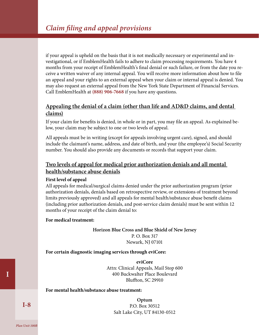if your appeal is upheld on the basis that it is not medically necessary or experimental and investigational, or if EmblemHealth fails to adhere to claim processing requirements. You have 4 months from your receipt of EmblemHealth's final denial or such failure, or from the date you receive a written waiver of any internal appeal. You will receive more information about how to file an appeal and your rights to an external appeal when your claim or internal appeal is denied. You may also request an external appeal from the New York State Department of Financial Services. Call EmblemHealth at **(888) 906-7668** if you have any questions.

## **Appealing the denial of a claim (other than life and AD&D claims, and dental claims)**

If your claim for benefits is denied, in whole or in part, you may file an appeal. As explained below, your claim may be subject to one or two levels of appeal.

All appeals must be in writing (except for appeals involving urgent care), signed, and should include the claimant's name, address, and date of birth, and your (the employee's) Social Security number. You should also provide any documents or records that support your claim.

## **Two levels of appeal for medical prior authorization denials and all mental health/substance abuse denials**

## **First level of appeal**

All appeals for medical/surgical claims denied under the prior authorization program (prior authorization denials, denials based on retrospective review, or extensions of treatment beyond limits previously approved) and all appeals for mental health/substance abuse benefit claims (including prior authorization denials, and post-service claim denials) must be sent within 12 months of your receipt of the claim denial to:

### **For medical treatment:**

**Horizon Blue Cross and Blue Shield of New Jersey** P. O. Box 317 Newark, NJ 07101

### **For certain diagnostic imaging services through eviCore:**

**eviCore** Attn: Clinical Appeals, Mail Stop 600 400 Buckwalter Place Boulevard Bluffton, SC 29910

#### **For mental health/substance abuse treatment:**

**Optum** P.O. Box 30512 Salt Lake City, UT 84130-0512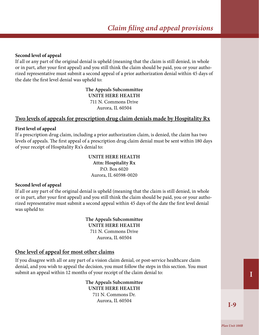#### **Second level of appeal**

If all or any part of the original denial is upheld (meaning that the claim is still denied, in whole or in part, after your first appeal) and you still think the claim should be paid, you or your authorized representative must submit a second appeal of a prior authorization denial within 45 days of the date the first level denial was upheld to:

> **The Appeals Subcommittee UNITE HERE HEALTH** 711 N. Commons Drive Aurora, IL 60504

#### **Two levels of appeals for prescription drug claim denials made by Hospitality Rx**

#### **First level of appeal**

If a prescription drug claim, including a prior authorization claim, is denied, the claim has two levels of appeals. The first appeal of a prescription drug claim denial must be sent within 180 days of your receipt of Hospitality Rx's denial to:

> **UNITE HERE HEALTH Attn: Hospitality Rx** P.O. Box 6020 Aurora, IL 60598-0020

#### **Second level of appeal**

If all or any part of the original denial is upheld (meaning that the claim is still denied, in whole or in part, after your first appeal) and you still think the claim should be paid, you or your authorized representative must submit a second appeal within 45 days of the date the first level denial was upheld to:

> **The Appeals Subcommittee UNITE HERE HEALTH** 711 N. Commons Drive Aurora, IL 60504

#### **One level of appeal for most other claims**

If you disagree with all or any part of a vision claim denial, or post-service healthcare claim denial, and you wish to appeal the decision, you must follow the steps in this section. You must submit an appeal within 12 months of your receipt of the claim denial to:

> **The Appeals Subcommittee UNITE HERE HEALTH** 711 N. Commons Dr. Aurora, IL 60504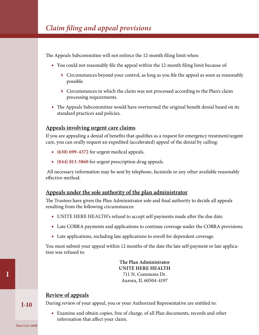The Appeals Subcommittee will not enforce the 12-month filing limit when:

- You could not reasonably file the appeal within the 12-month filing limit because of:
	- ▶ Circumstances beyond your control, as long as you file the appeal as soon as reasonably possible.
	- $\triangleright$  Circumstances in which the claim was not processed according to the Plan's claim processing requirements.
- The Appeals Subcommittee would have overturned the original benefit denial based on its standard practices and policies.

## **Appeals involving urgent care claims**

If you are appealing a denial of benefits that qualifies as a request for emergency treatment/urgent care, you can orally request an expedited (accelerated) appeal of the denial by calling:

- **(630) 699-4372** for urgent medical appeals.
- **(844) 813-3860** for urgent prescription drug appeals.

 All necessary information may be sent by telephone, facsimile or any other available reasonably effective method.

## **Appeals under the sole authority of the plan administrator**

The Trustees have given the Plan Administrator sole and final authority to decide all appeals resulting from the following circumstances:

- UNITE HERE HEALTH's refusal to accept self-payments made after the due date.
- Late COBRA payments and applications to continue coverage under the COBRA provisions.
- Late applications, including late applications to enroll for dependent coverage.

You must submit your appeal within 12 months of the date the late self-payment or late application was refused to:

> **The Plan Administrator UNITE HERE HEALTH** 711 N. Commons Dr. Aurora, IL 60504-4197

## **Review of appeals**

During review of your appeal, you or your Authorized Representative are entitled to:

• Examine and obtain copies, free of charge, of all Plan documents, records and other information that affect your claim.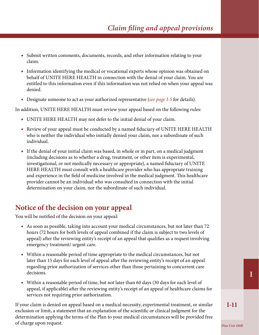- Submit written comments, documents, records, and other information relating to your claim.
- Information identifying the medical or vocational experts whose opinion was obtained on behalf of UNITE HERE HEALTH in connection with the denial of your claim. You are entitled to this information even if this information was not relied on when your appeal was denied.
- Designate someone to act as your authorized representative (*[see page I-5](#page-124-0)* for details).

In addition, UNITE HERE HEALTH must review your appeal based on the following rules:

- UNITE HERE HEALTH may not defer to the initial denial of your claim.
- Review of your appeal must be conducted by a named fiduciary of UNITE HERE HEALTH who is neither the individual who initially denied your claim, nor a subordinate of such individual.
- If the denial of your initial claim was based, in whole or in part, on a medical judgment (including decisions as to whether a drug, treatment, or other item is experimental, investigational, or not medically necessary or appropriate), a named fiduciary of UNITE HERE HEALTH must consult with a healthcare provider who has appropriate training and experience in the field of medicine involved in the medical judgment. This healthcare provider cannot be an individual who was consulted in connection with the initial determination on your claim, nor the subordinate of such individual.

# **Notice of the decision on your appeal**

You will be notified of the decision on your appeal:

- As soon as possible, taking into account your medical circumstances, but not later than 72 hours (72 hours for both levels of appeal combined if the claim is subject to two levels of appeal) after the reviewing entity's receipt of an appeal that qualifies as a request involving emergency treatment/ urgent care.
- Within a reasonable period of time appropriate to the medical circumstances, but not later than 15 days for each level of appeal after the reviewing entity's receipt of an appeal regarding prior authorization of services other than those pertaining to concurrent care decisions.
- Within a reasonable period of time, but not later than 60 days (30 days for each level of appeal, if applicable) after the reviewing entity's receipt of an appeal of healthcare claims for services not requiring prior authorization.

If your claim is denied on appeal based on a medical necessity, experimental treatment, or similar exclusion or limit, a statement that an explanation of the scientific or clinical judgment for the determination applying the terms of the Plan to your medical circumstances will be provided free of charge upon request.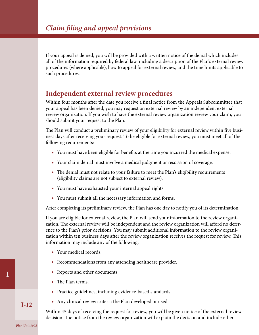If your appeal is denied, you will be provided with a written notice of the denial which includes all of the information required by federal law, including a description of the Plan's external review procedures (where applicable), how to appeal for external review, and the time limits applicable to such procedures.

# <span id="page-131-0"></span>**Independent external review procedures**

Within four months after the date you receive a final notice from the Appeals Subcommittee that your appeal has been denied, you may request an external review by an independent external review organization. If you wish to have the external review organization review your claim, you should submit your request to the Plan.

The Plan will conduct a preliminary review of your eligibility for external review within five business days after receiving your request. To be eligible for external review, you must meet all of the following requirements:

- You must have been eligible for benefits at the time you incurred the medical expense.
- Your claim denial must involve a medical judgment or rescission of coverage.
- The denial must not relate to your failure to meet the Plan's eligibility requirements (eligibility claims are not subject to external review).
- You must have exhausted your internal appeal rights.
- You must submit all the necessary information and forms.

After completing its preliminary review, the Plan has one day to notify you of its determination.

If you are eligible for external review, the Plan will send your information to the review organization. The external review will be independent and the review organization will afford no deference to the Plan's prior decisions. You may submit additional information to the review organization within ten business days after the review organization receives the request for review. This information may include any of the following:

- Your medical records.
- Recommendations from any attending healthcare provider.
- Reports and other documents.
- The Plan terms.
- Practice guidelines, including evidence-based standards.
- Any clinical review criteria the Plan developed or used.

Within 45 days of receiving the request for review, you will be given notice of the external review decision. The notice from the review organization will explain the decision and include other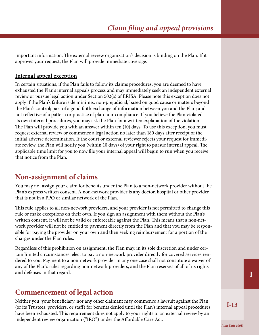important information. The external review organization's decision is binding on the Plan. If it approves your request, the Plan will provide immediate coverage.

## **Internal appeal exception**

In certain situations, if the Plan fails to follow its claims procedures, you are deemed to have exhausted the Plan's internal appeals process and may immediately seek an independent external review or pursue legal action under Section 502(a) of ERISA. Please note this exception does not apply if the Plan's failure is de minimis; non-prejudicial; based on good cause or matters beyond the Plan's control; part of a good faith exchange of information between you and the Plan; and not reflective of a pattern or practice of plan non-compliance. If you believe the Plan violated its own internal procedures, you may ask the Plan for a written explanation of the violation. The Plan will provide you with an answer within ten (10) days. To use this exception, you must request external review or commence a legal action no later than 180 days after receipt of the initial adverse determination. If the court or external reviewer rejects your request for immediate review, the Plan will notify you (within 10 days) of your right to pursue internal appeal. The applicable time limit for you to now file your internal appeal will begin to run when you receive that notice from the Plan.

## **Non-assignment of claims**

You may not assign your claim for benefits under the Plan to a non-network provider without the Plan's express written consent. A non-network provider is any doctor, hospital or other provider that is not in a PPO or similar network of the Plan.

This rule applies to all non-network providers, and your provider is not permitted to change this rule or make exceptions on their own. If you sign an assignment with them without the Plan's written consent, it will not be valid or enforceable against the Plan. This means that a non-network provider will not be entitled to payment directly from the Plan and that you may be responsible for paying the provider on your own and then seeking reimbursement for a portion of the charges under the Plan rules.

Regardless of this prohibition on assignment, the Plan may, in its sole discretion and under certain limited circumstances, elect to pay a non-network provider directly for covered services rendered to you. Payment to a non-network provider in any one case shall not constitute a waiver of any of the Plan's rules regarding non-network providers, and the Plan reserves of all of its rights and defenses in that regard.

# **Commencement of legal action**

Neither you, your beneficiary, nor any other claimant may commence a lawsuit against the Plan (or its Trustees, providers, or staff) for benefits denied until the Plan's internal appeal procedures have been exhausted. This requirement does not apply to your rights to an external review by an independent review organization ("IRO") under the Affordable Care Act.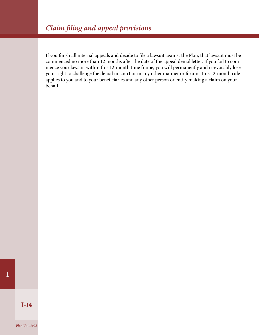If you finish all internal appeals and decide to file a lawsuit against the Plan, that lawsuit must be commenced no more than 12 months after the date of the appeal denial letter. If you fail to commence your lawsuit within this 12-month time frame, you will permanently and irrevocably lose your right to challenge the denial in court or in any other manner or forum. This 12-month rule applies to you and to your beneficiaries and any other person or entity making a claim on your behalf.

**I-14**

*Plan Unit 100B*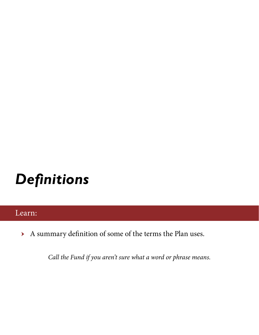# *Definitions*

# Learn:

 $\blacktriangleright$  A summary definition of some of the terms the Plan uses.

*Call the Fund if you aren't sure what a word or phrase means.*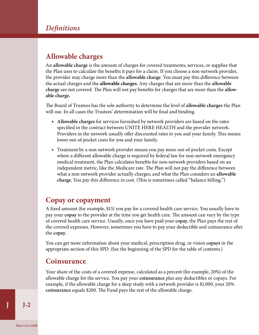# **Allowable charges**

An **allowable charge** is the amount of charges for covered treatments, services, or supplies that the Plan uses to calculate the benefits it pays for a claim. If you choose a non-network provider, the provider may charge more than the **allowable charge**. You must pay this difference between the actual charges and the **allowable charges**. Any charges that are more than the **allowable charge** are not covered. The Plan will not pay benefits for charges that are more than the **allowable charge.**

The Board of Trustees has the sole authority to determine the level of **allowable charges** the Plan will use. In all cases the Trustees' determination will be final and binding.

- **• Allowable charges** for services furnished by network providers are based on the rates specified in the contract between UNITE HERE HEALTH and the provider network. Providers in the network usually offer discounted rates to you and your family. This means lower out-of-pocket costs for you and your family.
- Treatment by a non-network provider means you pay more out-of-pocket costs. Except where a different allowable charge is required by federal law for non-network emergency medical treatment, the Plan calculates benefits for non-network providers based on an independent metric, like the Medicare rate. The Plan will not pay the difference between what a non-network provider actually charges, and what the Plan considers an **allowable charge**. You pay this difference in cost. (This is sometimes called "balance billing.")

# **Copay or copayment**

A fixed amount (for example, \$15) you pay for a covered health care service. You usually have to pay your **copay** to the provider at the time you get health care. The amount can vary by the type of covered health care service. Usually, once you have paid your **copay**, the Plan pays the rest of the covered expenses. However, sometimes you have to pay your deductible and coinsurance after the **copay**.

You can get more information about your medical, prescription drug, or vision **copays** in the appropriate section of this SPD. (See the beginning of the SPD for the table of contents.)

# **Coinsurance**

Your share of the costs of a covered expense, calculated as a percent (for example, 20%) of the allowable charge for the service. You pay your **coinsurance** plus any deductibles or copays. For example, if the allowable charge for a sleep study with a network provider is \$1,000, your 20% **coinsurance** equals \$200. The Fund pays the rest of the allowable charge.

**J-2**

**J**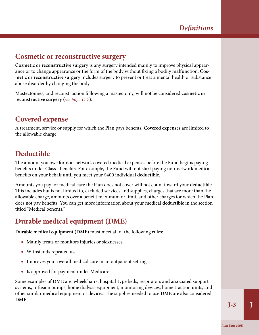# **Cosmetic or reconstructive surgery**

**Cosmetic or reconstructive surgery** is any surgery intended mainly to improve physical appearance or to change appearance or the form of the body without fixing a bodily malfunction. **Cosmetic or reconstructive surgery** includes surgery to prevent or treat a mental health or substance abuse disorder by changing the body.

Mastectomies, and reconstruction following a mastectomy, will not be considered **cosmetic or reconstructive surgery** (*[see page D-7](#page-36-0)*).

# **Covered expense**

A treatment, service or supply for which the Plan pays benefits. **Covered expenses** are limited to the allowable charge.

# **Deductible**

The amount you owe for non-network covered medical expenses before the Fund begins paying benefits under Class I benefits. For example, the Fund will not start paying non-network medical benefits on your behalf until you meet your \$400 individual **deductible**.

Amounts you pay for medical care the Plan does not cover will not count toward your **deductible**. This includes but is not limited to, excluded services and supplies, charges that are more than the allowable charge, amounts over a benefit maximum or limit, and other charges for which the Plan does not pay benefits. You can get more information about your medical **deductible** in the section titled "Medical benefits."

# **Durable medical equipment (DME)**

**Durable medical equipment (DME)** must meet all of the following rules:

- Mainly treats or monitors injuries or sicknesses.
- Withstands repeated use.
- Improves your overall medical care in an outpatient setting.
- Is approved for payment under Medicare.

Some examples of **DME** are: wheelchairs, hospital-type beds, respirators and associated support systems, infusion pumps, home dialysis equipment, monitoring devices, home traction units, and other similar medical equipment or devices. The supplies needed to use **DME** are also considered **DME**.

**J**

**J-3**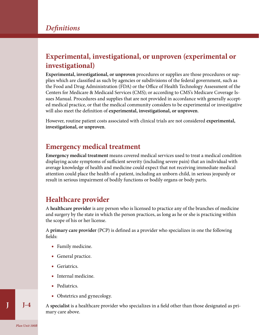# <span id="page-137-0"></span>**Experimental, investigational, or unproven (experimental or investigational)**

**Experimental, investigational, or unproven** procedures or supplies are those procedures or supplies which are classified as such by agencies or subdivisions of the federal government, such as the Food and Drug Administration (FDA) or the Office of Health Technology Assessment of the Centers for Medicare & Medicaid Services (CMS); or according to CMS's Medicare Coverage Issues Manual. Procedures and supplies that are not provided in accordance with generally accepted medical practice, or that the medical community considers to be experimental or investigative will also meet the definition of **experimental, investigational, or unproven**.

However, routine patient costs associated with clinical trials are not considered **experimental, investigational, or unproven**.

# **Emergency medical treatment**

**Emergency medical treatment** means covered medical services used to treat a medical condition displaying acute symptoms of sufficient severity (including severe pain) that an individual with average knowledge of health and medicine could expect that not receiving immediate medical attention could place the health of a patient, including an unborn child, in serious jeopardy or result in serious impairment of bodily functions or bodily organs or body parts.

# **Healthcare provider**

A **healthcare provider** is any person who is licensed to practice any of the branches of medicine and surgery by the state in which the person practices, as long as he or she is practicing within the scope of his or her license.

A **primary care provider** (PCP) is defined as a provider who specializes in one the following fields:

- Family medicine.
- General practice.
- Geriatrics.
- Internal medicine.
- Pediatrics.
- Obstetrics and gynecology.

A **specialist** is a healthcare provider who specializes in a field other than those designated as primary care above.

**J-4**

**J**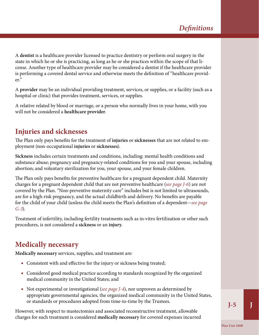A **dentist** is a healthcare provider licensed to practice dentistry or perform oral surgery in the state in which he or she is practicing, as long as he or she practices within the scope of that license. Another type of healthcare provider may be considered a dentist if the healthcare provider is performing a covered dental service and otherwise meets the definition of "healthcare provider."

A **provider** may be an individual providing treatment, services, or supplies, or a facility (such as a hospital or clinic) that provides treatment, services, or supplies.

A relative related by blood or marriage, or a person who normally lives in your home, with you will not be considered a **healthcare provider**.

# **Injuries and sicknesses**

The Plan only pays benefits for the treatment of **injuries** or **sicknesses** that are not related to employment (non-occupational **injuries** or **sicknesses**).

**Sickness** includes certain treatments and conditions, including: mental health conditions and substance abuse; pregnancy and pregnancy-related conditions for you and your spouse, including abortion; and voluntary sterilization for you, your spouse, and your female children.

The Plan only pays benefits for preventive healthcare for a pregnant dependent child. Maternity charges for a pregnant dependent child that are not preventive healthcare (*[see page J-6](#page-139-0)*) are not covered by the Plan. "Non-preventive maternity care" includes but is not limited to ultrasounds, are for a high-risk pregnancy, and the actual childbirth and delivery. No benefits are payable for the child of your child (unless the child meets the Plan's definition of a dependent—*[see page](#page-90-0)  [G-3](#page-90-0)*).

Treatment of infertility, including fertility treatments such as in-vitro fertilization or other such procedures, is not considered a **sickness** or an **injury**.

# **Medically necessary**

**Medically necessary** services, supplies, and treatment are:

- Consistent with and effective for the injury or sickness being treated;
- Considered good medical practice according to standards recognized by the organized medical community in the United States; and
- Not experimental or investigational (*[see page J-4](#page-137-0)*), nor unproven as determined by appropriate governmental agencies, the organized medical community in the United States, or standards or procedures adopted from time-to-time by the Trustees.

However, with respect to mastectomies and associated reconstructive treatment, allowable charges for such treatment is considered **medically necessary** for covered expenses incurred **J-5**

**J**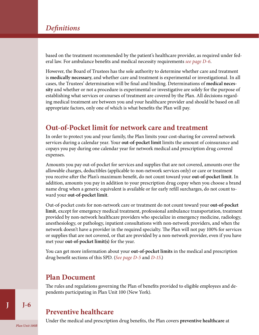based on the treatment recommended by the patient's healthcare provider, as required under federal law. For ambulance benefits and medical necessity requirements *[see page D-6](#page-35-0)*.

However, the Board of Trustees has the sole authority to determine whether care and treatment is **medically necessary**, and whether care and treatment is experimental or investigational. In all cases, the Trustees' determination will be final and binding. Determinations of **medical necessity** and whether or not a procedure is experimental or investigative are solely for the purpose of establishing what services or courses of treatment are covered by the Plan. All decisions regarding medical treatment are between you and your healthcare provider and should be based on all appropriate factors, only one of which is what benefits the Plan will pay.

# **Out-of-Pocket limit for network care and treatment**

In order to protect you and your family, the Plan limits your cost-sharing for covered network services during a calendar year. Your **out-of-pocket limit** limits the amount of coinsurance and copays you pay during one calendar year for network medical and prescription drug covered expenses.

Amounts you pay out-of-pocket for services and supplies that are not covered, amounts over the allowable charges, deductibles (applicable to non-network services only) or care or treatment you receive after the Plan's maximum benefit, do not count toward your **out-of-pocket limit**. In addition, amounts you pay in addition to your prescription drug copay when you choose a brand name drug when a generic equivalent is available or for early refill surcharges, do not count toward your **out-of-pocket limit**.

Out-of-pocket costs for non-network care or treatment do not count toward your **out-of-pocket limit**, except for emergency medical treatment, professional ambulance transportation, treatment provided by non-network healthcare providers who specialize in emergency medicine, radiology, anesthesiology, or pathology, inpatient consultations with non-network providers, and when the network doesn't have a provider in the required specialty. The Plan will not pay 100% for services or supplies that are not covered, or that are provided by a non-network provider, even if you have met your **out-of-pocket limit(s)** for the year.

You can get more information about your **out-of-pocket limits** in the medical and prescription drug benefit sections of this SPD. (*[See page D-5](#page-34-0)* and *[D-15](#page-44-0)*.)

# **Plan Document**

The rules and regulations governing the Plan of benefits provided to eligible employees and dependents participating in Plan Unit 100 (New York).

# <span id="page-139-0"></span>**Preventive healthcare**

Under the medical and prescription drug benefits, the Plan covers **preventive healthcare** at

**J**

**J-6**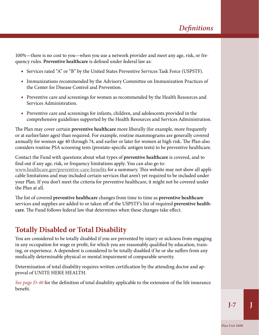100%—there is no cost to you—when you use a network provider and meet any age, risk, or frequency rules. **Preventive healthcare** is defined under federal law as:

- Services rated "A" or "B" by the United States Preventive Services Task Force (USPSTF).
- Immunizations recommended by the Advisory Committee on Immunization Practices of the Center for Disease Control and Prevention.
- Preventive care and screenings for women as recommended by the Health Resources and Services Administration.
- Preventive care and screenings for infants, children, and adolescents provided in the comprehensive guidelines supported by the Health Resources and Services Administration.

The Plan may cover certain **preventive healthcare** more liberally (for example, more frequently or at earlier/later ages) than required. For example, routine mammograms are generally covered annually for women age 40 through 74, and earlier or later for women at high risk. The Plan also considers routine PSA screening tests (prostate-specific antigen tests) to be preventive healthcare.

Contact the Fund with questions about what types of **preventive healthcare** is covered, and to find out if any age, risk, or frequency limitations apply. You can also go to: [www.healthcare.gov/preventive-care-benefits](http://www.healthcare.gov/preventive-care-benefits) for a summary. This website may not show all applicable limitations and may included certain services that aren't yet required to be included under your Plan. If you don't meet the criteria for preventive healthcare, it might not be covered under the Plan at all.

The list of covered **preventive healthcare** changes from time to time as **preventive healthcare**  services and supplies are added to or taken off of the USPSTF's list of required **preventive healthcare**. The Fund follows federal law that determines when these changes take effect.

# **Totally Disabled or Total Disability**

You are considered to be totally disabled if you are prevented by injury or sickness from engaging in any occupation for wage or profit, for which you are reasonably qualified by education, training, or experience. A dependent is considered to be totally disabled if he or she suffers from any medically determinable physical or mental impairment of comparable severity.

Determination of total disability requires written certification by the attending doctor and approval of UNITE HERE HEALTH.

*[See page D-40](#page-69-0)* for the definition of total disability applicable to the extension of the life insurance benefit.

**J**

**J-7**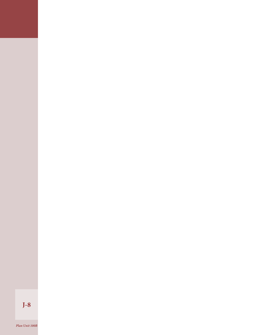# **J-8**

*Plan Unit 100B*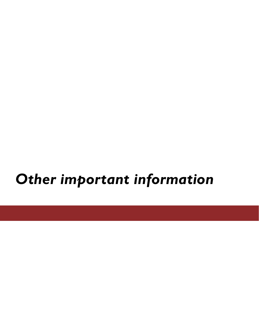# *Other important information*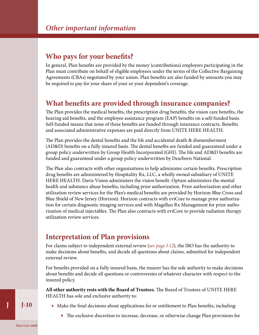# **Who pays for your benefits?**

In general, Plan benefits are provided by the money (contributions) employers participating in the Plan must contribute on behalf of eligible employees under the terms of the Collective Bargaining Agreements (CBAs) negotiated by your union. Plan benefits are also funded by amounts you may be required to pay for your share of your or your dependent's coverage.

# **What benefits are provided through insurance companies?**

The Plan provides the medical benefits, the prescription drug benefits, the vision care benefits, the hearing aid benefits, and the employee assistance program (EAP) benefits on a self-funded basis. Self-funded means that none of these benefits are funded through insurance contracts. Benefits and associated administrative expenses are paid directly from UNITE HERE HEALTH.

The Plan provides the dental benefits and the life and accidental death & dismemberment (AD&D) benefits on a fully insured basis. The dental benefits are funded and guaranteed under a group policy underwritten by Group Health Incorporated (GHI). The life and AD&D benefits are funded and guaranteed under a group policy underwritten by Dearborn National.

The Plan also contracts with other organizations to help administer certain benefits. Prescription drug benefits are administered by Hospitality Rx, LLC, a wholly owned subsidiary of UNITE HERE HEALTH. Davis Vision administers the vision benefit. Optum administers the mental health and substance abuse benefits, including prior authorization. Prior authorization and other utilization review services for the Plan's medical benefits are provided by Horizon Blue Cross and Blue Shield of New Jersey (Horizon). Horizon contracts with eviCore to manage prior authorization for certain diagnostic imaging services and with Magellan Rx Management for prior authorization of medical injectables. The Plan also contracts with eviCore to provide radiation therapy utilization review services.

# **Interpretation of Plan provisions**

For claims subject to independent external review (*[see page I-12](#page-131-0)*), the IRO has the authority to make decisions about benefits, and decide all questions about claims, submitted for independent external review.

For benefits provided on a fully insured basis, the insurer has the sole authority to make decisions about benefits and decide all questions or controversies of whatever character with respect to the insured policy.

**All other authority rests with the Board of Trustees.** The Board of Trustees of UNITE HERE HEALTH has sole and exclusive authority to:

- Make the final decisions about applications for or entitlement to Plan benefits, including:
	- ▶ The exclusive discretion to increase, decrease, or otherwise change Plan provisions for

**J**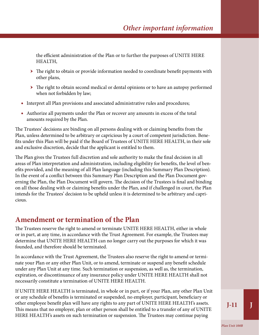the efficient administration of the Plan or to further the purposes of UNITE HERE HEALTH,

- $\triangleright$  The right to obtain or provide information needed to coordinate benefit payments with other plans,
- $\triangleright$  The right to obtain second medical or dental opinions or to have an autopsy performed when not forbidden by law;
- Interpret all Plan provisions and associated administrative rules and procedures;
- Authorize all payments under the Plan or recover any amounts in excess of the total amounts required by the Plan.

The Trustees' decisions are binding on all persons dealing with or claiming benefits from the Plan, unless determined to be arbitrary or capricious by a court of competent jurisdiction. Benefits under this Plan will be paid if the Board of Trustees of UNITE HERE HEALTH, in their sole and exclusive discretion, decide that the applicant is entitled to them.

The Plan gives the Trustees full discretion and sole authority to make the final decision in all areas of Plan interpretation and administration, including eligibility for benefits, the level of benefits provided, and the meaning of all Plan language (including this Summary Plan Description). In the event of a conflict between this Summary Plan Description and the Plan Document governing the Plan, the Plan Document will govern. The decision of the Trustees is final and binding on all those dealing with or claiming benefits under the Plan, and if challenged in court, the Plan intends for the Trustees' decision to be upheld unless it is determined to be arbitrary and capricious.

# **Amendment or termination of the Plan**

The Trustees reserve the right to amend or terminate UNITE HERE HEALTH, either in whole or in part, at any time, in accordance with the Trust Agreement. For example, the Trustees may determine that UNITE HERE HEALTH can no longer carry out the purposes for which it was founded, and therefore should be terminated.

In accordance with the Trust Agreement, the Trustees also reserve the right to amend or terminate your Plan or any other Plan Unit, or to amend, terminate or suspend any benefit schedule under any Plan Unit at any time. Such termination or suspension, as well as, the termination, expiration, or discontinuance of any insurance policy under UNITE HERE HEALTH shall not necessarily constitute a termination of UNITE HERE HEALTH.

If UNITE HERE HEALTH is terminated, in whole or in part, or if your Plan, any other Plan Unit or any schedule of benefits is terminated or suspended, no employer, participant, beneficiary or other employee benefit plan will have any rights to any part of UNITE HERE HEALTH's assets. This means that no employer, plan or other person shall be entitled to a transfer of any of UNITE HERE HEALTH's assets on such termination or suspension. The Trustees may continue paying

**J-11**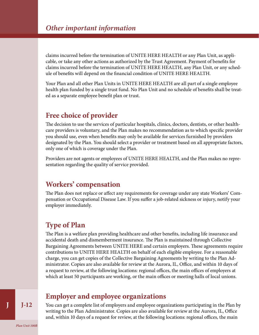claims incurred before the termination of UNITE HERE HEALTH or any Plan Unit, as applicable, or take any other actions as authorized by the Trust Agreement. Payment of benefits for claims incurred before the termination of UNITE HERE HEALTH, any Plan Unit, or any schedule of benefits will depend on the financial condition of UNITE HERE HEALTH.

Your Plan and all other Plan Units in UNITE HERE HEALTH are all part of a single employee health plan funded by a single trust fund. No Plan Unit and no schedule of benefits shall be treated as a separate employee benefit plan or trust.

# **Free choice of provider**

The decision to use the services of particular hospitals, clinics, doctors, dentists, or other healthcare providers is voluntary, and the Plan makes no recommendation as to which specific provider you should use, even when benefits may only be available for services furnished by providers designated by the Plan. You should select a provider or treatment based on all appropriate factors, only one of which is coverage under the Plan.

Providers are not agents or employees of UNITE HERE HEALTH, and the Plan makes no representation regarding the quality of service provided.

### **Workers' compensation**

The Plan does not replace or affect any requirements for coverage under any state Workers' Compensation or Occupational Disease Law. If you suffer a job-related sickness or injury, notify your employer immediately.

# **Type of Plan**

The Plan is a welfare plan providing healthcare and other benefits, including life insurance and accidental death and dismemberment insurance. The Plan is maintained through Collective Bargaining Agreements between UNITE HERE and certain employers. These agreements require contributions to UNITE HERE HEALTH on behalf of each eligible employee. For a reasonable charge, you can get copies of the Collective Bargaining Agreements by writing to the Plan Administrator. Copies are also available for review at the Aurora, IL, Office, and within 10 days of a request to review, at the following locations: regional offices, the main offices of employers at which at least 50 participants are working, or the main offices or meeting halls of local unions.

# **Employer and employee organizations**

You can get a complete list of employers and employee organizations participating in the Plan by writing to the Plan Administrator. Copies are also available for review at the Aurora, IL, Office and, within 10 days of a request for review, at the following locations: regional offices, the main

*Plan Unit 100B* 

**J-12**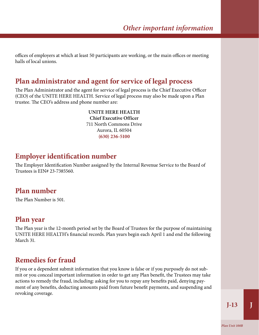offices of employers at which at least 50 participants are working, or the main offices or meeting halls of local unions.

### **Plan administrator and agent for service of legal process**

The Plan Administrator and the agent for service of legal process is the Chief Executive Officer (CEO) of the UNITE HERE HEALTH. Service of legal process may also be made upon a Plan trustee. The CEO's address and phone number are:

> **UNITE HERE HEALTH Chief Executive Officer** 711 North Commons Drive Aurora, IL 60504 **(630) 236-5100**

## **Employer identification number**

The Employer Identification Number assigned by the Internal Revenue Service to the Board of Trustees is EIN# 23-7385560.

### **Plan number**

The Plan Number is 501.

### **Plan year**

The Plan year is the 12-month period set by the Board of Trustees for the purpose of maintaining UNITE HERE HEALTH's financial records. Plan years begin each April 1 and end the following March 31.

# **Remedies for fraud**

If you or a dependent submit information that you know is false or if you purposely do not submit or you conceal important information in order to get any Plan benefit, the Trustees may take actions to remedy the fraud, including: asking for you to repay any benefits paid, denying payment of any benefits, deducting amounts paid from future benefit payments, and suspending and revoking coverage.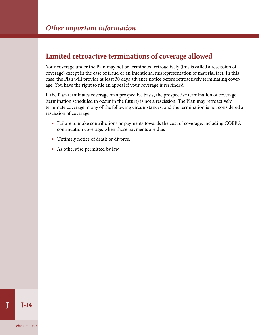# **Limited retroactive terminations of coverage allowed**

Your coverage under the Plan may not be terminated retroactively (this is called a rescission of coverage) except in the case of fraud or an intentional misrepresentation of material fact. In this case, the Plan will provide at least 30 days advance notice before retroactively terminating coverage. You have the right to file an appeal if your coverage is rescinded.

If the Plan terminates coverage on a prospective basis, the prospective termination of coverage (termination scheduled to occur in the future) is not a rescission. The Plan may retroactively terminate coverage in any of the following circumstances, and the termination is not considered a rescission of coverage:

- Failure to make contributions or payments towards the cost of coverage, including COBRA continuation coverage, when those payments are due.
- Untimely notice of death or divorce.
- As otherwise permitted by law.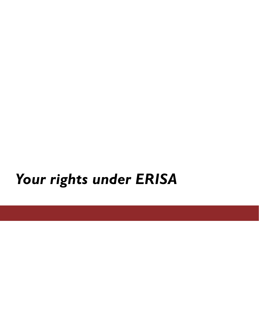# *Your rights under ERISA*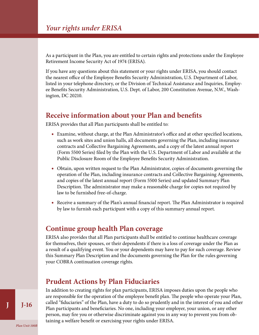As a participant in the Plan, you are entitled to certain rights and protections under the Employee Retirement Income Security Act of 1974 (ERISA).

If you have any questions about this statement or your rights under ERISA, you should contact the nearest office of the Employee Benefits Security Administration, U.S. Department of Labor, listed in your telephone directory, or the Division of Technical Assistance and Inquiries, Employee Benefits Security Administration, U.S. Dept. of Labor, 200 Constitution Avenue, N.W., Washington, DC 20210.

## **Receive information about your Plan and benefits**

ERISA provides that all Plan participants shall be entitled to:

- Examine, without charge, at the Plan Administrator's office and at other specified locations, such as work sites and union halls, all documents governing the Plan, including insurance contracts and Collective Bargaining Agreements, and a copy of the latest annual report (Form 5500 Series) filed by the Plan with the U.S. Department of Labor and available at the Public Disclosure Room of the Employee Benefits Security Administration.
- Obtain, upon written request to the Plan Administrator, copies of documents governing the operation of the Plan, including insurance contracts and Collective Bargaining Agreements, and copies of the latest annual report (Form 5500 Series) and updated Summary Plan Description. The administrator may make a reasonable charge for copies not required by law to be furnished free-of-charge.
- Receive a summary of the Plan's annual financial report. The Plan Administrator is required by law to furnish each participant with a copy of this summary annual report.

### **Continue group health Plan coverage**

ERISA also provides that all Plan participants shall be entitled to continue healthcare coverage for themselves, their spouses, or their dependents if there is a loss of coverage under the Plan as a result of a qualifying event. You or your dependents may have to pay for such coverage. Review this Summary Plan Description and the documents governing the Plan for the rules governing your COBRA continuation coverage rights.

# **Prudent Actions by Plan Fiduciaries**

In addition to creating rights for plan participants, ERISA imposes duties upon the people who are responsible for the operation of the employee benefit plan. The people who operate your Plan, called "fiduciaries" of the Plan, have a duty to do so prudently and in the interest of you and other Plan participants and beneficiaries. No one, including your employer, your union, or any other person, may fire you or otherwise discriminate against you in any way to prevent you from obtaining a welfare benefit or exercising your rights under ERISA.

**J**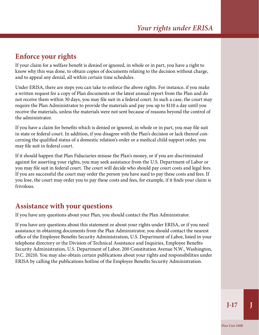# **Enforce your rights**

If your claim for a welfare benefit is denied or ignored, in whole or in part, you have a right to know why this was done, to obtain copies of documents relating to the decision without charge, and to appeal any denial, all within certain time schedules.

Under ERISA, there are steps you can take to enforce the above rights. For instance, if you make a written request for a copy of Plan documents or the latest annual report from the Plan and do not receive them within 30 days, you may file suit in a federal court. In such a case, the court may require the Plan Administrator to provide the materials and pay you up to \$110 a day until you receive the materials, unless the materials were not sent because of reasons beyond the control of the administrator.

If you have a claim for benefits which is denied or ignored, in whole or in part, you may file suit in state or federal court. In addition, if you disagree with the Plan's decision or lack thereof concerning the qualified status of a domestic relation's order or a medical child support order, you may file suit in federal court.

If it should happen that Plan Fiduciaries misuse the Plan's money, or if you are discriminated against for asserting your rights, you may seek assistance from the U.S. Department of Labor or you may file suit in federal court. The court will decide who should pay court costs and legal fees. If you are successful the court may order the person you have sued to pay these costs and fees. If you lose, the court may order you to pay these costs and fees, for example, if it finds your claim is frivolous.

# **Assistance with your questions**

If you have any questions about your Plan, you should contact the Plan Administrator.

If you have any questions about this statement or about your rights under ERISA, or if you need assistance in obtaining documents from the Plan Administrator, you should contact the nearest office of the Employee Benefits Security Administration, U.S. Department of Labor, listed in your telephone directory or the Division of Technical Assistance and Inquiries, Employee Benefits Security Administration, U.S. Department of Labor, 200 Constitution Avenue N.W., Washington, D.C. 20210. You may also obtain certain publications about your rights and responsibilities under ERISA by calling the publications hotline of the Employee Benefits Security Administration.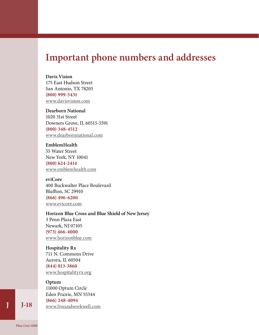# **Important phone numbers and addresses**

#### **Davis Vision**

175 East Hudson Street San Antonio, TX 78205 **(800) 999-5431** [www.davisvision.com](http://www.davisvision.com)

#### **Dearborn National**

1020 31st Street Downers Grove, IL 60515-5591 **(800) 348-4512** [www.dearbornnational.com](http://www.dearbornnational.com)

### **EmblemHealth**

55 Water Street New York, NY 10041 **(800) 624-2414** [www.emblemhealth.com](http://www.emblemhealth.com)

**eviCore** 400 Buckwalter Place Boulevard Bluffton, SC 29910 **(866) 496-6200** [www.evicore.com](http://www.evicore.com)

#### **Horizon Blue Cross and Blue Shield of New Jersey**

3 Penn Plaza East Newark, NJ 07105 **(973) 466-4000** [www.horizonblue.com](http://www.horizonblue.com)

**Hospitality Rx**

711 N. Commons Drive Aurora, IL 60504 **(844) 813-3860** [www.hospitalityrx.org](http://www.hospitalityrx.org)

### **Optum**

11000 Optum Circle Eden Prairie, MN 55344 **(866) 248-4094** [www.liveandworkwell.com](http://www.liveandworkwell.com)

**J**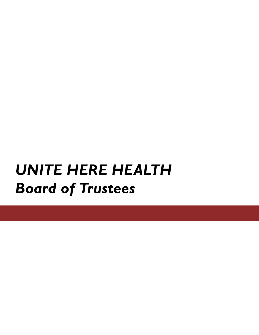# *UNITE HERE HEALTH Board of Trustees*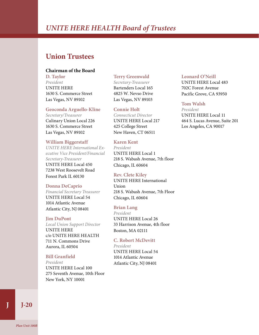# *UNITE HERE HEALTH Board of Trustees*

# **Union Trustees**

### **Chairman of the Board**

**D. Taylor** *President* UNITE HERE 1630 S. Commerce Street Las Vegas, NV 89102

#### **Geoconda Arguello-Kline**

*Secretary/Treasurer* Culinary Union Local 226 1630 S. Commerce Street Las Vegas, NV 89102

#### **William Biggerstaff**

*UNITE HERE International Executive Vice President/Financial Secretary-Treasurer* UNITE HERE Local 450 7238 West Roosevelt Road Forest Park IL 60130

#### **Donna DeCaprio**

*Financial Secretary Treasurer* UNITE HERE Local 54 1014 Atlantic Avenue Atlantic City, NJ 08401

#### **Jim DuPont**

*Local Union Support Director* UNITE HERE c/o UNITE HERE HEALTH 711 N. Commons Drive Aurora, IL 60504

#### **Bill Granfield**

*President* UNITE HERE Local 100 275 Seventh Avenue, 10th Floor New York, NY 10001

#### **Terry Greenwald**

*Secretary-Treasurer* Bartenders Local 165 4825 W. Nevso Drive Las Vegas, NV 89103

#### **Connie Holt**

*Connecticut Director* UNITE HERE Local 217 425 College Street New Haven, CT 06511

### **Karen Kent**

*President* UNITE HERE Local 1 218 S. Wabash Avenue, 7th floor Chicago, IL 60604

### **Rev. Clete Kiley**

UNITE HERE International Union 218 S. Wabash Avenue, 7th Floor Chicago, IL 60604

#### **Brian Lang**

*President* UNITE HERE Local 26 33 Harrison Avenue, 4th floor Boston, MA 02111

### **C. Robert McDevitt**

*President* UNITE HERE Local 54 1014 Atlantic Avenue Atlantic City, NJ 08401

#### **Leonard O'Neill**

UNITE HERE Local 483 702C Forest Avenue Pacific Grove, CA 93950

#### **Tom Walsh**

*President* UNITE HERE Local 11 464 S. Lucas Avenue, Suite 201 Los Angeles, CA 90017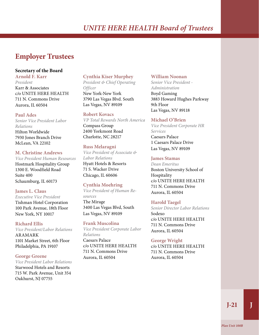# *UNITE HERE HEALTH Board of Trustees*

# **Employer Trustees**

### **Secretary of the Board**

**Arnold F. Karr**

*President* Karr & Associates c/o UNITE HERE HEALTH 711 N. Commons Drive Aurora, IL 60504

#### **Paul Ades**

*Senior Vice President Labor Relations* Hilton Worldwide 7930 Jones Branch Drive McLean, VA 22102

### **M. Christine Andrews**

*Vice President Human Resources* Hostmark Hospitality Group 1300 E. Woodfield Road Suite 400 Schaumburg, IL 60173

### **James L. Claus**

*Executive Vice President* Tishman Hotel Corporation 100 Park Avenue, 18th Floor New York, NY 10017

### **Richard Ellis**

*Vice President/Labor Relations* ARAMARK 1101 Market Street, 6th Floor Philadelphia, PA 19107

### **George Greene**

*Vice President Labor Relations* Starwood Hotels and Resorts 715 W. Park Avenue, Unit 354 Oakhurst, NJ 07755

#### **Cynthia Kiser Murphey**

*President & Chief Operating Officer* New York-New York 3790 Las Vegas Blvd. South Las Vegas, NV 89109

### **Robert Kovacs**

*VP Total Rewards North America* Compass Group 2400 Yorkmont Road Charlotte, NC 28217

#### **Russ Melaragni**

*Vice President of Associate & Labor Relations* Hyatt Hotels & Resorts 71 S. Wacker Drive Chicago, IL 60606

### **Cynthia Moehring**

*Vice President of Human Resources* The Mirage 3400 Las Vegas Blvd, South Las Vegas, NV 89109

### **Frank Muscolina**

*Vice President Corporate Labor Relations* Caesars Palace c/o UNITE HERE HEALTH 711 N. Commons Drive Aurora, IL 60504

#### **William Noonan**

*Senior Vice President - Administration* Boyd Gaming 3883 Howard Hughes Parkway 9th Floor Las Vegas, NV 89118

#### **Michael O'Brien**

*Vice President Corporate HR Services* Caesars Palace 1 Caesars Palace Drive Las Vegas, NV 89109

### **James Stamas**

*Dean Emeritus* Boston University School of Hospitality c/o UNITE HERE HEALTH 711 N. Commons Drive Aurora, IL 60504

### **Harold Taegel**

*Senior Director Labor Relations* Sodexo c/o UNITE HERE HEALTH 711 N. Commons Drive Aurora, IL 60504

### **George Wright**

c/o UNITE HERE HEALTH 711 N. Commons Drive Aurora, IL 60504